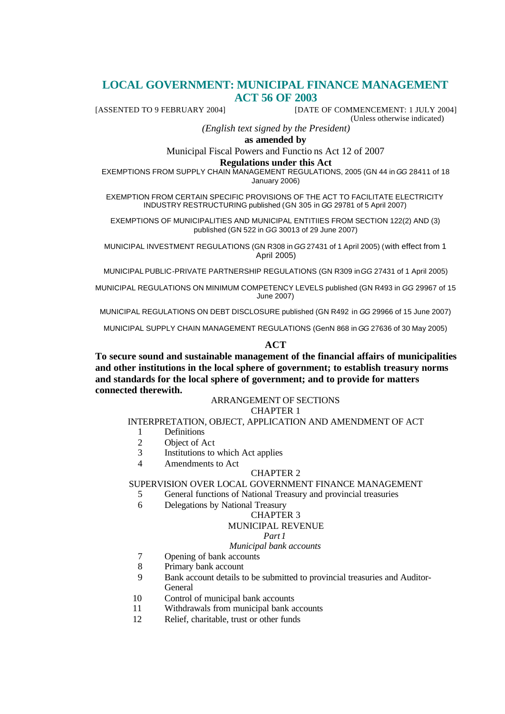# **LOCAL GOVERNMENT: MUNICIPAL FINANCE MANAGEMENT ACT 56 OF 2003**

[ASSENTED TO 9 FEBRUARY 2004] [DATE OF COMMENCEMENT: 1 JULY 2004]

(Unless otherwise indicated)

*(English text signed by the President)*

**as amended by**

Municipal Fiscal Powers and Functio ns Act 12 of 2007

#### **Regulations under this Act**

EXEMPTIONS FROM SUPPLY CHAIN MANAGEMENT REGULATIONS, 2005 (GN 44 in *GG* 28411 of 18 January 2006)

EXEMPTION FROM CERTAIN SPECIFIC PROVISIONS OF THE ACT TO FACILITATE ELECTRICITY INDUSTRY RESTRUCTURING published (GN 305 in *GG* 29781 of 5 April 2007)

EXEMPTIONS OF MUNICIPALITIES AND MUNICIPAL ENTITIIES FROM SECTION 122(2) AND (3) published (GN 522 in *GG* 30013 of 29 June 2007)

MUNICIPAL INVESTMENT REGULATIONS (GN R308 in *GG* 27431 of 1 April 2005) (with effect from 1 April 2005)

MUNICIPAL PUBLIC-PRIVATE PARTNERSHIP REGULATIONS (GN R309 in *GG* 27431 of 1 April 2005)

MUNICIPAL REGULATIONS ON MINIMUM COMPETENCY LEVELS published (GN R493 in *GG* 29967 of 15 June 2007)

MUNICIPAL REGULATIONS ON DEBT DISCLOSURE published (GN R492 in *GG* 29966 of 15 June 2007)

MUNICIPAL SUPPLY CHAIN MANAGEMENT REGULATIONS (GenN 868 in *GG* 27636 of 30 May 2005)

## **ACT**

**To secure sound and sustainable management of the financial affairs of municipalities and other institutions in the local sphere of government; to establish treasury norms and standards for the local sphere of government; and to provide for matters connected therewith.** 

# ARRANGEMENT OF SECTIONS

# CHAPTER 1

## INTERPRETATION, OBJECT, APPLICATION AND AMENDMENT OF ACT

- 1 Definitions
- 2 Object of Act
- 3 Institutions to which Act applies
- 4 Amendments to Act

#### CHAPTER 2

## SUPERVISION OVER LOCAL GOVERNMENT FINANCE MANAGEMENT

- 5 General functions of National Treasury and provincial treasuries
- 6 Delegations by National Treasury

#### CHAPTER 3

#### MUNICIPAL REVENUE

## *Part 1*

#### *Municipal bank accounts*

- 7 Opening of bank accounts
- 8 Primary bank account
- 9 Bank account details to be submitted to provincial treasuries and Auditor-General
- 10 Control of municipal bank accounts
- 11 Withdrawals from municipal bank accounts
- 12 Relief, charitable, trust or other funds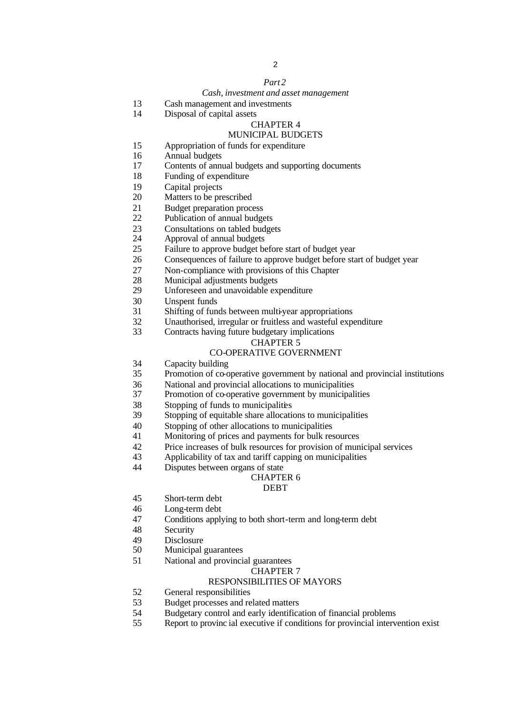# 

## *Part 2*

#### *Cash, investment and asset management*

- Cash management and investments
- Disposal of capital assets

## CHAPTER 4

## MUNICIPAL BUDGETS

- 15 Appropriation of funds for expenditure<br>16 Annual budgets
- Annual budgets
- Contents of annual budgets and supporting documents
- Funding of expenditure
- Capital projects
- Matters to be prescribed
- Budget preparation process
- Publication of annual budgets
- 23 Consultations on tabled budgets<br>24 Approval of annual budgets
- Approval of annual budgets
- Failure to approve budget before start of budget year
- Consequences of failure to approve budget before start of budget year
- Non-compliance with provisions of this Chapter
- Municipal adjustments budgets
- Unforeseen and unavoidable expenditure
- Unspent funds
- Shifting of funds between multi-year appropriations
- Unauthorised, irregular or fruitless and wasteful expenditure
- Contracts having future budgetary implications

## CHAPTER 5

## CO-OPERATIVE GOVERNMENT

- Capacity building
- Promotion of co-operative government by national and provincial institutions
- 36 National and provincial allocations to municipalities<br>37 Promotion of co-operative government by municipalities
- Promotion of co-operative government by municipalities
- Stopping of funds to municipalities
- Stopping of equitable share allocations to municipalities
- Stopping of other allocations to municipalities
- Monitoring of prices and payments for bulk resources
- Price increases of bulk resources for provision of municipal services
- Applicability of tax and tariff capping on municipalities
- Disputes between organs of state

## CHAPTER 6

## DEBT

- Short-term debt
- Long-term debt
- Conditions applying to both short-term and long-term debt
- Security
- Disclosure
- Municipal guarantees
- National and provincial guarantees

#### CHAPTER 7

#### RESPONSIBILITIES OF MAYORS

- General responsibilities
- Budget processes and related matters
- Budgetary control and early identification of financial problems
- Report to provinc ial executive if conditions for provincial intervention exist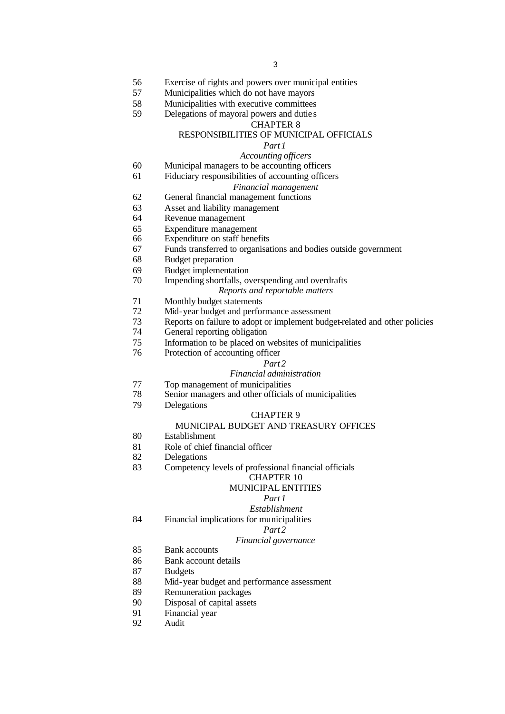- Exercise of rights and powers over municipal entities
- Municipalities which do not have mayors
- Municipalities with executive committees
- Delegations of mayoral powers and dutie s
	- CHAPTER 8

## RESPONSIBILITIES OF MUNICIPAL OFFICIALS

# *Part 1*

# *Accounting officers*

- Municipal managers to be accounting officers
- Fiduciary responsibilities of accounting officers

#### *Financial management*

- General financial management functions
- Asset and liability management
- Revenue management
- Expenditure management
- Expenditure on staff benefits
- Funds transferred to organisations and bodies outside government
- Budget preparation
- Budget implementation
- Impending shortfalls, overspending and overdrafts

#### *Reports and reportable matters*

- Monthly budget statements
- Mid-year budget and performance assessment
- Reports on failure to adopt or implement budget-related and other policies
- General reporting obligation
- Information to be placed on websites of municipalities
- Protection of accounting officer

#### *Part 2*

#### *Financial administration*

- 77 Top management of municipalities<br>78 Senior managers and other officials
- Senior managers and other officials of municipalities
- Delegations

#### CHAPTER 9

#### MUNICIPAL BUDGET AND TREASURY OFFICES

- Establishment
- Role of chief financial officer
- Delegations
- Competency levels of professional financial officials

# CHAPTER 10

# MUNICIPAL ENTITIES

# *Part 1*

- *Establishment*
- Financial implications for municipalities

## *Part 2*

#### *Financial governance*

- Bank accounts
- Bank account details
- Budgets
- Mid-year budget and performance assessment
- Remuneration packages
- Disposal of capital assets
- Financial year
- Audit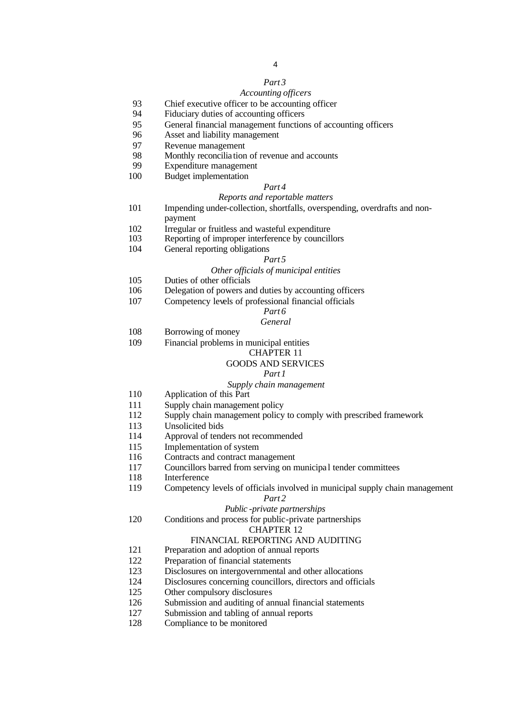## *Part 3*

## *Accounting officers*

- Chief executive officer to be accounting officer
- Fiduciary duties of accounting officers
- General financial management functions of accounting officers
- Asset and liability management
- Revenue management
- 98 Monthly reconciliation of revenue and accounts<br>99 Expenditure management
- Expenditure management
- Budget implementation

#### *Part 4*

#### *Reports and reportable matters*

- Impending under-collection, shortfalls, overspending, overdrafts and nonpayment
- Irregular or fruitless and wasteful expenditure
- Reporting of improper interference by councillors
- General reporting obligations

#### *Part 5*

## *Other officials of municipal entities*

- Duties of other officials
- Delegation of powers and duties by accounting officers
- Competency levels of professional financial officials

#### *Part 6 General*

- Borrowing of money
- Financial problems in municipal entities

#### CHAPTER 11

## GOODS AND SERVICES

#### *Part 1*

### *Supply chain management*

- Application of this Part
- Supply chain management policy
- Supply chain management policy to comply with prescribed framework
- Unsolicited bids
- Approval of tenders not recommended
- Implementation of system
- Contracts and contract management
- Councillors barred from serving on municipa l tender committees
- Interference
- Competency levels of officials involved in municipal supply chain management

#### *Part 2*

#### *Public -private partnerships*

Conditions and process for public-private partnerships

## CHAPTER 12

#### FINANCIAL REPORTING AND AUDITING

- Preparation and adoption of annual reports
- Preparation of financial statements
- Disclosures on intergovernmental and other allocations
- Disclosures concerning councillors, directors and officials
- Other compulsory disclosures
- Submission and auditing of annual financial statements
- Submission and tabling of annual reports
- Compliance to be monitored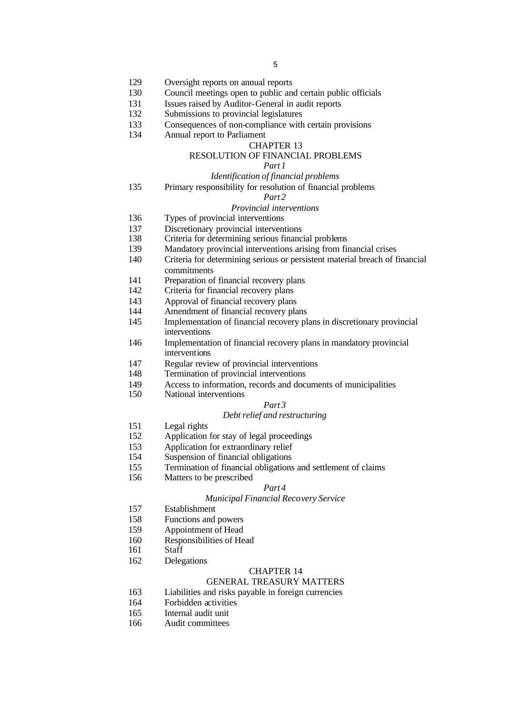- Oversight reports on annual reports
- Council meetings open to public and certain public officials
- Issues raised by Auditor-General in audit reports
- Submissions to provincial legislatures
- Consequences of non-compliance with certain provisions
- Annual report to Parliament

## CHAPTER 13

## RESOLUTION OF FINANCIAL PROBLEMS

## *Part 1*

## *Identification of financial problems*

Primary responsibility for resolution of financial problems

## *Part 2*

### *Provincial interventions*

- Types of provincial interventions
- Discretionary provincial interventions
- Criteria for determining serious financial problems
- Mandatory provincial interventions arising from financial crises
- Criteria for determining serious or persistent material breach of financial
	- commitments
- Preparation of financial recovery plans
- Criteria for financial recovery plans
- Approval of financial recovery plans
- Amendment of financial recovery plans
- Implementation of financial recovery plans in discretionary provincial interventions
- Implementation of financial recovery plans in mandatory provincial interventions
- Regular review of provincial interventions
- Termination of provincial interventions
- 149 Access to information, records and documents of municipalities<br>150 National interventions
	- National interventions

# *Part 3*

## *Debt relief and restructuring*

- Legal rights
- Application for stay of legal proceedings
- Application for extraordinary relief
- Suspension of financial obligations
- Termination of financial obligations and settlement of claims
- Matters to be prescribed

#### *Part 4*

#### *Municipal Financial Recovery Service*

- Establishment
- Functions and powers
- Appointment of Head
- Responsibilities of Head
- Staff
- Delegations

#### CHAPTER 14

## GENERAL TREASURY MATTERS

- Liabilities and risks payable in foreign currencies
- Forbidden activities
- Internal audit unit
- Audit committees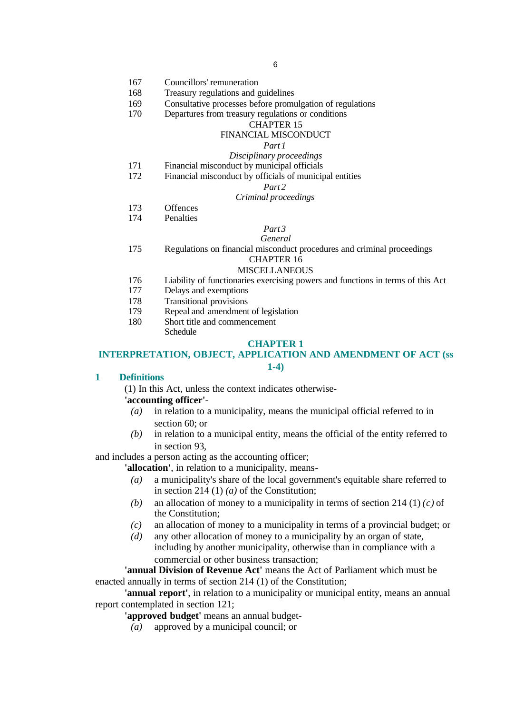- 167 Councillors' remuneration
- 168 Treasury regulations and guidelines
- 169 Consultative processes before promulgation of regulations
- 170 Departures from treasury regulations or conditions

#### CHAPTER 15

#### FINANCIAL MISCONDUCT

## *Part 1*

- *Disciplinary proceedings*
- 171 Financial misconduct by municipal officials
- 172 Financial misconduct by officials of municipal entities

## *Part 2*

#### *Criminal proceedings*

- 173 Offences
- 174 Penalties

# *Part 3*

## *General*

175 Regulations on financial misconduct procedures and criminal proceedings

# CHAPTER 16

#### **MISCELLANEOUS**

- 176 Liability of functionaries exercising powers and functions in terms of this Act
- 177 Delays and exemptions
- 178 Transitional provisions
- 179 Repeal and amendment of legislation
- 180 Short title and commencement Schedule

#### **CHAPTER 1**

## **INTERPRETATION, OBJECT, APPLICATION AND AMENDMENT OF ACT (ss**

#### **1-4)**

## **1 Definitions**

(1) In this Act, unless the context indicates otherwise-

#### **'accounting officer'**-

- *(a)* in relation to a municipality, means the municipal official referred to in section 60; or
- *(b)* in relation to a municipal entity, means the official of the entity referred to in section 93,

and includes a person acting as the accounting officer;

**'allocation'**, in relation to a municipality, means-

- *(a)* a municipality's share of the local government's equitable share referred to in section 214 (1) *(a)* of the Constitution;
- *(b)* an allocation of money to a municipality in terms of section 214 (1) *(c)* of the Constitution;
- *(c)* an allocation of money to a municipality in terms of a provincial budget; or
- *(d)* any other allocation of money to a municipality by an organ of state, including by another municipality, otherwise than in compliance with a commercial or other business transaction;

**'annual Division of Revenue Act'** means the Act of Parliament which must be enacted annually in terms of section 214 (1) of the Constitution;

**'annual report'**, in relation to a municipality or municipal entity, means an annual report contemplated in section 121;

**'approved budget'** means an annual budget-

*(a)* approved by a municipal council; or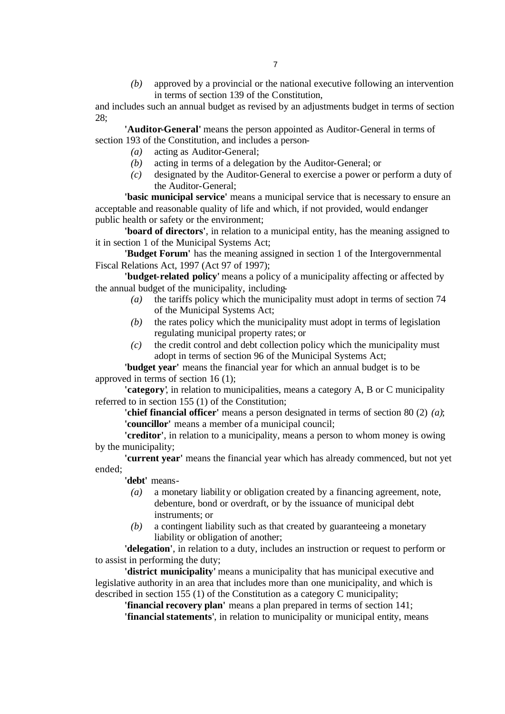*(b)* approved by a provincial or the national executive following an intervention in terms of section 139 of the Constitution,

and includes such an annual budget as revised by an adjustments budget in terms of section 28;

**'Auditor-General'** means the person appointed as Auditor-General in terms of section 193 of the Constitution, and includes a person-

- *(a)* acting as Auditor-General;
- *(b)* acting in terms of a delegation by the Auditor-General; or
- *(c)* designated by the Auditor-General to exercise a power or perform a duty of the Auditor-General;

**'basic municipal service'** means a municipal service that is necessary to ensure an acceptable and reasonable quality of life and which, if not provided, would endanger public health or safety or the environment;

**'board of directors'**, in relation to a municipal entity, has the meaning assigned to it in section 1 of the Municipal Systems Act;

**'Budget Forum'** has the meaning assigned in section 1 of the Intergovernmental Fiscal Relations Act, 1997 (Act 97 of 1997);

**'budget-related policy'** means a policy of a municipality affecting or affected by the annual budget of the municipality, including-

- *(a)* the tariffs policy which the municipality must adopt in terms of section 74 of the Municipal Systems Act;
- *(b)* the rates policy which the municipality must adopt in terms of legislation regulating municipal property rates; or
- *(c)* the credit control and debt collection policy which the municipality must adopt in terms of section 96 of the Municipal Systems Act;

**'budget year'** means the financial year for which an annual budget is to be approved in terms of section 16 (1);

**'category'**, in relation to municipalities, means a category A, B or C municipality referred to in section 155 (1) of the Constitution;

**'chief financial officer'** means a person designated in terms of section 80 (2) *(a)*; **'councillor'** means a member of a municipal council;

**'creditor'**, in relation to a municipality, means a person to whom money is owing by the municipality;

**'current year'** means the financial year which has already commenced, but not yet ended;

**'debt'** means-

- *(a)* a monetary liability or obligation created by a financing agreement, note, debenture, bond or overdraft, or by the issuance of municipal debt instruments; or
- *(b)* a contingent liability such as that created by guaranteeing a monetary liability or obligation of another;

**'delegation'**, in relation to a duty, includes an instruction or request to perform or to assist in performing the duty;

**'district municipality'** means a municipality that has municipal executive and legislative authority in an area that includes more than one municipality, and which is described in section 155 (1) of the Constitution as a category C municipality;

**'financial recovery plan'** means a plan prepared in terms of section 141;

**'financial statements'**, in relation to municipality or municipal entity, means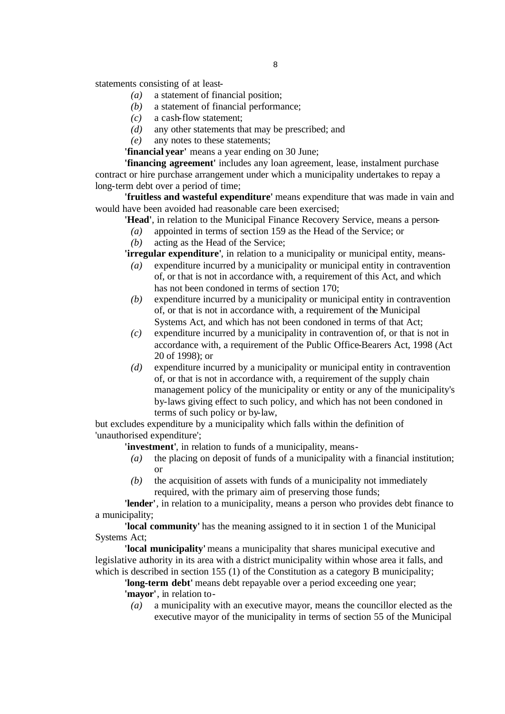statements consisting of at least-

- *(a)* a statement of financial position;
- *(b)* a statement of financial performance;
- *(c)* a cash-flow statement;
- *(d)* any other statements that may be prescribed; and
- *(e)* any notes to these statements;

**'financial year'** means a year ending on 30 June;

**'financing agreement'** includes any loan agreement, lease, instalment purchase contract or hire purchase arrangement under which a municipality undertakes to repay a long-term debt over a period of time;

**'fruitless and wasteful expenditure'** means expenditure that was made in vain and would have been avoided had reasonable care been exercised;

- **'Head'**, in relation to the Municipal Finance Recovery Service, means a person-
	- *(a)* appointed in terms of section 159 as the Head of the Service; or
	- *(b)* acting as the Head of the Service;

**'irregular expenditure'**, in relation to a municipality or municipal entity, means-

- *(a)* expenditure incurred by a municipality or municipal entity in contravention of, or that is not in accordance with, a requirement of this Act, and which has not been condoned in terms of section 170;
- *(b)* expenditure incurred by a municipality or municipal entity in contravention of, or that is not in accordance with, a requirement of the Municipal Systems Act, and which has not been condoned in terms of that Act;
- *(c)* expenditure incurred by a municipality in contravention of, or that is not in accordance with, a requirement of the Public Office-Bearers Act, 1998 (Act 20 of 1998); or
- *(d)* expenditure incurred by a municipality or municipal entity in contravention of, or that is not in accordance with, a requirement of the supply chain management policy of the municipality or entity or any of the municipality's by-laws giving effect to such policy, and which has not been condoned in terms of such policy or by-law,

but excludes expenditure by a municipality which falls within the definition of 'unauthorised expenditure';

**'investment'**, in relation to funds of a municipality, means-

- *(a)* the placing on deposit of funds of a municipality with a financial institution; or
- *(b)* the acquisition of assets with funds of a municipality not immediately required, with the primary aim of preserving those funds;

**'lender'**, in relation to a municipality, means a person who provides debt finance to a municipality;

**'local community'** has the meaning assigned to it in section 1 of the Municipal Systems Act;

**'local municipality'** means a municipality that shares municipal executive and legislative authority in its area with a district municipality within whose area it falls, and which is described in section 155 (1) of the Constitution as a category B municipality;

**'long-term debt'** means debt repayable over a period exceeding one year; **'mayor'**, in relation to-

*(a)* a municipality with an executive mayor, means the councillor elected as the executive mayor of the municipality in terms of section 55 of the Municipal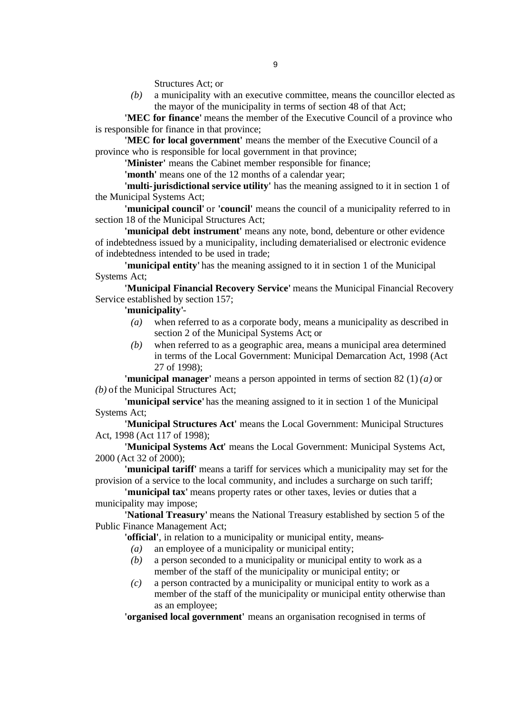Structures Act; or

*(b)* a municipality with an executive committee, means the councillor elected as the mayor of the municipality in terms of section 48 of that Act;

**'MEC for finance'** means the member of the Executive Council of a province who is responsible for finance in that province;

**'MEC for local government'** means the member of the Executive Council of a province who is responsible for local government in that province;

**'Minister'** means the Cabinet member responsible for finance;

**'month'** means one of the 12 months of a calendar year;

**'multi-jurisdictional service utility'** has the meaning assigned to it in section 1 of the Municipal Systems Act;

**'municipal council'** or **'council'** means the council of a municipality referred to in section 18 of the Municipal Structures Act;

**'municipal debt instrument'** means any note, bond, debenture or other evidence of indebtedness issued by a municipality, including dematerialised or electronic evidence of indebtedness intended to be used in trade;

**'municipal entity'** has the meaning assigned to it in section 1 of the Municipal Systems Act;

**'Municipal Financial Recovery Service'** means the Municipal Financial Recovery Service established by section 157;

## **'municipality'**-

- *(a)* when referred to as a corporate body, means a municipality as described in section 2 of the Municipal Systems Act; or
- *(b)* when referred to as a geographic area, means a municipal area determined in terms of the Local Government: Municipal Demarcation Act, 1998 (Act 27 of 1998);

**'municipal manager'** means a person appointed in terms of section 82 (1) *(a)* or *(b)* of the Municipal Structures Act;

**'municipal service'** has the meaning assigned to it in section 1 of the Municipal Systems Act;

**'Municipal Structures Act'** means the Local Government: Municipal Structures Act, 1998 (Act 117 of 1998);

**'Municipal Systems Act'** means the Local Government: Municipal Systems Act, 2000 (Act 32 of 2000);

**'municipal tariff'** means a tariff for services which a municipality may set for the provision of a service to the local community, and includes a surcharge on such tariff;

**'municipal tax'** means property rates or other taxes, levies or duties that a municipality may impose;

**'National Treasury'** means the National Treasury established by section 5 of the Public Finance Management Act;

**'official'**, in relation to a municipality or municipal entity, means-

- *(a)* an employee of a municipality or municipal entity;
- *(b)* a person seconded to a municipality or municipal entity to work as a member of the staff of the municipality or municipal entity; or
- *(c)* a person contracted by a municipality or municipal entity to work as a member of the staff of the municipality or municipal entity otherwise than as an employee;

**'organised local government'** means an organisation recognised in terms of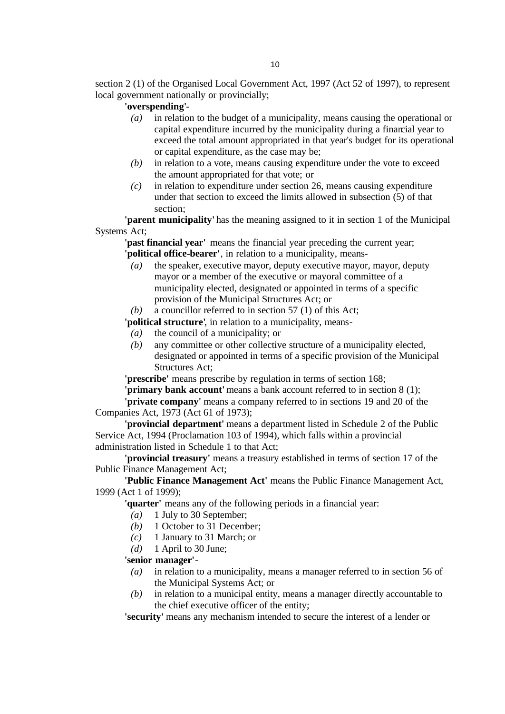section 2 (1) of the Organised Local Government Act, 1997 (Act 52 of 1997), to represent local government nationally or provincially;

## **'overspending'**-

- *(a)* in relation to the budget of a municipality, means causing the operational or capital expenditure incurred by the municipality during a financial year to exceed the total amount appropriated in that year's budget for its operational or capital expenditure, as the case may be;
- *(b)* in relation to a vote, means causing expenditure under the vote to exceed the amount appropriated for that vote; or
- *(c)* in relation to expenditure under section 26, means causing expenditure under that section to exceed the limits allowed in subsection (5) of that section;

**'parent municipality'** has the meaning assigned to it in section 1 of the Municipal Systems Act;

**'past financial year'** means the financial year preceding the current year; **'political office-bearer'**, in relation to a municipality, means-

- *(a)* the speaker, executive mayor, deputy executive mayor, mayor, deputy mayor or a member of the executive or mayoral committee of a municipality elected, designated or appointed in terms of a specific provision of the Municipal Structures Act; or
- *(b)* a councillor referred to in section 57 (1) of this Act;

**'political structure'**, in relation to a municipality, means-

- *(a)* the council of a municipality; or
- *(b)* any committee or other collective structure of a municipality elected, designated or appointed in terms of a specific provision of the Municipal Structures Act;

**'prescribe'** means prescribe by regulation in terms of section 168;

**'primary bank account'** means a bank account referred to in section 8 (1); **'private company'** means a company referred to in sections 19 and 20 of the

Companies Act, 1973 (Act 61 of 1973);

**'provincial department'** means a department listed in Schedule 2 of the Public Service Act, 1994 (Proclamation 103 of 1994), which falls within a provincial administration listed in Schedule 1 to that Act;

**'provincial treasury'** means a treasury established in terms of section 17 of the Public Finance Management Act;

**'Public Finance Management Act'** means the Public Finance Management Act, 1999 (Act 1 of 1999);

**'quarter'** means any of the following periods in a financial year:

- *(a)* 1 July to 30 September;
- *(b)* 1 October to 31 December;
- *(c)* 1 January to 31 March; or
- *(d)* 1 April to 30 June;

#### **'senior manager'**-

- *(a)* in relation to a municipality, means a manager referred to in section 56 of the Municipal Systems Act; or
- *(b)* in relation to a municipal entity, means a manager directly accountable to the chief executive officer of the entity;

**'security'** means any mechanism intended to secure the interest of a lender or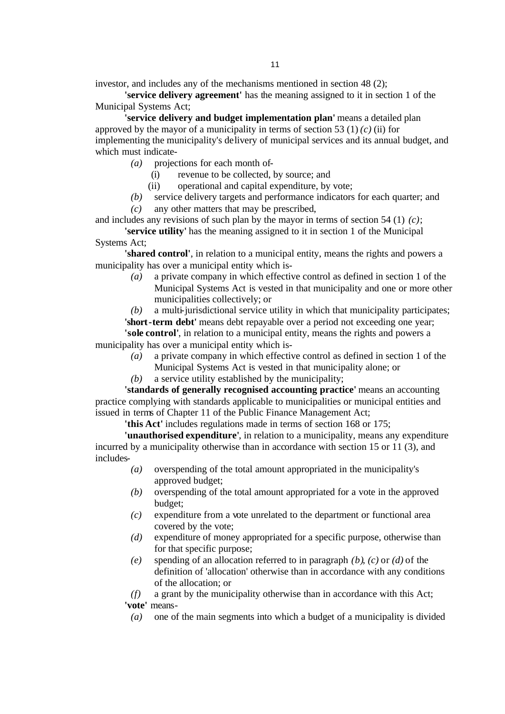investor, and includes any of the mechanisms mentioned in section 48 (2);

**'service delivery agreement'** has the meaning assigned to it in section 1 of the Municipal Systems Act;

**'service delivery and budget implementation plan'** means a detailed plan approved by the mayor of a municipality in terms of section 53 (1) $(c)$  (ii) for implementing the municipality's delivery of municipal services and its annual budget, and which must indicate-

- *(a)* projections for each month of-
	- (i) revenue to be collected, by source; and
	- (ii) operational and capital expenditure, by vote;
- *(b)* service delivery targets and performance indicators for each quarter; and *(c)* any other matters that may be prescribed,

and includes any revisions of such plan by the mayor in terms of section 54 (1) *(c)*;

**'service utility'** has the meaning assigned to it in section 1 of the Municipal Systems Act;

**'shared control'**, in relation to a municipal entity, means the rights and powers a municipality has over a municipal entity which is-

> *(a)* a private company in which effective control as defined in section 1 of the Municipal Systems Act is vested in that municipality and one or more other municipalities collectively; or

> *(b)* a multi-jurisdictional service utility in which that municipality participates;

**'short-term debt'** means debt repayable over a period not exceeding one year; **'sole control'**, in relation to a municipal entity, means the rights and powers a

municipality has over a municipal entity which is-

- *(a)* a private company in which effective control as defined in section 1 of the Municipal Systems Act is vested in that municipality alone; or
- *(b)* a service utility established by the municipality;

**'standards of generally recognised accounting practice'** means an accounting practice complying with standards applicable to municipalities or municipal entities and issued in terms of Chapter 11 of the Public Finance Management Act;

**'this Act'** includes regulations made in terms of section 168 or 175;

**'unauthorised expenditure'**, in relation to a municipality, means any expenditure incurred by a municipality otherwise than in accordance with section 15 or 11 (3), and includes-

- *(a)* overspending of the total amount appropriated in the municipality's approved budget;
- *(b)* overspending of the total amount appropriated for a vote in the approved budget;
- *(c)* expenditure from a vote unrelated to the department or functional area covered by the vote;
- *(d)* expenditure of money appropriated for a specific purpose, otherwise than for that specific purpose;
- *(e)* spending of an allocation referred to in paragraph *(b)*, *(c)* or *(d)* of the definition of 'allocation' otherwise than in accordance with any conditions of the allocation; or

*(f)* a grant by the municipality otherwise than in accordance with this Act;

```
'vote' means-
```
*(a)* one of the main segments into which a budget of a municipality is divided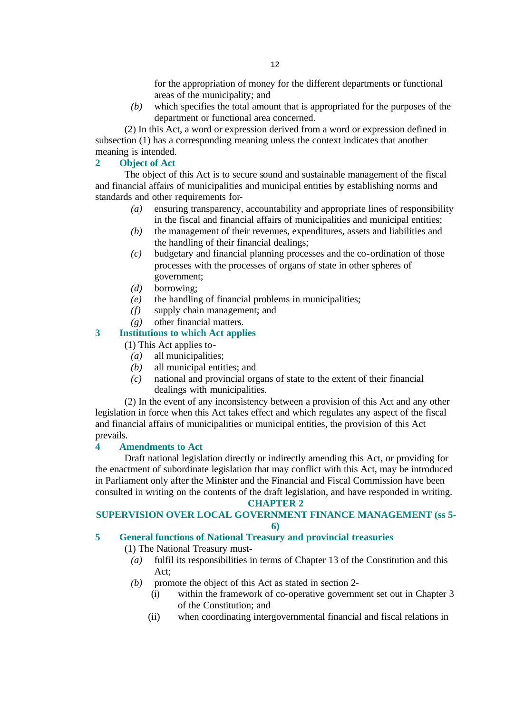for the appropriation of money for the different departments or functional areas of the municipality; and

*(b)* which specifies the total amount that is appropriated for the purposes of the department or functional area concerned.

(2) In this Act, a word or expression derived from a word or expression defined in subsection (1) has a corresponding meaning unless the context indicates that another meaning is intended.

# **2 Object of Act**

The object of this Act is to secure sound and sustainable management of the fiscal and financial affairs of municipalities and municipal entities by establishing norms and standards and other requirements for-

- *(a)* ensuring transparency, accountability and appropriate lines of responsibility in the fiscal and financial affairs of municipalities and municipal entities;
- *(b)* the management of their revenues, expenditures, assets and liabilities and the handling of their financial dealings;
- *(c)* budgetary and financial planning processes and the co-ordination of those processes with the processes of organs of state in other spheres of government;
- *(d)* borrowing;
- *(e)* the handling of financial problems in municipalities;
- *(f)* supply chain management; and
- *(g)* other financial matters.

# **3 Institutions to which Act applies**

(1) This Act applies to-

- *(a)* all municipalities;
- *(b)* all municipal entities; and
- *(c)* national and provincial organs of state to the extent of their financial dealings with municipalities.

(2) In the event of any inconsistency between a provision of this Act and any other legislation in force when this Act takes effect and which regulates any aspect of the fiscal and financial affairs of municipalities or municipal entities, the provision of this Act prevails.

## **4 Amendments to Act**

Draft national legislation directly or indirectly amending this Act, or providing for the enactment of subordinate legislation that may conflict with this Act, may be introduced in Parliament only after the Minister and the Financial and Fiscal Commission have been consulted in writing on the contents of the draft legislation, and have responded in writing.

## **CHAPTER 2**

# **SUPERVISION OVER LOCAL GOVERNMENT FINANCE MANAGEMENT (ss 5-**

**6)**

# **5 General functions of National Treasury and provincial treasuries**

(1) The National Treasury must-

- *(a)* fulfil its responsibilities in terms of Chapter 13 of the Constitution and this Act;
- *(b)* promote the object of this Act as stated in section 2-
	- (i) within the framework of co-operative government set out in Chapter 3 of the Constitution; and
	- (ii) when coordinating intergovernmental financial and fiscal relations in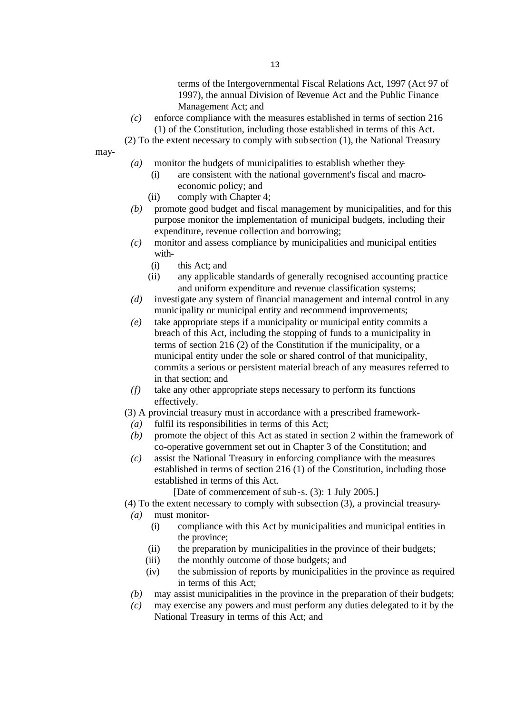terms of the Intergovernmental Fiscal Relations Act, 1997 (Act 97 of 1997), the annual Division of Revenue Act and the Public Finance Management Act; and

*(c)* enforce compliance with the measures established in terms of section 216 (1) of the Constitution, including those established in terms of this Act.

(2) To the extent necessary to comply with subsection (1), the National Treasury

may-

- *(a)* monitor the budgets of municipalities to establish whether they-
	- (i) are consistent with the national government's fiscal and macroeconomic policy; and
	- (ii) comply with Chapter 4;
- *(b)* promote good budget and fiscal management by municipalities, and for this purpose monitor the implementation of municipal budgets, including their expenditure, revenue collection and borrowing;
- *(c)* monitor and assess compliance by municipalities and municipal entities with-
	- (i) this Act; and
	- (ii) any applicable standards of generally recognised accounting practice and uniform expenditure and revenue classification systems;
- *(d)* investigate any system of financial management and internal control in any municipality or municipal entity and recommend improvements;
- *(e)* take appropriate steps if a municipality or municipal entity commits a breach of this Act, including the stopping of funds to a municipality in terms of section 216 (2) of the Constitution if the municipality, or a municipal entity under the sole or shared control of that municipality, commits a serious or persistent material breach of any measures referred to in that section; and
- *(f)* take any other appropriate steps necessary to perform its functions effectively.
- (3) A provincial treasury must in accordance with a prescribed framework-
	- *(a)* fulfil its responsibilities in terms of this Act;
	- *(b)* promote the object of this Act as stated in section 2 within the framework of co-operative government set out in Chapter 3 of the Constitution; and
	- *(c)* assist the National Treasury in enforcing compliance with the measures established in terms of section 216 (1) of the Constitution, including those established in terms of this Act.

[Date of commencement of sub-s. (3): 1 July 2005.]

(4) To the extent necessary to comply with subsection (3), a provincial treasury-

- *(a)* must monitor-
	- (i) compliance with this Act by municipalities and municipal entities in the province;
	- (ii) the preparation by municipalities in the province of their budgets;
	- (iii) the monthly outcome of those budgets; and
	- (iv) the submission of reports by municipalities in the province as required in terms of this Act;
- *(b)* may assist municipalities in the province in the preparation of their budgets;
- *(c)* may exercise any powers and must perform any duties delegated to it by the National Treasury in terms of this Act; and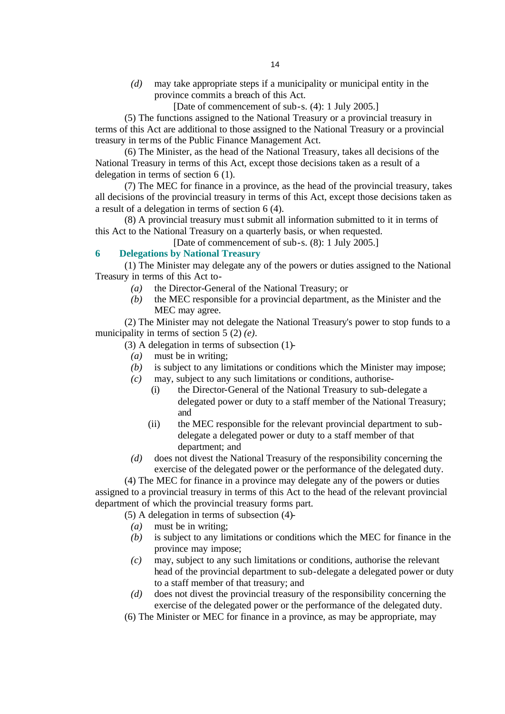*(d)* may take appropriate steps if a municipality or municipal entity in the province commits a breach of this Act.

[Date of commencement of sub-s. (4): 1 July 2005.]

(5) The functions assigned to the National Treasury or a provincial treasury in terms of this Act are additional to those assigned to the National Treasury or a provincial treasury in terms of the Public Finance Management Act.

(6) The Minister, as the head of the National Treasury, takes all decisions of the National Treasury in terms of this Act, except those decisions taken as a result of a delegation in terms of section 6 (1).

(7) The MEC for finance in a province, as the head of the provincial treasury, takes all decisions of the provincial treasury in terms of this Act, except those decisions taken as a result of a delegation in terms of section 6 (4).

(8) A provincial treasury must submit all information submitted to it in terms of this Act to the National Treasury on a quarterly basis, or when requested.

[Date of commencement of sub-s. (8): 1 July 2005.]

## **6 Delegations by National Treasury**

(1) The Minister may delegate any of the powers or duties assigned to the National Treasury in terms of this Act to-

- *(a)* the Director-General of the National Treasury; or
- *(b)* the MEC responsible for a provincial department, as the Minister and the MEC may agree.

(2) The Minister may not delegate the National Treasury's power to stop funds to a municipality in terms of section 5 (2) *(e)*.

(3) A delegation in terms of subsection (1)-

- *(a)* must be in writing;
- *(b)* is subject to any limitations or conditions which the Minister may impose;
- *(c)* may, subject to any such limitations or conditions, authorise-
	- (i) the Director-General of the National Treasury to sub-delegate a delegated power or duty to a staff member of the National Treasury; and
	- (ii) the MEC responsible for the relevant provincial department to subdelegate a delegated power or duty to a staff member of that department; and
- *(d)* does not divest the National Treasury of the responsibility concerning the exercise of the delegated power or the performance of the delegated duty.

(4) The MEC for finance in a province may delegate any of the powers or duties assigned to a provincial treasury in terms of this Act to the head of the relevant provincial department of which the provincial treasury forms part.

(5) A delegation in terms of subsection (4)-

- *(a)* must be in writing;
- *(b)* is subject to any limitations or conditions which the MEC for finance in the province may impose;
- *(c)* may, subject to any such limitations or conditions, authorise the relevant head of the provincial department to sub-delegate a delegated power or duty to a staff member of that treasury; and
- *(d)* does not divest the provincial treasury of the responsibility concerning the exercise of the delegated power or the performance of the delegated duty.
- (6) The Minister or MEC for finance in a province, as may be appropriate, may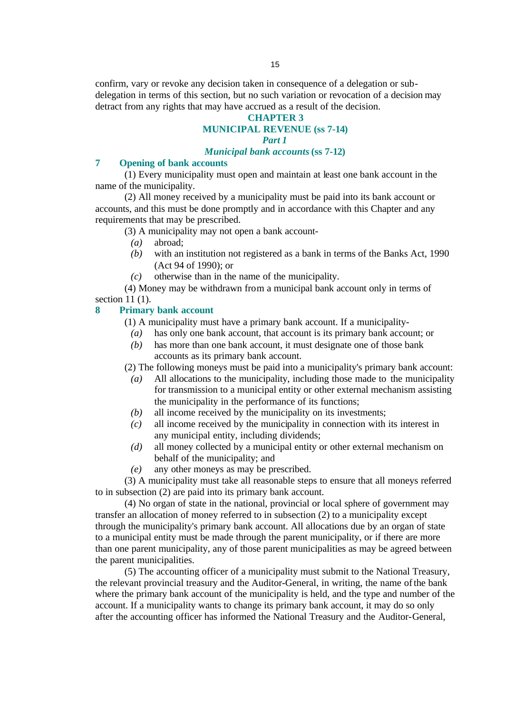confirm, vary or revoke any decision taken in consequence of a delegation or subdelegation in terms of this section, but no such variation or revocation of a decision may detract from any rights that may have accrued as a result of the decision.

## **CHAPTER 3**

## **MUNICIPAL REVENUE (ss 7-14)**

#### *Part 1*

## *Municipal bank accounts* **(ss 7-12)**

# **7 Opening of bank accounts**

(1) Every municipality must open and maintain at least one bank account in the name of the municipality.

(2) All money received by a municipality must be paid into its bank account or accounts, and this must be done promptly and in accordance with this Chapter and any requirements that may be prescribed.

(3) A municipality may not open a bank account-

- *(a)* abroad;
- *(b)* with an institution not registered as a bank in terms of the Banks Act, 1990 (Act 94 of 1990); or
- *(c)* otherwise than in the name of the municipality.

(4) Money may be withdrawn from a municipal bank account only in terms of section 11 (1).

## **8 Primary bank account**

- (1) A municipality must have a primary bank account. If a municipality-
	- *(a)* has only one bank account, that account is its primary bank account; or
	- *(b)* has more than one bank account, it must designate one of those bank accounts as its primary bank account.

(2) The following moneys must be paid into a municipality's primary bank account:

- *(a)* All allocations to the municipality, including those made to the municipality for transmission to a municipal entity or other external mechanism assisting the municipality in the performance of its functions;
- *(b)* all income received by the municipality on its investments;
- *(c)* all income received by the municipality in connection with its interest in any municipal entity, including dividends;
- *(d)* all money collected by a municipal entity or other external mechanism on behalf of the municipality; and
- *(e)* any other moneys as may be prescribed.

(3) A municipality must take all reasonable steps to ensure that all moneys referred to in subsection (2) are paid into its primary bank account.

(4) No organ of state in the national, provincial or local sphere of government may transfer an allocation of money referred to in subsection (2) to a municipality except through the municipality's primary bank account. All allocations due by an organ of state to a municipal entity must be made through the parent municipality, or if there are more than one parent municipality, any of those parent municipalities as may be agreed between the parent municipalities.

(5) The accounting officer of a municipality must submit to the National Treasury, the relevant provincial treasury and the Auditor-General, in writing, the name of the bank where the primary bank account of the municipality is held, and the type and number of the account. If a municipality wants to change its primary bank account, it may do so only after the accounting officer has informed the National Treasury and the Auditor-General,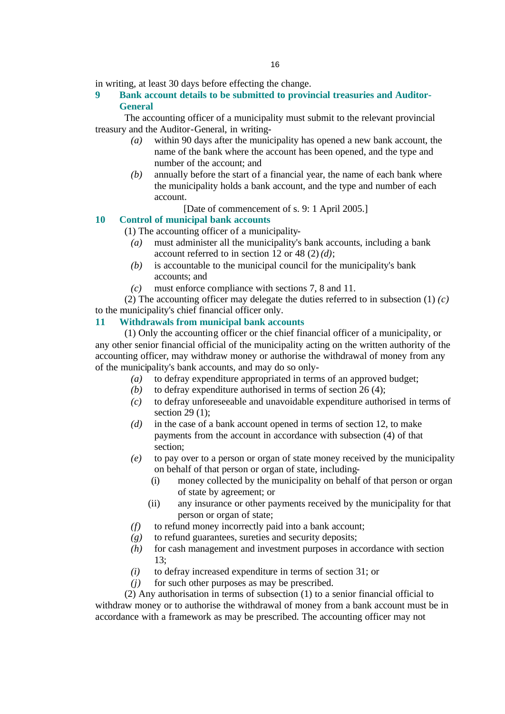in writing, at least 30 days before effecting the change.

**9 Bank account details to be submitted to provincial treasuries and Auditor-General**

The accounting officer of a municipality must submit to the relevant provincial treasury and the Auditor-General, in writing-

- *(a)* within 90 days after the municipality has opened a new bank account, the name of the bank where the account has been opened, and the type and number of the account; and
- *(b)* annually before the start of a financial year, the name of each bank where the municipality holds a bank account, and the type and number of each account.
	- [Date of commencement of s. 9: 1 April 2005.]

## **10 Control of municipal bank accounts**

(1) The accounting officer of a municipality-

- *(a)* must administer all the municipality's bank accounts, including a bank account referred to in section 12 or 48 (2) *(d)*;
- *(b)* is accountable to the municipal council for the municipality's bank accounts; and
- *(c)* must enforce compliance with sections 7, 8 and 11.

(2) The accounting officer may delegate the duties referred to in subsection (1) *(c)* to the municipality's chief financial officer only.

## **11 Withdrawals from municipal bank accounts**

(1) Only the accounting officer or the chief financial officer of a municipality, or any other senior financial official of the municipality acting on the written authority of the accounting officer, may withdraw money or authorise the withdrawal of money from any of the municipality's bank accounts, and may do so only-

- *(a)* to defray expenditure appropriated in terms of an approved budget;
- *(b)* to defray expenditure authorised in terms of section 26 (4);
- *(c)* to defray unforeseeable and unavoidable expenditure authorised in terms of section 29 (1);
- *(d)* in the case of a bank account opened in terms of section 12, to make payments from the account in accordance with subsection (4) of that section;
- *(e)* to pay over to a person or organ of state money received by the municipality on behalf of that person or organ of state, including-
	- (i) money collected by the municipality on behalf of that person or organ of state by agreement; or
	- (ii) any insurance or other payments received by the municipality for that person or organ of state;
- *(f)* to refund money incorrectly paid into a bank account;
- *(g)* to refund guarantees, sureties and security deposits;
- *(h)* for cash management and investment purposes in accordance with section 13;
- *(i)* to defray increased expenditure in terms of section 31; or
- *(j)* for such other purposes as may be prescribed.

(2) Any authorisation in terms of subsection (1) to a senior financial official to withdraw money or to authorise the withdrawal of money from a bank account must be in accordance with a framework as may be prescribed. The accounting officer may not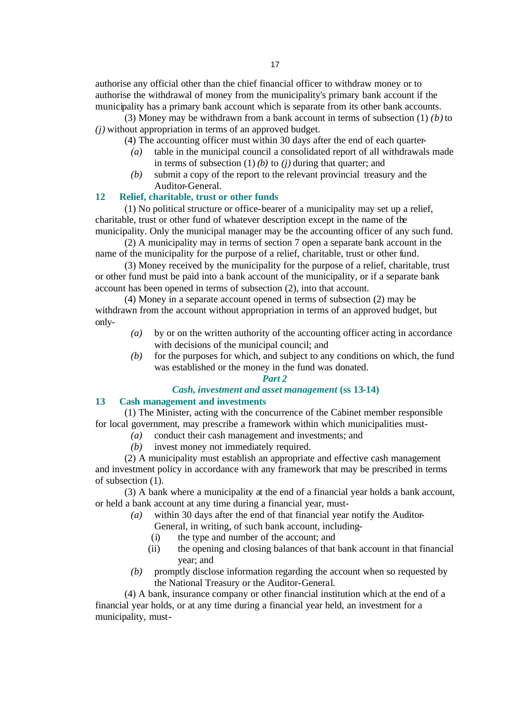authorise any official other than the chief financial officer to withdraw money or to authorise the withdrawal of money from the municipality's primary bank account if the municipality has a primary bank account which is separate from its other bank accounts.

(3) Money may be withdrawn from a bank account in terms of subsection (1) *(b)* to *(j)* without appropriation in terms of an approved budget.

(4) The accounting officer must within 30 days after the end of each quarter-

- *(a)* table in the municipal council a consolidated report of all withdrawals made in terms of subsection (1) *(b)* to *(j)* during that quarter; and
- *(b)* submit a copy of the report to the relevant provincial treasury and the Auditor-General.

## **12 Relief, charitable, trust or other funds**

(1) No political structure or office-bearer of a municipality may set up a relief, charitable, trust or other fund of whatever description except in the name of the municipality. Only the municipal manager may be the accounting officer of any such fund.

(2) A municipality may in terms of section 7 open a separate bank account in the name of the municipality for the purpose of a relief, charitable, trust or other fund.

(3) Money received by the municipality for the purpose of a relief, charitable, trust or other fund must be paid into a bank account of the municipality, or if a separate bank account has been opened in terms of subsection (2), into that account.

(4) Money in a separate account opened in terms of subsection (2) may be withdrawn from the account without appropriation in terms of an approved budget, but only-

- *(a)* by or on the written authority of the accounting officer acting in accordance with decisions of the municipal council; and
- *(b)* for the purposes for which, and subject to any conditions on which, the fund was established or the money in the fund was donated.

#### *Part 2*

## *Cash, investment and asset management* **(ss 13-14)**

## **13 Cash management and investments**

(1) The Minister, acting with the concurrence of the Cabinet member responsible for local government, may prescribe a framework within which municipalities must-

- *(a)* conduct their cash management and investments; and
- *(b)* invest money not immediately required.

(2) A municipality must establish an appropriate and effective cash management and investment policy in accordance with any framework that may be prescribed in terms of subsection (1).

(3) A bank where a municipality at the end of a financial year holds a bank account, or held a bank account at any time during a financial year, must-

- *(a)* within 30 days after the end of that financial year notify the Auditor-General, in writing, of such bank account, including-
	- (i) the type and number of the account; and
	- (ii) the opening and closing balances of that bank account in that financial year; and
- *(b)* promptly disclose information regarding the account when so requested by the National Treasury or the Auditor-General.

(4) A bank, insurance company or other financial institution which at the end of a financial year holds, or at any time during a financial year held, an investment for a municipality, must-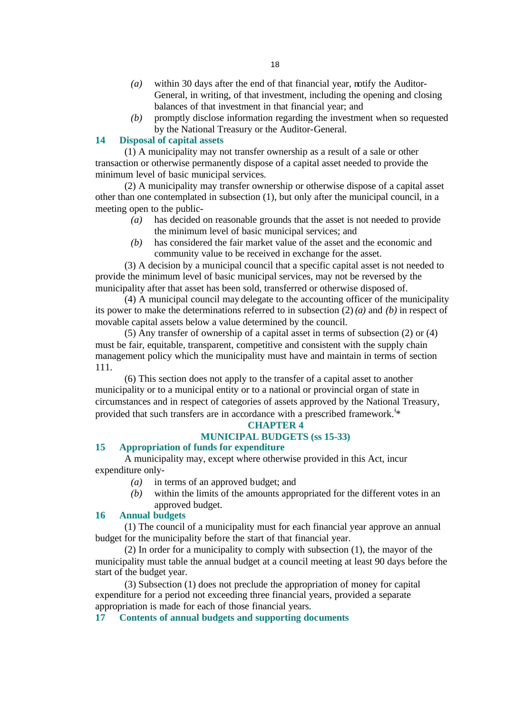- *(a)* within 30 days after the end of that financial year, notify the Auditor-General, in writing, of that investment, including the opening and closing balances of that investment in that financial year; and
- *(b)* promptly disclose information regarding the investment when so requested by the National Treasury or the Auditor-General.

## **14 Disposal of capital assets**

(1) A municipality may not transfer ownership as a result of a sale or other transaction or otherwise permanently dispose of a capital asset needed to provide the minimum level of basic municipal services.

(2) A municipality may transfer ownership or otherwise dispose of a capital asset other than one contemplated in subsection (1), but only after the municipal council, in a meeting open to the public-

- *(a)* has decided on reasonable grounds that the asset is not needed to provide the minimum level of basic municipal services; and
- *(b)* has considered the fair market value of the asset and the economic and community value to be received in exchange for the asset.

(3) A decision by a municipal council that a specific capital asset is not needed to provide the minimum level of basic municipal services, may not be reversed by the municipality after that asset has been sold, transferred or otherwise disposed of.

(4) A municipal council may delegate to the accounting officer of the municipality its power to make the determinations referred to in subsection (2) *(a)* and *(b)* in respect of movable capital assets below a value determined by the council.

(5) Any transfer of ownership of a capital asset in terms of subsection (2) or (4) must be fair, equitable, transparent, competitive and consistent with the supply chain management policy which the municipality must have and maintain in terms of section 111.

(6) This section does not apply to the transfer of a capital asset to another municipality or to a municipal entity or to a national or provincial organ of state in circumstances and in respect of categories of assets approved by the National Treasury, provided that such transfers are in accordance with a prescribed framework.<sup>i\*</sup>

## **CHAPTER 4**

## **MUNICIPAL BUDGETS (ss 15-33)**

## **15 Appropriation of funds for expenditure**

A municipality may, except where otherwise provided in this Act, incur expenditure only-

- *(a)* in terms of an approved budget; and
- *(b)* within the limits of the amounts appropriated for the different votes in an approved budget.

## **16 Annual budgets**

(1) The council of a municipality must for each financial year approve an annual budget for the municipality before the start of that financial year.

(2) In order for a municipality to comply with subsection (1), the mayor of the municipality must table the annual budget at a council meeting at least 90 days before the start of the budget year.

(3) Subsection (1) does not preclude the appropriation of money for capital expenditure for a period not exceeding three financial years, provided a separate appropriation is made for each of those financial years.

**17 Contents of annual budgets and supporting documents**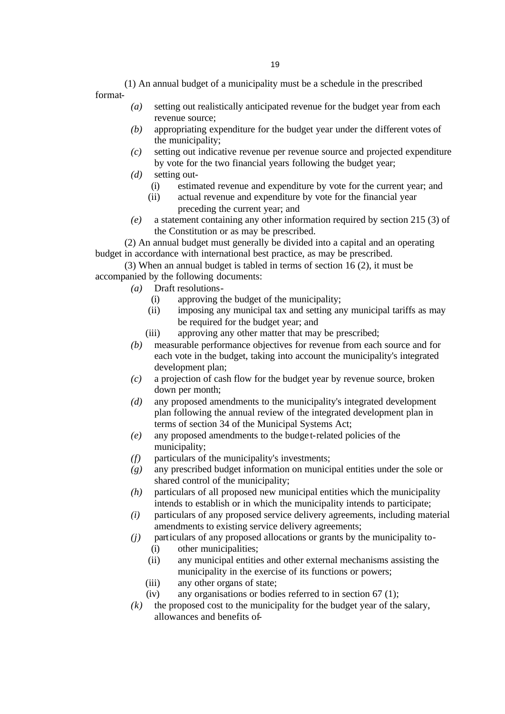(1) An annual budget of a municipality must be a schedule in the prescribed format-

- *(a)* setting out realistically anticipated revenue for the budget year from each revenue source;
- *(b)* appropriating expenditure for the budget year under the different votes of the municipality;
- *(c)* setting out indicative revenue per revenue source and projected expenditure by vote for the two financial years following the budget year;
- *(d)* setting out-
	- (i) estimated revenue and expenditure by vote for the current year; and
	- (ii) actual revenue and expenditure by vote for the financial year preceding the current year; and
- *(e)* a statement containing any other information required by section 215 (3) of the Constitution or as may be prescribed.

(2) An annual budget must generally be divided into a capital and an operating budget in accordance with international best practice, as may be prescribed.

(3) When an annual budget is tabled in terms of section 16 (2), it must be accompanied by the following documents:

- *(a)* Draft resolutions-
	- (i) approving the budget of the municipality;
	- (ii) imposing any municipal tax and setting any municipal tariffs as may be required for the budget year; and
	- (iii) approving any other matter that may be prescribed;
- *(b)* measurable performance objectives for revenue from each source and for each vote in the budget, taking into account the municipality's integrated development plan;
- *(c)* a projection of cash flow for the budget year by revenue source, broken down per month;
- *(d)* any proposed amendments to the municipality's integrated development plan following the annual review of the integrated development plan in terms of section 34 of the Municipal Systems Act;
- *(e)* any proposed amendments to the budge t-related policies of the municipality;
- *(f)* particulars of the municipality's investments;
- *(g)* any prescribed budget information on municipal entities under the sole or shared control of the municipality;
- *(h)* particulars of all proposed new municipal entities which the municipality intends to establish or in which the municipality intends to participate;
- *(i)* particulars of any proposed service delivery agreements, including material amendments to existing service delivery agreements;
- *(j)* particulars of any proposed allocations or grants by the municipality to- (i) other municipalities;
	- (ii) any municipal entities and other external mechanisms assisting the municipality in the exercise of its functions or powers;
	- (iii) any other organs of state;
	- (iv) any organisations or bodies referred to in section 67 (1);
- *(k)* the proposed cost to the municipality for the budget year of the salary, allowances and benefits of-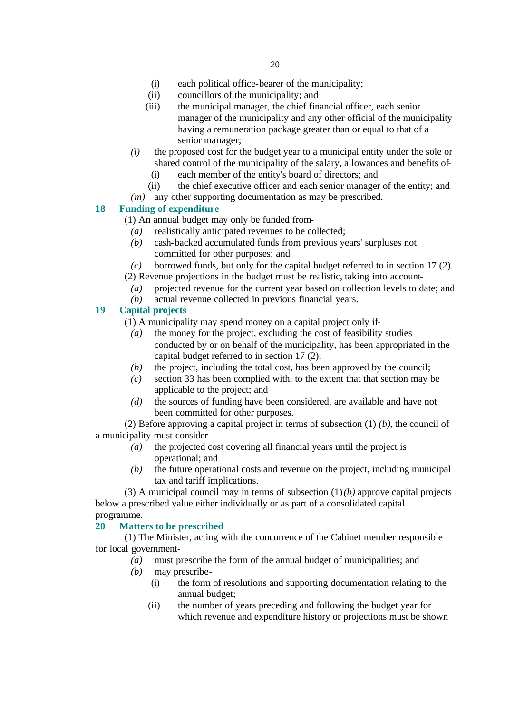- (i) each political office-bearer of the municipality;
- (ii) councillors of the municipality; and
- (iii) the municipal manager, the chief financial officer, each senior manager of the municipality and any other official of the municipality having a remuneration package greater than or equal to that of a senior manager;
- *(l)* the proposed cost for the budget year to a municipal entity under the sole or shared control of the municipality of the salary, allowances and benefits of-
	- (i) each member of the entity's board of directors; and
	- (ii) the chief executive officer and each senior manager of the entity; and
- *(m)* any other supporting documentation as may be prescribed.

# **18 Funding of expenditure**

- (1) An annual budget may only be funded from-
	- *(a)* realistically anticipated revenues to be collected;
	- *(b)* cash-backed accumulated funds from previous years' surpluses not committed for other purposes; and
- *(c)* borrowed funds, but only for the capital budget referred to in section 17 (2). (2) Revenue projections in the budget must be realistic, taking into account-
- 
- *(a)* projected revenue for the current year based on collection levels to date; and *(b)* actual revenue collected in previous financial years.

## **19 Capital projects**

- (1) A municipality may spend money on a capital project only if-
- *(a)* the money for the project, excluding the cost of feasibility studies conducted by or on behalf of the municipality, has been appropriated in the capital budget referred to in section 17 (2);
- *(b)* the project, including the total cost, has been approved by the council;
- *(c)* section 33 has been complied with, to the extent that that section may be applicable to the project; and
- *(d)* the sources of funding have been considered, are available and have not been committed for other purposes.

(2) Before approving a capital project in terms of subsection (1) *(b)*, the council of a municipality must consider-

- *(a)* the projected cost covering all financial years until the project is operational; and
- *(b)* the future operational costs and revenue on the project, including municipal tax and tariff implications.

(3) A municipal council may in terms of subsection (1) *(b)* approve capital projects below a prescribed value either individually or as part of a consolidated capital programme.

## **20 Matters to be prescribed**

(1) The Minister, acting with the concurrence of the Cabinet member responsible for local government-

- *(a)* must prescribe the form of the annual budget of municipalities; and
- *(b)* may prescribe-
	- (i) the form of resolutions and supporting documentation relating to the annual budget;
	- (ii) the number of years preceding and following the budget year for which revenue and expenditure history or projections must be shown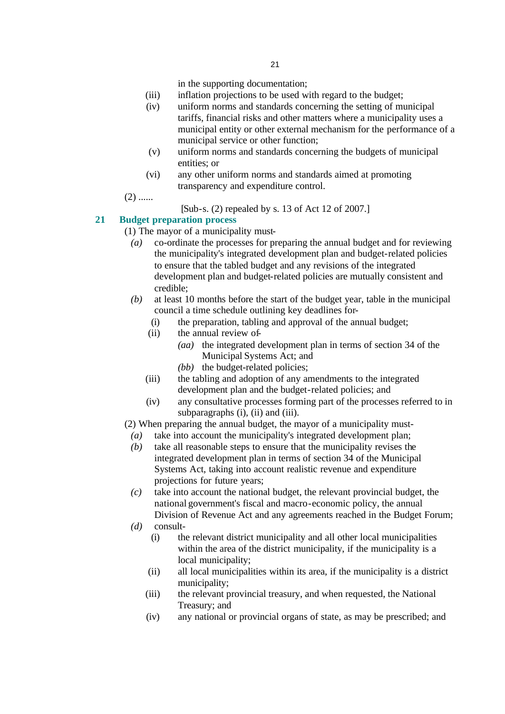in the supporting documentation;

- (iii) inflation projections to be used with regard to the budget;
- (iv) uniform norms and standards concerning the setting of municipal tariffs, financial risks and other matters where a municipality uses a municipal entity or other external mechanism for the performance of a municipal service or other function;
- (v) uniform norms and standards concerning the budgets of municipal entities; or
- (vi) any other uniform norms and standards aimed at promoting transparency and expenditure control.
- $(2)$  ......
- [Sub-s. (2) repealed by s. 13 of Act 12 of 2007.]

# **21 Budget preparation process**

- (1) The mayor of a municipality must-
	- *(a)* co-ordinate the processes for preparing the annual budget and for reviewing the municipality's integrated development plan and budget-related policies to ensure that the tabled budget and any revisions of the integrated development plan and budget-related policies are mutually consistent and credible;
	- *(b)* at least 10 months before the start of the budget year, table in the municipal council a time schedule outlining key deadlines for-
		- (i) the preparation, tabling and approval of the annual budget;
		- (ii) the annual review of-
			- *(aa)* the integrated development plan in terms of section 34 of the Municipal Systems Act; and
			- *(bb)* the budget-related policies;
		- (iii) the tabling and adoption of any amendments to the integrated development plan and the budget-related policies; and
		- (iv) any consultative processes forming part of the processes referred to in subparagraphs  $(i)$ ,  $(ii)$  and  $(iii)$ .
- (2) When preparing the annual budget, the mayor of a municipality must-
	- *(a)* take into account the municipality's integrated development plan;
	- *(b)* take all reasonable steps to ensure that the municipality revises the integrated development plan in terms of section 34 of the Municipal Systems Act, taking into account realistic revenue and expenditure projections for future years;
	- *(c)* take into account the national budget, the relevant provincial budget, the national government's fiscal and macro-economic policy, the annual Division of Revenue Act and any agreements reached in the Budget Forum;
	- *(d)* consult-
		- (i) the relevant district municipality and all other local municipalities within the area of the district municipality, if the municipality is a local municipality;
		- (ii) all local municipalities within its area, if the municipality is a district municipality;
		- (iii) the relevant provincial treasury, and when requested, the National Treasury; and
		- (iv) any national or provincial organs of state, as may be prescribed; and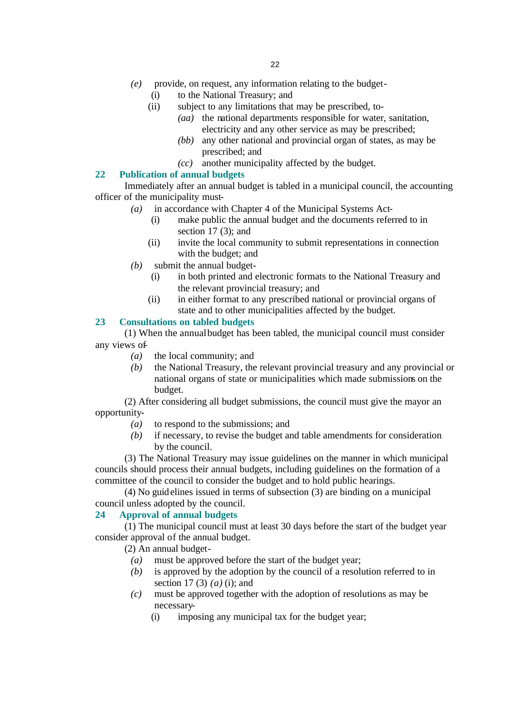- *(e)* provide, on request, any information relating to the budget-
	- (i) to the National Treasury; and
	- (ii) subject to any limitations that may be prescribed, to-
		- *(aa)* the national departments responsible for water, sanitation, electricity and any other service as may be prescribed;
		- *(bb)* any other national and provincial organ of states, as may be prescribed; and
		- *(cc)* another municipality affected by the budget.

## **22 Publication of annual budgets**

Immediately after an annual budget is tabled in a municipal council, the accounting officer of the municipality must-

- *(a)* in accordance with Chapter 4 of the Municipal Systems Act-
	- (i) make public the annual budget and the documents referred to in section  $17(3)$ ; and
	- (ii) invite the local community to submit representations in connection with the budget; and
- *(b)* submit the annual budget-
	- (i) in both printed and electronic formats to the National Treasury and the relevant provincial treasury; and
	- (ii) in either format to any prescribed national or provincial organs of state and to other municipalities affected by the budget.

## **23 Consultations on tabled budgets**

(1) When the annual budget has been tabled, the municipal council must consider any views of-

- *(a)* the local community; and
- *(b)* the National Treasury, the relevant provincial treasury and any provincial or national organs of state or municipalities which made submissions on the budget.

(2) After considering all budget submissions, the council must give the mayor an opportunity-

- *(a)* to respond to the submissions; and
- *(b)* if necessary, to revise the budget and table amendments for consideration by the council.

(3) The National Treasury may issue guidelines on the manner in which municipal councils should process their annual budgets, including guidelines on the formation of a committee of the council to consider the budget and to hold public hearings.

(4) No guidelines issued in terms of subsection (3) are binding on a municipal council unless adopted by the council.

## **24 Approval of annual budgets**

(1) The municipal council must at least 30 days before the start of the budget year consider approval of the annual budget.

(2) An annual budget-

- *(a)* must be approved before the start of the budget year;
- *(b)* is approved by the adoption by the council of a resolution referred to in section 17 (3) *(a)* (i); and
- *(c)* must be approved together with the adoption of resolutions as may be necessary-
	- (i) imposing any municipal tax for the budget year;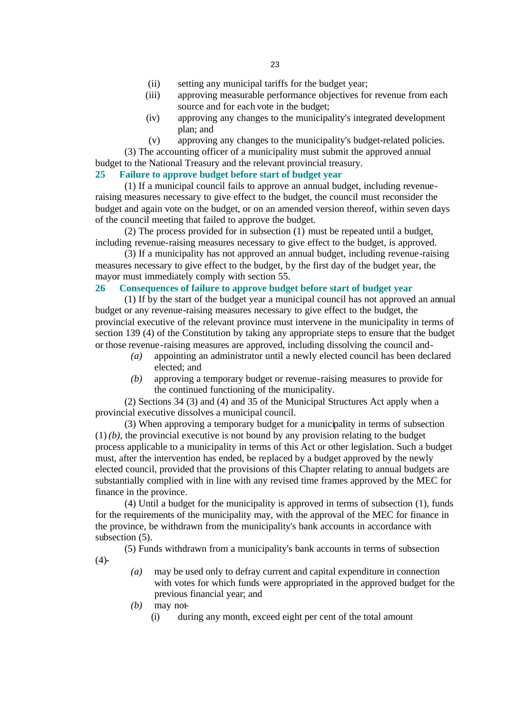- (ii) setting any municipal tariffs for the budget year;
- (iii) approving measurable performance objectives for revenue from each source and for each vote in the budget;
- (iv) approving any changes to the municipality's integrated development plan; and
- (v) approving any changes to the municipality's budget-related policies.

(3) The accounting officer of a municipality must submit the approved annual budget to the National Treasury and the relevant provincial treasury.

# **25 Failure to approve budget before start of budget year**

(1) If a municipal council fails to approve an annual budget, including revenueraising measures necessary to give effect to the budget, the council must reconsider the budget and again vote on the budget, or on an amended version thereof, within seven days of the council meeting that failed to approve the budget.

(2) The process provided for in subsection (1) must be repeated until a budget, including revenue-raising measures necessary to give effect to the budget, is approved.

(3) If a municipality has not approved an annual budget, including revenue-raising measures necessary to give effect to the budget, by the first day of the budget year, the mayor must immediately comply with section 55.

#### **26 Consequences of failure to approve budget before start of budget year**

(1) If by the start of the budget year a municipal council has not approved an annual budget or any revenue-raising measures necessary to give effect to the budget, the provincial executive of the relevant province must intervene in the municipality in terms of section 139 (4) of the Constitution by taking any appropriate steps to ensure that the budget or those revenue-raising measures are approved, including dissolving the council and-

- *(a)* appointing an administrator until a newly elected council has been declared elected; and
- *(b)* approving a temporary budget or revenue-raising measures to provide for the continued functioning of the municipality.

(2) Sections 34 (3) and (4) and 35 of the Municipal Structures Act apply when a provincial executive dissolves a municipal council.

(3) When approving a temporary budget for a municipality in terms of subsection  $(1)$  (b), the provincial executive is not bound by any provision relating to the budget process applicable to a municipality in terms of this Act or other legislation. Such a budget must, after the intervention has ended, be replaced by a budget approved by the newly elected council, provided that the provisions of this Chapter relating to annual budgets are substantially complied with in line with any revised time frames approved by the MEC for finance in the province.

(4) Until a budget for the municipality is approved in terms of subsection (1), funds for the requirements of the municipality may, with the approval of the MEC for finance in the province, be withdrawn from the municipality's bank accounts in accordance with subsection (5).

(5) Funds withdrawn from a municipality's bank accounts in terms of subsection  $(4)$ -

- *(a)* may be used only to defray current and capital expenditure in connection with votes for which funds were appropriated in the approved budget for the previous financial year; and
- *(b)* may not-
	- (i) during any month, exceed eight per cent of the total amount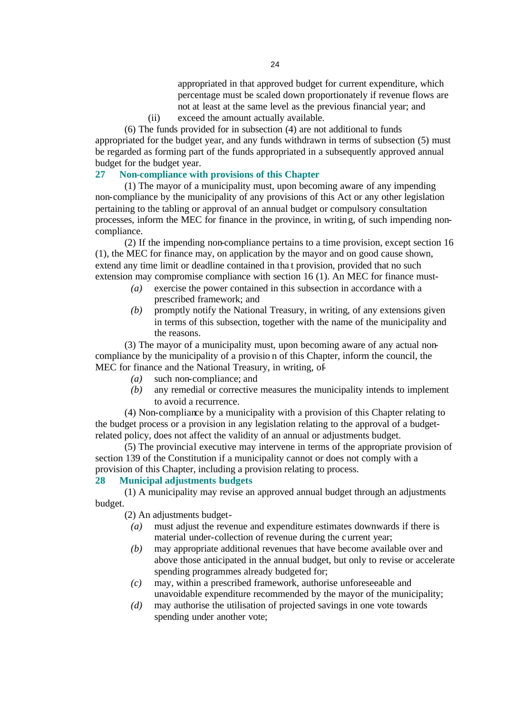appropriated in that approved budget for current expenditure, which percentage must be scaled down proportionately if revenue flows are not at least at the same level as the previous financial year; and

(ii) exceed the amount actually available.

(6) The funds provided for in subsection (4) are not additional to funds appropriated for the budget year, and any funds withdrawn in terms of subsection (5) must be regarded as forming part of the funds appropriated in a subsequently approved annual budget for the budget year.

## **27 Non-compliance with provisions of this Chapter**

(1) The mayor of a municipality must, upon becoming aware of any impending non-compliance by the municipality of any provisions of this Act or any other legislation pertaining to the tabling or approval of an annual budget or compulsory consultation processes, inform the MEC for finance in the province, in writing, of such impending noncompliance.

(2) If the impending non-compliance pertains to a time provision, except section 16 (1), the MEC for finance may, on application by the mayor and on good cause shown, extend any time limit or deadline contained in tha t provision, provided that no such extension may compromise compliance with section 16 (1). An MEC for finance must-

- *(a)* exercise the power contained in this subsection in accordance with a prescribed framework; and
- *(b)* promptly notify the National Treasury, in writing, of any extensions given in terms of this subsection, together with the name of the municipality and the reasons.

(3) The mayor of a municipality must, upon becoming aware of any actual noncompliance by the municipality of a provisio n of this Chapter, inform the council, the MEC for finance and the National Treasury, in writing, of-

- *(a)* such non-compliance; and
- *(b)* any remedial or corrective measures the municipality intends to implement to avoid a recurrence.

(4) Non-compliance by a municipality with a provision of this Chapter relating to the budget process or a provision in any legislation relating to the approval of a budgetrelated policy, does not affect the validity of an annual or adjustments budget.

(5) The provincial executive may intervene in terms of the appropriate provision of section 139 of the Constitution if a municipality cannot or does not comply with a provision of this Chapter, including a provision relating to process.

## **28 Municipal adjustments budgets**

(1) A municipality may revise an approved annual budget through an adjustments budget.

(2) An adjustments budget-

- *(a)* must adjust the revenue and expenditure estimates downwards if there is material under-collection of revenue during the current year;
- *(b)* may appropriate additional revenues that have become available over and above those anticipated in the annual budget, but only to revise or accelerate spending programmes already budgeted for;
- *(c)* may, within a prescribed framework, authorise unforeseeable and unavoidable expenditure recommended by the mayor of the municipality;
- *(d)* may authorise the utilisation of projected savings in one vote towards spending under another vote;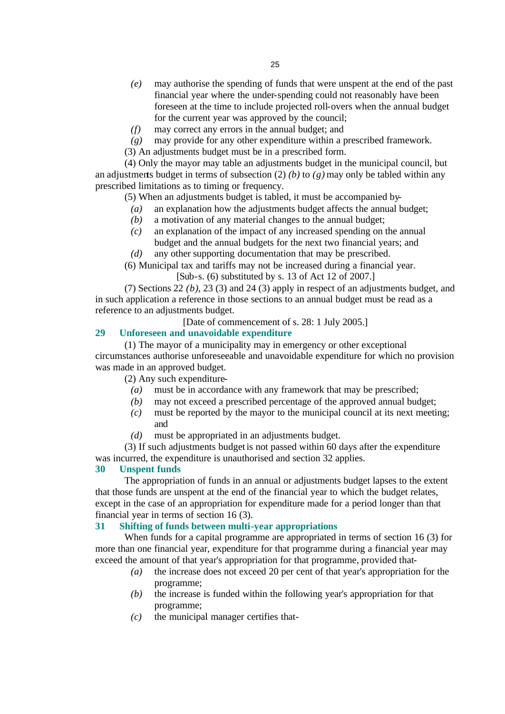- *(e)* may authorise the spending of funds that were unspent at the end of the past financial year where the under-spending could not reasonably have been foreseen at the time to include projected roll-overs when the annual budget for the current year was approved by the council;
- *(f)* may correct any errors in the annual budget; and
- *(g)* may provide for any other expenditure within a prescribed framework.
- (3) An adjustments budget must be in a prescribed form.

(4) Only the mayor may table an adjustments budget in the municipal council, but an adjustments budget in terms of subsection (2) *(b)* to *(g)* may only be tabled within any prescribed limitations as to timing or frequency.

(5) When an adjustments budget is tabled, it must be accompanied by-

- *(a)* an explanation how the adjustments budget affects the annual budget;
- *(b)* a motivation of any material changes to the annual budget;
- *(c)* an explanation of the impact of any increased spending on the annual budget and the annual budgets for the next two financial years; and
- *(d)* any other supporting documentation that may be prescribed.

(6) Municipal tax and tariffs may not be increased during a financial year.

[Sub-s. (6) substituted by s. 13 of Act 12 of 2007.]

(7) Sections 22 *(b)*, 23 (3) and 24 (3) apply in respect of an adjustments budget, and in such application a reference in those sections to an annual budget must be read as a reference to an adjustments budget.

[Date of commencement of s. 28: 1 July 2005.]

## **29 Unforeseen and unavoidable expenditure**

(1) The mayor of a municipality may in emergency or other exceptional circumstances authorise unforeseeable and unavoidable expenditure for which no provision was made in an approved budget.

(2) Any such expenditure-

- *(a)* must be in accordance with any framework that may be prescribed;
- *(b)* may not exceed a prescribed percentage of the approved annual budget;
- *(c)* must be reported by the mayor to the municipal council at its next meeting; and
- *(d)* must be appropriated in an adjustments budget.

(3) If such adjustments budget is not passed within 60 days after the expenditure was incurred, the expenditure is unauthorised and section 32 applies.

## **30 Unspent funds**

The appropriation of funds in an annual or adjustments budget lapses to the extent that those funds are unspent at the end of the financial year to which the budget relates, except in the case of an appropriation for expenditure made for a period longer than that financial year in terms of section 16 (3).

## **31 Shifting of funds between multi-year appropriations**

When funds for a capital programme are appropriated in terms of section 16 (3) for more than one financial year, expenditure for that programme during a financial year may exceed the amount of that year's appropriation for that programme, provided that-

- *(a)* the increase does not exceed 20 per cent of that year's appropriation for the programme;
- *(b)* the increase is funded within the following year's appropriation for that programme;
- *(c)* the municipal manager certifies that-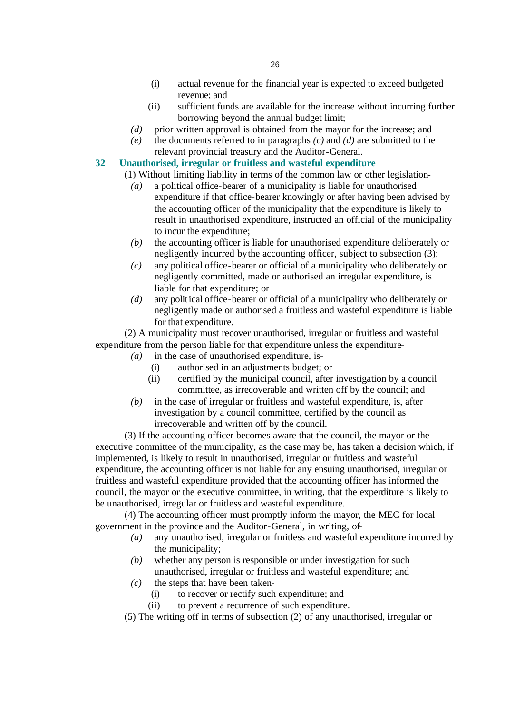- (i) actual revenue for the financial year is expected to exceed budgeted revenue; and
- (ii) sufficient funds are available for the increase without incurring further borrowing beyond the annual budget limit;
- *(d)* prior written approval is obtained from the mayor for the increase; and
- *(e)* the documents referred to in paragraphs *(c)* and *(d)* are submitted to the relevant provincial treasury and the Auditor-General.
- **32 Unauthorised, irregular or fruitless and wasteful expenditure**
	- (1) Without limiting liability in terms of the common law or other legislation-
		- *(a)* a political office-bearer of a municipality is liable for unauthorised expenditure if that office-bearer knowingly or after having been advised by the accounting officer of the municipality that the expenditure is likely to result in unauthorised expenditure, instructed an official of the municipality to incur the expenditure;
		- *(b)* the accounting officer is liable for unauthorised expenditure deliberately or negligently incurred by the accounting officer, subject to subsection (3);
		- *(c)* any political office-bearer or official of a municipality who deliberately or negligently committed, made or authorised an irregular expenditure, is liable for that expenditure; or
		- *(d)* any political office-bearer or official of a municipality who deliberately or negligently made or authorised a fruitless and wasteful expenditure is liable for that expenditure.

(2) A municipality must recover unauthorised, irregular or fruitless and wasteful expenditure from the person liable for that expenditure unless the expenditure-

- *(a)* in the case of unauthorised expenditure, is-
	- (i) authorised in an adjustments budget; or
	- (ii) certified by the municipal council, after investigation by a council committee, as irrecoverable and written off by the council; and
- *(b)* in the case of irregular or fruitless and wasteful expenditure, is, after investigation by a council committee, certified by the council as irrecoverable and written off by the council.

(3) If the accounting officer becomes aware that the council, the mayor or the executive committee of the municipality, as the case may be, has taken a decision which, if implemented, is likely to result in unauthorised, irregular or fruitless and wasteful expenditure, the accounting officer is not liable for any ensuing unauthorised, irregular or fruitless and wasteful expenditure provided that the accounting officer has informed the council, the mayor or the executive committee, in writing, that the expenditure is likely to be unauthorised, irregular or fruitless and wasteful expenditure.

(4) The accounting officer must promptly inform the mayor, the MEC for local government in the province and the Auditor-General, in writing, of-

- *(a)* any unauthorised, irregular or fruitless and wasteful expenditure incurred by the municipality;
- *(b)* whether any person is responsible or under investigation for such unauthorised, irregular or fruitless and wasteful expenditure; and
- *(c)* the steps that have been taken-
	- (i) to recover or rectify such expenditure; and
	- (ii) to prevent a recurrence of such expenditure.
- (5) The writing off in terms of subsection (2) of any unauthorised, irregular or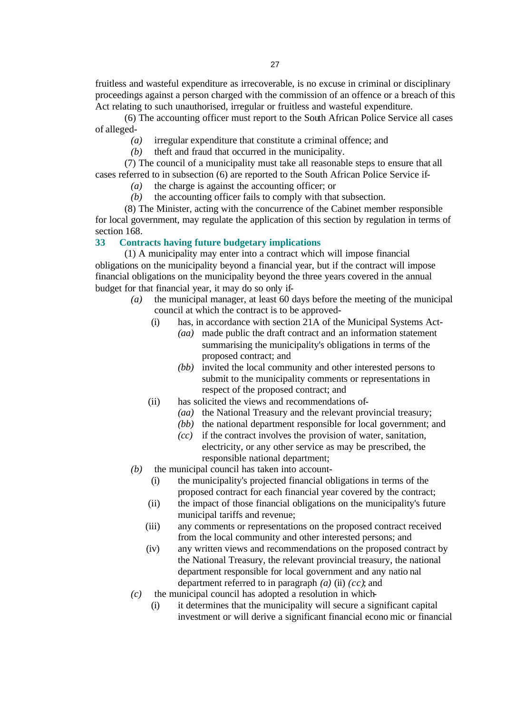fruitless and wasteful expenditure as irrecoverable, is no excuse in criminal or disciplinary proceedings against a person charged with the commission of an offence or a breach of this Act relating to such unauthorised, irregular or fruitless and wasteful expenditure.

(6) The accounting officer must report to the South African Police Service all cases of alleged-

- *(a)* irregular expenditure that constitute a criminal offence; and
- *(b)* theft and fraud that occurred in the municipality.

(7) The council of a municipality must take all reasonable steps to ensure that all cases referred to in subsection (6) are reported to the South African Police Service if-

- *(a)* the charge is against the accounting officer; or
- *(b)* the accounting officer fails to comply with that subsection.

(8) The Minister, acting with the concurrence of the Cabinet member responsible for local government, may regulate the application of this section by regulation in terms of section 168.

## **33 Contracts having future budgetary implications**

(1) A municipality may enter into a contract which will impose financial obligations on the municipality beyond a financial year, but if the contract will impose financial obligations on the municipality beyond the three years covered in the annual budget for that financial year, it may do so only if-

- *(a)* the municipal manager, at least 60 days before the meeting of the municipal council at which the contract is to be approved-
	- (i) has, in accordance with section 21A of the Municipal Systems Act-
		- *(aa)* made public the draft contract and an information statement summarising the municipality's obligations in terms of the proposed contract; and
		- *(bb)* invited the local community and other interested persons to submit to the municipality comments or representations in respect of the proposed contract; and
	- (ii) has solicited the views and recommendations of-
		- *(aa)* the National Treasury and the relevant provincial treasury;
		- *(bb)* the national department responsible for local government; and
		- *(cc)* if the contract involves the provision of water, sanitation, electricity, or any other service as may be prescribed, the responsible national department;
- *(b)* the municipal council has taken into account-
	- (i) the municipality's projected financial obligations in terms of the proposed contract for each financial year covered by the contract;
	- (ii) the impact of those financial obligations on the municipality's future municipal tariffs and revenue;
	- (iii) any comments or representations on the proposed contract received from the local community and other interested persons; and
	- (iv) any written views and recommendations on the proposed contract by the National Treasury, the relevant provincial treasury, the national department responsible for local government and any natio nal department referred to in paragraph *(a)* (ii) *(cc)*; and
- *(c)* the municipal council has adopted a resolution in which-
	- (i) it determines that the municipality will secure a significant capital investment or will derive a significant financial econo mic or financial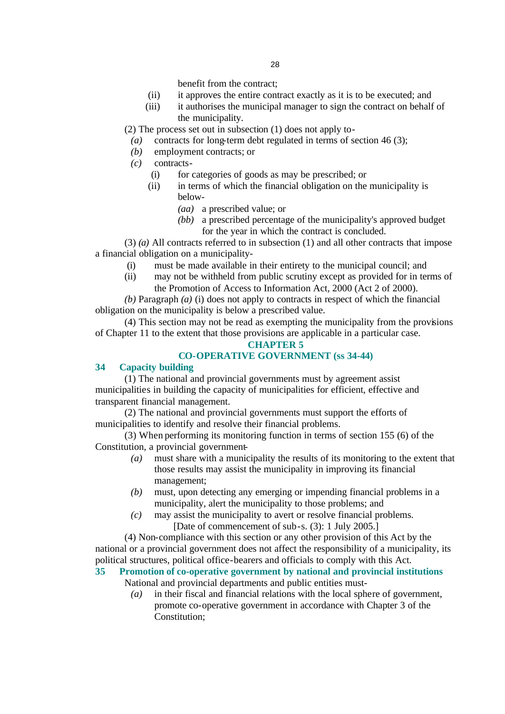benefit from the contract;

- (ii) it approves the entire contract exactly as it is to be executed; and
- (iii) it authorises the municipal manager to sign the contract on behalf of the municipality.

(2) The process set out in subsection (1) does not apply to-

- *(a)* contracts for long-term debt regulated in terms of section 46 (3);
- *(b)* employment contracts; or
- *(c)* contracts-
	- (i) for categories of goods as may be prescribed; or
	- (ii) in terms of which the financial obligation on the municipality is below-
		- *(aa)* a prescribed value; or
		- *(bb)* a prescribed percentage of the municipality's approved budget for the year in which the contract is concluded.

(3) *(a)* All contracts referred to in subsection (1) and all other contracts that impose a financial obligation on a municipality-

- (i) must be made available in their entirety to the municipal council; and
- (ii) may not be withheld from public scrutiny except as provided for in terms of the Promotion of Access to Information Act, 2000 (Act 2 of 2000).

*(b)* Paragraph *(a)* (i) does not apply to contracts in respect of which the financial obligation on the municipality is below a prescribed value.

(4) This section may not be read as exempting the municipality from the provisions of Chapter 11 to the extent that those provisions are applicable in a particular case.

## **CHAPTER 5**

## **CO-OPERATIVE GOVERNMENT (ss 34-44)**

## **34 Capacity building**

(1) The national and provincial governments must by agreement assist municipalities in building the capacity of municipalities for efficient, effective and transparent financial management.

(2) The national and provincial governments must support the efforts of municipalities to identify and resolve their financial problems.

(3) When performing its monitoring function in terms of section 155 (6) of the Constitution, a provincial government-

- *(a)* must share with a municipality the results of its monitoring to the extent that those results may assist the municipality in improving its financial management;
- *(b)* must, upon detecting any emerging or impending financial problems in a municipality, alert the municipality to those problems; and
- *(c)* may assist the municipality to avert or resolve financial problems. [Date of commencement of sub-s. (3): 1 July 2005.]

(4) Non-compliance with this section or any other provision of this Act by the national or a provincial government does not affect the responsibility of a municipality, its political structures, political office-bearers and officials to comply with this Act.

## **35 Promotion of co-operative government by national and provincial institutions** National and provincial departments and public entities must-

*(a)* in their fiscal and financial relations with the local sphere of government, promote co-operative government in accordance with Chapter 3 of the Constitution;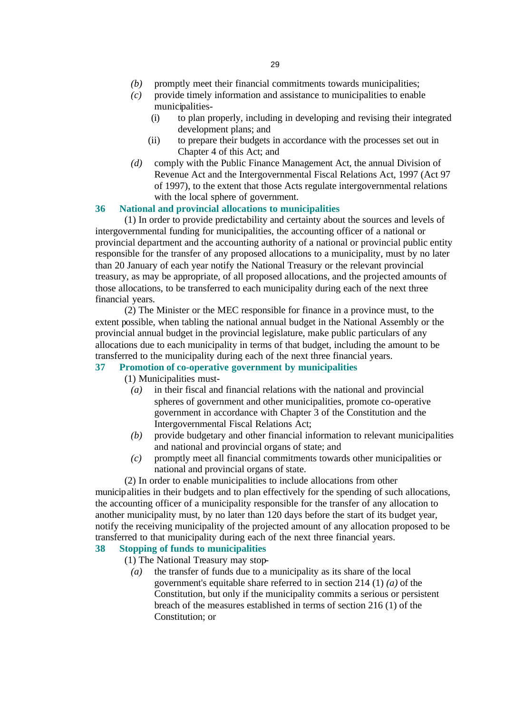- *(b)* promptly meet their financial commitments towards municipalities;
- *(c)* provide timely information and assistance to municipalities to enable municipalities-
	- (i) to plan properly, including in developing and revising their integrated development plans; and
	- (ii) to prepare their budgets in accordance with the processes set out in Chapter 4 of this Act; and
- *(d)* comply with the Public Finance Management Act, the annual Division of Revenue Act and the Intergovernmental Fiscal Relations Act, 1997 (Act 97 of 1997), to the extent that those Acts regulate intergovernmental relations with the local sphere of government.

## **36 National and provincial allocations to municipalities**

(1) In order to provide predictability and certainty about the sources and levels of intergovernmental funding for municipalities, the accounting officer of a national or provincial department and the accounting authority of a national or provincial public entity responsible for the transfer of any proposed allocations to a municipality, must by no later than 20 January of each year notify the National Treasury or the relevant provincial treasury, as may be appropriate, of all proposed allocations, and the projected amounts of those allocations, to be transferred to each municipality during each of the next three financial years.

(2) The Minister or the MEC responsible for finance in a province must, to the extent possible, when tabling the national annual budget in the National Assembly or the provincial annual budget in the provincial legislature, make public particulars of any allocations due to each municipality in terms of that budget, including the amount to be transferred to the municipality during each of the next three financial years.

# **37 Promotion of co-operative government by municipalities**

(1) Municipalities must-

- *(a)* in their fiscal and financial relations with the national and provincial spheres of government and other municipalities, promote co-operative government in accordance with Chapter 3 of the Constitution and the Intergovernmental Fiscal Relations Act;
- *(b)* provide budgetary and other financial information to relevant municipalities and national and provincial organs of state; and
- *(c)* promptly meet all financial commitments towards other municipalities or national and provincial organs of state.

(2) In order to enable municipalities to include allocations from other

municipalities in their budgets and to plan effectively for the spending of such allocations, the accounting officer of a municipality responsible for the transfer of any allocation to another municipality must, by no later than 120 days before the start of its budget year, notify the receiving municipality of the projected amount of any allocation proposed to be transferred to that municipality during each of the next three financial years.

# **38 Stopping of funds to municipalities**

- (1) The National Treasury may stop-
	- *(a)* the transfer of funds due to a municipality as its share of the local government's equitable share referred to in section 214 (1) *(a)* of the Constitution, but only if the municipality commits a serious or persistent breach of the measures established in terms of section 216 (1) of the Constitution; or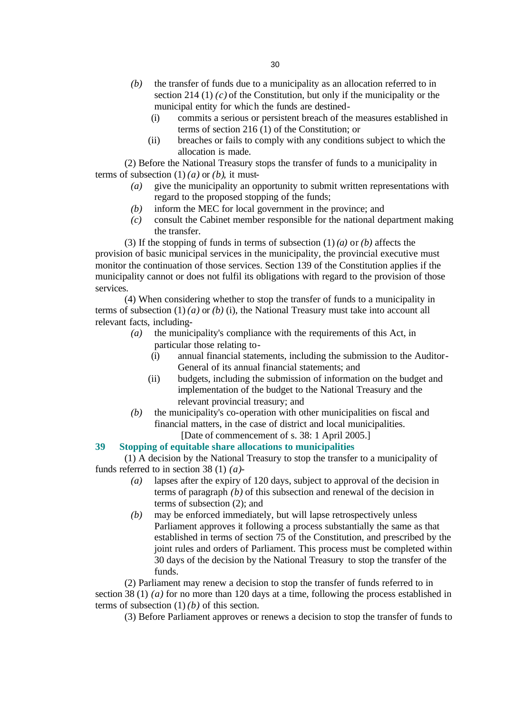- *(b)* the transfer of funds due to a municipality as an allocation referred to in section 214 (1) *(c)* of the Constitution, but only if the municipality or the municipal entity for which the funds are destined-
	- (i) commits a serious or persistent breach of the measures established in terms of section 216 (1) of the Constitution; or
	- (ii) breaches or fails to comply with any conditions subject to which the allocation is made.

(2) Before the National Treasury stops the transfer of funds to a municipality in terms of subsection  $(1)$  *(a)* or *(b)*, it must-

- *(a)* give the municipality an opportunity to submit written representations with regard to the proposed stopping of the funds;
- *(b)* inform the MEC for local government in the province; and
- *(c)* consult the Cabinet member responsible for the national department making the transfer.

(3) If the stopping of funds in terms of subsection (1) *(a)* or *(b)* affects the provision of basic municipal services in the municipality, the provincial executive must monitor the continuation of those services. Section 139 of the Constitution applies if the municipality cannot or does not fulfil its obligations with regard to the provision of those services.

(4) When considering whether to stop the transfer of funds to a municipality in terms of subsection  $(1)$  (*a*) or (*b*) (i), the National Treasury must take into account all relevant facts, including-

- *(a)* the municipality's compliance with the requirements of this Act, in particular those relating to-
	- (i) annual financial statements, including the submission to the Auditor-General of its annual financial statements; and
	- (ii) budgets, including the submission of information on the budget and implementation of the budget to the National Treasury and the relevant provincial treasury; and
- *(b)* the municipality's co-operation with other municipalities on fiscal and financial matters, in the case of district and local municipalities. [Date of commencement of s. 38: 1 April 2005.]

## **39 Stopping of equitable share allocations to municipalities**

(1) A decision by the National Treasury to stop the transfer to a municipality of funds referred to in section 38 (1) *(a)*-

- *(a)* lapses after the expiry of 120 days, subject to approval of the decision in terms of paragraph *(b)* of this subsection and renewal of the decision in terms of subsection (2); and
- *(b)* may be enforced immediately, but will lapse retrospectively unless Parliament approves it following a process substantially the same as that established in terms of section 75 of the Constitution, and prescribed by the joint rules and orders of Parliament. This process must be completed within 30 days of the decision by the National Treasury to stop the transfer of the funds.

(2) Parliament may renew a decision to stop the transfer of funds referred to in section 38 (1) *(a)* for no more than 120 days at a time, following the process established in terms of subsection  $(1)$ *(b)* of this section.

(3) Before Parliament approves or renews a decision to stop the transfer of funds to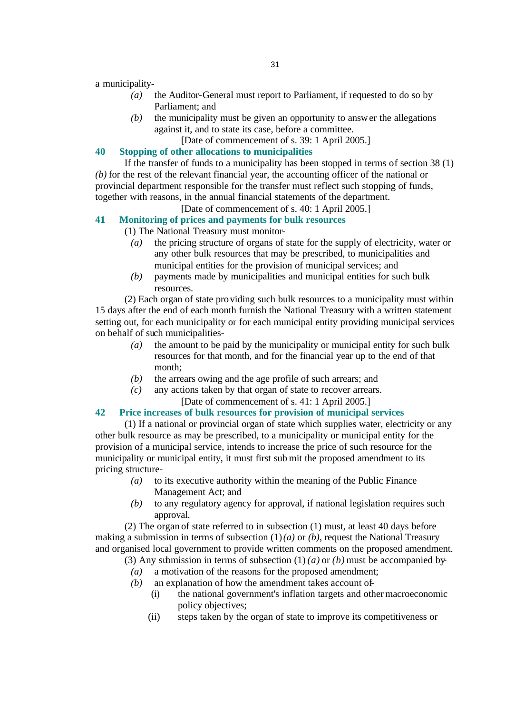a municipality-

- *(a)* the Auditor-General must report to Parliament, if requested to do so by Parliament; and
- *(b)* the municipality must be given an opportunity to answer the allegations against it, and to state its case, before a committee.

[Date of commencement of s. 39: 1 April 2005.]

## **40 Stopping of other allocations to municipalities**

If the transfer of funds to a municipality has been stopped in terms of section 38 (1) *(b)* for the rest of the relevant financial year, the accounting officer of the national or provincial department responsible for the transfer must reflect such stopping of funds, together with reasons, in the annual financial statements of the department.

# [Date of commencement of s. 40: 1 April 2005.]

**41 Monitoring of prices and payments for bulk resources**

(1) The National Treasury must monitor-

- *(a)* the pricing structure of organs of state for the supply of electricity, water or any other bulk resources that may be prescribed, to municipalities and municipal entities for the provision of municipal services; and
- *(b)* payments made by municipalities and municipal entities for such bulk resources.

(2) Each organ of state providing such bulk resources to a municipality must within 15 days after the end of each month furnish the National Treasury with a written statement setting out, for each municipality or for each municipal entity providing municipal services on behalf of such municipalities-

- *(a)* the amount to be paid by the municipality or municipal entity for such bulk resources for that month, and for the financial year up to the end of that month;
- *(b)* the arrears owing and the age profile of such arrears; and
- *(c)* any actions taken by that organ of state to recover arrears. [Date of commencement of s. 41: 1 April 2005.]

## **42 Price increases of bulk resources for provision of municipal services**

(1) If a national or provincial organ of state which supplies water, electricity or any other bulk resource as may be prescribed, to a municipality or municipal entity for the provision of a municipal service, intends to increase the price of such resource for the municipality or municipal entity, it must first sub mit the proposed amendment to its pricing structure-

- *(a)* to its executive authority within the meaning of the Public Finance Management Act; and
- *(b)* to any regulatory agency for approval, if national legislation requires such approval.

(2) The organ of state referred to in subsection (1) must, at least 40 days before making a submission in terms of subsection  $(1)(a)$  or  $(b)$ , request the National Treasury and organised local government to provide written comments on the proposed amendment.

- (3) Any submission in terms of subsection (1) *(a)* or *(b)* must be accompanied by-
	- *(a)* a motivation of the reasons for the proposed amendment;
	- *(b)* an explanation of how the amendment takes account of-
		- (i) the national government's inflation targets and other macroeconomic policy objectives;
		- (ii) steps taken by the organ of state to improve its competitiveness or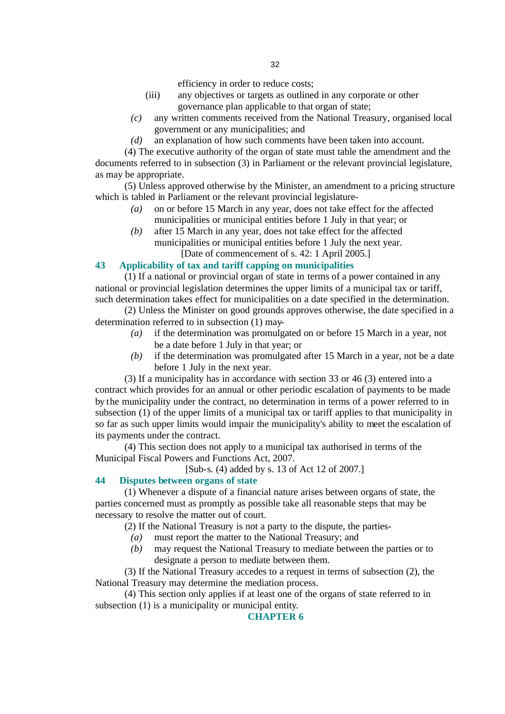efficiency in order to reduce costs;

- (iii) any objectives or targets as outlined in any corporate or other governance plan applicable to that organ of state;
- *(c)* any written comments received from the National Treasury, organised local government or any municipalities; and
- *(d)* an explanation of how such comments have been taken into account.

(4) The executive authority of the organ of state must table the amendment and the documents referred to in subsection (3) in Parliament or the relevant provincial legislature, as may be appropriate.

(5) Unless approved otherwise by the Minister, an amendment to a pricing structure which is tabled in Parliament or the relevant provincial legislature-

- *(a)* on or before 15 March in any year, does not take effect for the affected municipalities or municipal entities before 1 July in that year; or
- *(b)* after 15 March in any year, does not take effect for the affected municipalities or municipal entities before 1 July the next year.

[Date of commencement of s. 42: 1 April 2005.]

## **43 Applicability of tax and tariff capping on municipalities**

(1) If a national or provincial organ of state in terms of a power contained in any national or provincial legislation determines the upper limits of a municipal tax or tariff, such determination takes effect for municipalities on a date specified in the determination.

(2) Unless the Minister on good grounds approves otherwise, the date specified in a determination referred to in subsection (1) may-

- *(a)* if the determination was promulgated on or before 15 March in a year, not be a date before 1 July in that year; or
- *(b)* if the determination was promulgated after 15 March in a year, not be a date before 1 July in the next year.

(3) If a municipality has in accordance with section 33 or 46 (3) entered into a contract which provides for an annual or other periodic escalation of payments to be made by the municipality under the contract, no determination in terms of a power referred to in subsection (1) of the upper limits of a municipal tax or tariff applies to that municipality in so far as such upper limits would impair the municipality's ability to meet the escalation of its payments under the contract.

(4) This section does not apply to a municipal tax authorised in terms of the Municipal Fiscal Powers and Functions Act, 2007.

[Sub-s. (4) added by s. 13 of Act 12 of 2007.]

## **44 Disputes between organs of state**

(1) Whenever a dispute of a financial nature arises between organs of state, the parties concerned must as promptly as possible take all reasonable steps that may be necessary to resolve the matter out of court.

(2) If the National Treasury is not a party to the dispute, the parties-

- *(a)* must report the matter to the National Treasury; and
- *(b)* may request the National Treasury to mediate between the parties or to designate a person to mediate between them.

(3) If the National Treasury accedes to a request in terms of subsection (2), the National Treasury may determine the mediation process.

(4) This section only applies if at least one of the organs of state referred to in subsection (1) is a municipality or municipal entity.

## **CHAPTER 6**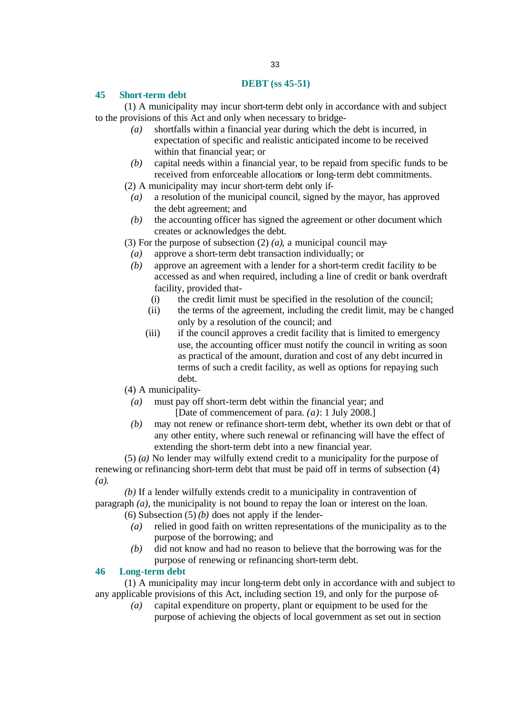## **DEBT (ss 45-51)**

## **45 Short-term debt**

(1) A municipality may incur short-term debt only in accordance with and subject to the provisions of this Act and only when necessary to bridge-

- *(a)* shortfalls within a financial year during which the debt is incurred, in expectation of specific and realistic anticipated income to be received within that financial year; or
- *(b)* capital needs within a financial year, to be repaid from specific funds to be received from enforceable allocations or long-term debt commitments.
- (2) A municipality may incur short-term debt only if-
	- *(a)* a resolution of the municipal council, signed by the mayor, has approved the debt agreement; and
	- *(b)* the accounting officer has signed the agreement or other document which creates or acknowledges the debt.

(3) For the purpose of subsection (2) *(a)*, a municipal council may-

- *(a)* approve a short-term debt transaction individually; or
- *(b)* approve an agreement with a lender for a short-term credit facility to be accessed as and when required, including a line of credit or bank overdraft facility, provided that-
	- (i) the credit limit must be specified in the resolution of the council;
	- (ii) the terms of the agreement, including the credit limit, may be changed only by a resolution of the council; and
	- (iii) if the council approves a credit facility that is limited to emergency use, the accounting officer must notify the council in writing as soon as practical of the amount, duration and cost of any debt incurred in terms of such a credit facility, as well as options for repaying such debt.

(4) A municipality-

- *(a)* must pay off short-term debt within the financial year; and [Date of commencement of para. *(a)*: 1 July 2008.]
- *(b)* may not renew or refinance short-term debt, whether its own debt or that of any other entity, where such renewal or refinancing will have the effect of extending the short-term debt into a new financial year.

(5) *(a)* No lender may wilfully extend credit to a municipality for the purpose of renewing or refinancing short-term debt that must be paid off in terms of subsection (4) *(a)*.

*(b)* If a lender wilfully extends credit to a municipality in contravention of paragraph *(a)*, the municipality is not bound to repay the loan or interest on the loan.

- (6) Subsection (5) *(b)* does not apply if the lender-
	- *(a)* relied in good faith on written representations of the municipality as to the purpose of the borrowing; and
	- *(b)* did not know and had no reason to believe that the borrowing was for the purpose of renewing or refinancing short-term debt.

## **46 Long-term debt**

(1) A municipality may incur long-term debt only in accordance with and subject to any applicable provisions of this Act, including section 19, and only for the purpose of-

*(a)* capital expenditure on property, plant or equipment to be used for the purpose of achieving the objects of local government as set out in section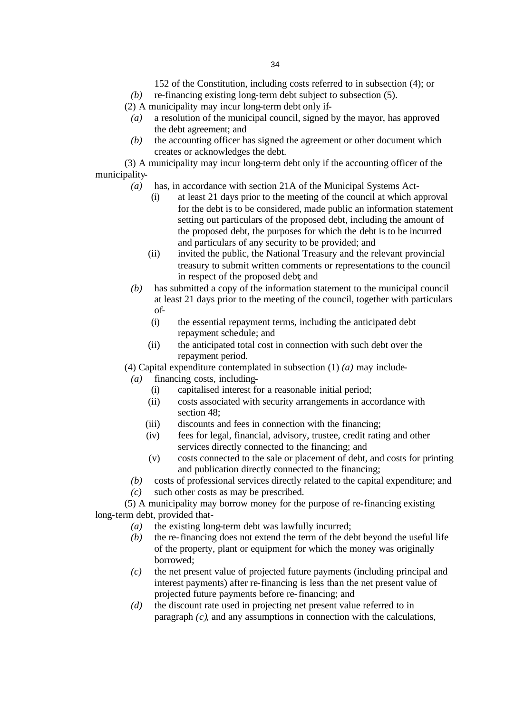- 152 of the Constitution, including costs referred to in subsection (4); or
- *(b)* re-financing existing long-term debt subject to subsection (5).
- (2) A municipality may incur long-term debt only if-
- *(a)* a resolution of the municipal council, signed by the mayor, has approved the debt agreement; and
- *(b)* the accounting officer has signed the agreement or other document which creates or acknowledges the debt.

(3) A municipality may incur long-term debt only if the accounting officer of the municipality-

- *(a)* has, in accordance with section 21A of the Municipal Systems Act-
	- (i) at least 21 days prior to the meeting of the council at which approval for the debt is to be considered, made public an information statement setting out particulars of the proposed debt, including the amount of the proposed debt, the purposes for which the debt is to be incurred and particulars of any security to be provided; and
	- (ii) invited the public, the National Treasury and the relevant provincial treasury to submit written comments or representations to the council in respect of the proposed debt; and
- *(b)* has submitted a copy of the information statement to the municipal council at least 21 days prior to the meeting of the council, together with particulars of-
	- (i) the essential repayment terms, including the anticipated debt repayment schedule; and
	- (ii) the anticipated total cost in connection with such debt over the repayment period.

# (4) Capital expenditure contemplated in subsection (1) *(a)* may include-

- *(a)* financing costs, including-
	- (i) capitalised interest for a reasonable initial period;
	- (ii) costs associated with security arrangements in accordance with section 48;
	- (iii) discounts and fees in connection with the financing;
	- (iv) fees for legal, financial, advisory, trustee, credit rating and other services directly connected to the financing; and
	- (v) costs connected to the sale or placement of debt, and costs for printing and publication directly connected to the financing;
- *(b)* costs of professional services directly related to the capital expenditure; and
- *(c)* such other costs as may be prescribed.

(5) A municipality may borrow money for the purpose of re-financing existing long-term debt, provided that-

- *(a)* the existing long-term debt was lawfully incurred;
- *(b)* the re-financing does not extend the term of the debt beyond the useful life of the property, plant or equipment for which the money was originally borrowed;
- *(c)* the net present value of projected future payments (including principal and interest payments) after re-financing is less than the net present value of projected future payments before re-financing; and
- *(d)* the discount rate used in projecting net present value referred to in paragraph *(c)*, and any assumptions in connection with the calculations,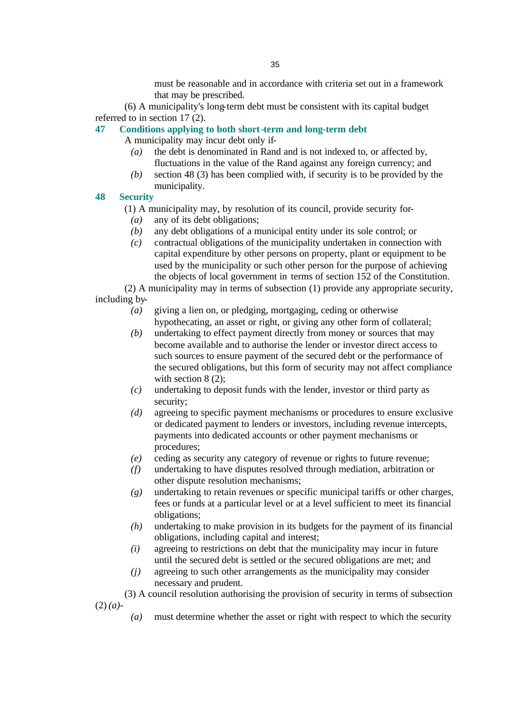must be reasonable and in accordance with criteria set out in a framework that may be prescribed.

(6) A municipality's long-term debt must be consistent with its capital budget referred to in section 17 (2).

## **47 Conditions applying to both short-term and long-term debt**

A municipality may incur debt only if-

- *(a)* the debt is denominated in Rand and is not indexed to, or affected by, fluctuations in the value of the Rand against any foreign currency; and
- *(b)* section 48 (3) has been complied with, if security is to be provided by the municipality.

## **48 Security**

(1) A municipality may, by resolution of its council, provide security for-

- *(a)* any of its debt obligations;
- *(b)* any debt obligations of a municipal entity under its sole control; or
- *(c)* contractual obligations of the municipality undertaken in connection with capital expenditure by other persons on property, plant or equipment to be used by the municipality or such other person for the purpose of achieving the objects of local government in terms of section 152 of the Constitution.

(2) A municipality may in terms of subsection (1) provide any appropriate security, including by-

- *(a)* giving a lien on, or pledging, mortgaging, ceding or otherwise hypothecating, an asset or right, or giving any other form of collateral;
- *(b)* undertaking to effect payment directly from money or sources that may become available and to authorise the lender or investor direct access to such sources to ensure payment of the secured debt or the performance of the secured obligations, but this form of security may not affect compliance with section 8 (2):
- *(c)* undertaking to deposit funds with the lender, investor or third party as security;
- *(d)* agreeing to specific payment mechanisms or procedures to ensure exclusive or dedicated payment to lenders or investors, including revenue intercepts, payments into dedicated accounts or other payment mechanisms or procedures;
- *(e)* ceding as security any category of revenue or rights to future revenue;
- *(f)* undertaking to have disputes resolved through mediation, arbitration or other dispute resolution mechanisms;
- *(g)* undertaking to retain revenues or specific municipal tariffs or other charges, fees or funds at a particular level or at a level sufficient to meet its financial obligations;
- *(h)* undertaking to make provision in its budgets for the payment of its financial obligations, including capital and interest;
- *(i)* agreeing to restrictions on debt that the municipality may incur in future until the secured debt is settled or the secured obligations are met; and
- *(j)* agreeing to such other arrangements as the municipality may consider necessary and prudent.

(3) A council resolution authorising the provision of security in terms of subsection (2) *(a)*-

*(a)* must determine whether the asset or right with respect to which the security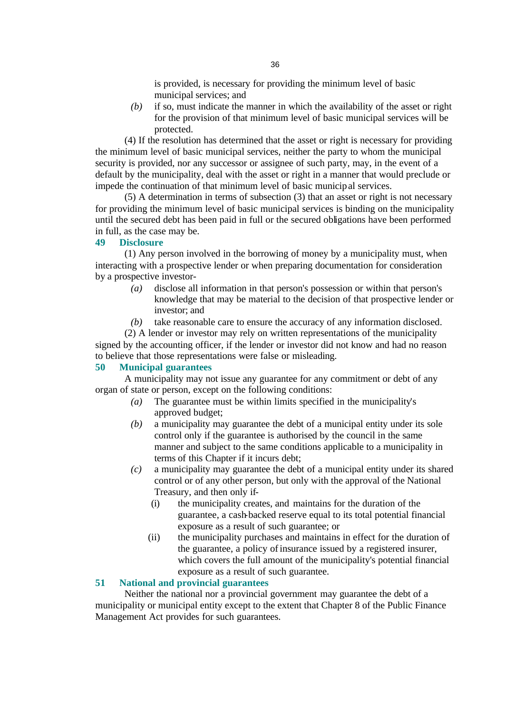is provided, is necessary for providing the minimum level of basic municipal services; and

*(b)* if so, must indicate the manner in which the availability of the asset or right for the provision of that minimum level of basic municipal services will be protected.

(4) If the resolution has determined that the asset or right is necessary for providing the minimum level of basic municipal services, neither the party to whom the municipal security is provided, nor any successor or assignee of such party, may, in the event of a default by the municipality, deal with the asset or right in a manner that would preclude or impede the continuation of that minimum level of basic municipal services.

(5) A determination in terms of subsection (3) that an asset or right is not necessary for providing the minimum level of basic municipal services is binding on the municipality until the secured debt has been paid in full or the secured obligations have been performed in full, as the case may be.

## **49 Disclosure**

(1) Any person involved in the borrowing of money by a municipality must, when interacting with a prospective lender or when preparing documentation for consideration by a prospective investor-

- *(a)* disclose all information in that person's possession or within that person's knowledge that may be material to the decision of that prospective lender or investor; and
- *(b)* take reasonable care to ensure the accuracy of any information disclosed.

(2) A lender or investor may rely on written representations of the municipality signed by the accounting officer, if the lender or investor did not know and had no reason to believe that those representations were false or misleading.

## **50 Municipal guarantees**

A municipality may not issue any guarantee for any commitment or debt of any organ of state or person, except on the following conditions:

- *(a)* The guarantee must be within limits specified in the municipality's approved budget;
- *(b)* a municipality may guarantee the debt of a municipal entity under its sole control only if the guarantee is authorised by the council in the same manner and subject to the same conditions applicable to a municipality in terms of this Chapter if it incurs debt;
- *(c)* a municipality may guarantee the debt of a municipal entity under its shared control or of any other person, but only with the approval of the National Treasury, and then only if-
	- (i) the municipality creates, and maintains for the duration of the guarantee, a cash-backed reserve equal to its total potential financial exposure as a result of such guarantee; or
	- (ii) the municipality purchases and maintains in effect for the duration of the guarantee, a policy of insurance issued by a registered insurer, which covers the full amount of the municipality's potential financial exposure as a result of such guarantee.

## **51 National and provincial guarantees**

Neither the national nor a provincial government may guarantee the debt of a municipality or municipal entity except to the extent that Chapter 8 of the Public Finance Management Act provides for such guarantees.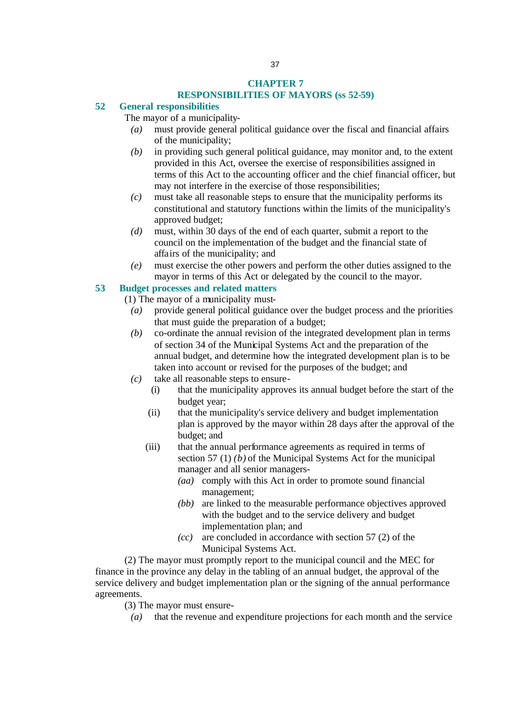#### **CHAPTER 7 RESPONSIBILITIES OF MAYORS (ss 52-59)**

#### **52 General responsibilities**

The mayor of a municipality-

- *(a)* must provide general political guidance over the fiscal and financial affairs of the municipality;
- *(b)* in providing such general political guidance, may monitor and, to the extent provided in this Act, oversee the exercise of responsibilities assigned in terms of this Act to the accounting officer and the chief financial officer, but may not interfere in the exercise of those responsibilities;
- *(c)* must take all reasonable steps to ensure that the municipality performs its constitutional and statutory functions within the limits of the municipality's approved budget;
- *(d)* must, within 30 days of the end of each quarter, submit a report to the council on the implementation of the budget and the financial state of affairs of the municipality; and
- *(e)* must exercise the other powers and perform the other duties assigned to the mayor in terms of this Act or delegated by the council to the mayor.

#### **53 Budget processes and related matters**

(1) The mayor of a municipality must-

- *(a)* provide general political guidance over the budget process and the priorities that must guide the preparation of a budget;
- *(b)* co-ordinate the annual revision of the integrated development plan in terms of section 34 of the Municipal Systems Act and the preparation of the annual budget, and determine how the integrated development plan is to be taken into account or revised for the purposes of the budget; and
- *(c)* take all reasonable steps to ensure-
	- (i) that the municipality approves its annual budget before the start of the budget year;
	- (ii) that the municipality's service delivery and budget implementation plan is approved by the mayor within 28 days after the approval of the budget; and
	- (iii) that the annual performance agreements as required in terms of section 57 (1) *(b)* of the Municipal Systems Act for the municipal manager and all senior managers-
		- *(aa)* comply with this Act in order to promote sound financial management;
		- *(bb)* are linked to the measurable performance objectives approved with the budget and to the service delivery and budget implementation plan; and
		- *(cc)* are concluded in accordance with section 57 (2) of the Municipal Systems Act.

(2) The mayor must promptly report to the municipal council and the MEC for finance in the province any delay in the tabling of an annual budget, the approval of the service delivery and budget implementation plan or the signing of the annual performance agreements.

(3) The mayor must ensure-

*(a)* that the revenue and expenditure projections for each month and the service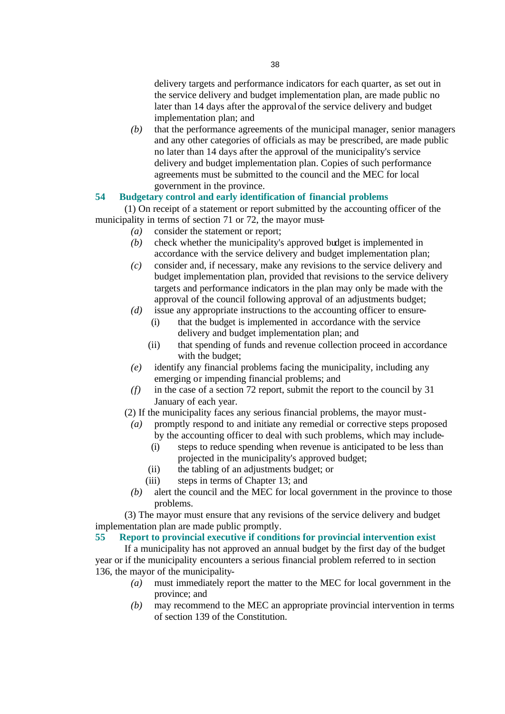delivery targets and performance indicators for each quarter, as set out in the service delivery and budget implementation plan, are made public no later than 14 days after the approval of the service delivery and budget implementation plan; and

*(b)* that the performance agreements of the municipal manager, senior managers and any other categories of officials as may be prescribed, are made public no later than 14 days after the approval of the municipality's service delivery and budget implementation plan. Copies of such performance agreements must be submitted to the council and the MEC for local government in the province.

## **54 Budgetary control and early identification of financial problems**

(1) On receipt of a statement or report submitted by the accounting officer of the municipality in terms of section 71 or 72, the mayor must-

- *(a)* consider the statement or report;
	- *(b)* check whether the municipality's approved budget is implemented in accordance with the service delivery and budget implementation plan;
	- *(c)* consider and, if necessary, make any revisions to the service delivery and budget implementation plan, provided that revisions to the service delivery targets and performance indicators in the plan may only be made with the approval of the council following approval of an adjustments budget;
	- *(d)* issue any appropriate instructions to the accounting officer to ensure- (i) that the budget is implemented in accordance with the service
		- delivery and budget implementation plan; and
		- (ii) that spending of funds and revenue collection proceed in accordance with the budget;
	- *(e)* identify any financial problems facing the municipality, including any emerging or impending financial problems; and
	- *(f)* in the case of a section 72 report, submit the report to the council by 31 January of each year.
- (2) If the municipality faces any serious financial problems, the mayor must-
	- *(a)* promptly respond to and initiate any remedial or corrective steps proposed by the accounting officer to deal with such problems, which may include-
		- (i) steps to reduce spending when revenue is anticipated to be less than projected in the municipality's approved budget;
		- (ii) the tabling of an adjustments budget; or
		- (iii) steps in terms of Chapter 13; and
	- *(b)* alert the council and the MEC for local government in the province to those problems.

(3) The mayor must ensure that any revisions of the service delivery and budget implementation plan are made public promptly.

#### **55 Report to provincial executive if conditions for provincial intervention exist**

If a municipality has not approved an annual budget by the first day of the budget year or if the municipality encounters a serious financial problem referred to in section 136, the mayor of the municipality-

- *(a)* must immediately report the matter to the MEC for local government in the province; and
- *(b)* may recommend to the MEC an appropriate provincial intervention in terms of section 139 of the Constitution.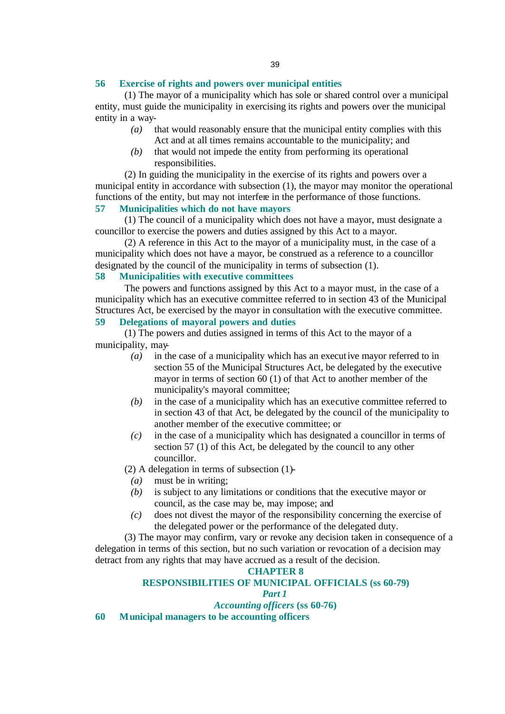#### **56 Exercise of rights and powers over municipal entities**

(1) The mayor of a municipality which has sole or shared control over a municipal entity, must guide the municipality in exercising its rights and powers over the municipal entity in a way-

- *(a)* that would reasonably ensure that the municipal entity complies with this Act and at all times remains accountable to the municipality; and
- *(b)* that would not impede the entity from performing its operational responsibilities.

(2) In guiding the municipality in the exercise of its rights and powers over a municipal entity in accordance with subsection (1), the mayor may monitor the operational functions of the entity, but may not interfere in the performance of those functions.

# **57 Municipalities which do not have mayors**

(1) The council of a municipality which does not have a mayor, must designate a councillor to exercise the powers and duties assigned by this Act to a mayor.

(2) A reference in this Act to the mayor of a municipality must, in the case of a municipality which does not have a mayor, be construed as a reference to a councillor designated by the council of the municipality in terms of subsection (1).

## **58 Municipalities with executive committees**

The powers and functions assigned by this Act to a mayor must, in the case of a municipality which has an executive committee referred to in section 43 of the Municipal Structures Act, be exercised by the mayor in consultation with the executive committee.

# **59 Delegations of mayoral powers and duties**

(1) The powers and duties assigned in terms of this Act to the mayor of a municipality, may-

- *(a)* in the case of a municipality which has an executive mayor referred to in section 55 of the Municipal Structures Act, be delegated by the executive mayor in terms of section 60 (1) of that Act to another member of the municipality's mayoral committee;
- *(b)* in the case of a municipality which has an executive committee referred to in section 43 of that Act, be delegated by the council of the municipality to another member of the executive committee; or
- *(c)* in the case of a municipality which has designated a councillor in terms of section 57 (1) of this Act, be delegated by the council to any other councillor.
- (2) A delegation in terms of subsection (1)-
	- *(a)* must be in writing;
	- *(b)* is subject to any limitations or conditions that the executive mayor or council, as the case may be, may impose; and
	- *(c)* does not divest the mayor of the responsibility concerning the exercise of the delegated power or the performance of the delegated duty.

(3) The mayor may confirm, vary or revoke any decision taken in consequence of a delegation in terms of this section, but no such variation or revocation of a decision may detract from any rights that may have accrued as a result of the decision.

#### **CHAPTER 8**

#### **RESPONSIBILITIES OF MUNICIPAL OFFICIALS (ss 60-79)**

*Part 1*

*Accounting officers* **(ss 60-76)**

**60 Municipal managers to be accounting officers**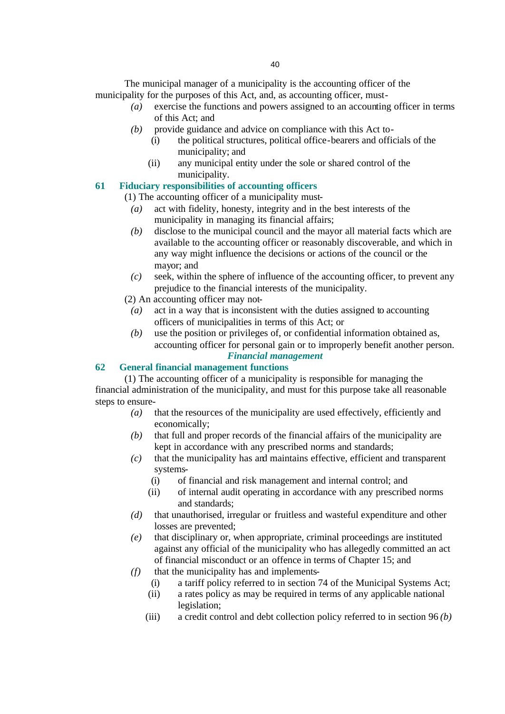The municipal manager of a municipality is the accounting officer of the municipality for the purposes of this Act, and, as accounting officer, must-

- *(a)* exercise the functions and powers assigned to an accounting officer in terms of this Act; and
- *(b)* provide guidance and advice on compliance with this Act to-
	- (i) the political structures, political office-bearers and officials of the municipality; and
	- (ii) any municipal entity under the sole or shared control of the municipality.

#### **61 Fiduciary responsibilities of accounting officers**

(1) The accounting officer of a municipality must-

- *(a)* act with fidelity, honesty, integrity and in the best interests of the municipality in managing its financial affairs;
- *(b)* disclose to the municipal council and the mayor all material facts which are available to the accounting officer or reasonably discoverable, and which in any way might influence the decisions or actions of the council or the mayor; and
- *(c)* seek, within the sphere of influence of the accounting officer, to prevent any prejudice to the financial interests of the municipality.

(2) An accounting officer may not-

- *(a)* act in a way that is inconsistent with the duties assigned to accounting officers of municipalities in terms of this Act; or
- *(b)* use the position or privileges of, or confidential information obtained as, accounting officer for personal gain or to improperly benefit another person. *Financial management*

#### **62 General financial management functions**

(1) The accounting officer of a municipality is responsible for managing the financial administration of the municipality, and must for this purpose take all reasonable steps to ensure-

- *(a)* that the resources of the municipality are used effectively, efficiently and economically;
- *(b)* that full and proper records of the financial affairs of the municipality are kept in accordance with any prescribed norms and standards;
- *(c)* that the municipality has and maintains effective, efficient and transparent systems-
	- (i) of financial and risk management and internal control; and
	- (ii) of internal audit operating in accordance with any prescribed norms and standards;
- *(d)* that unauthorised, irregular or fruitless and wasteful expenditure and other losses are prevented;
- *(e)* that disciplinary or, when appropriate, criminal proceedings are instituted against any official of the municipality who has allegedly committed an act of financial misconduct or an offence in terms of Chapter 15; and
- *(f)* that the municipality has and implements-
	- (i) a tariff policy referred to in section 74 of the Municipal Systems Act;
	- (ii) a rates policy as may be required in terms of any applicable national legislation;
	- (iii) a credit control and debt collection policy referred to in section 96 *(b)*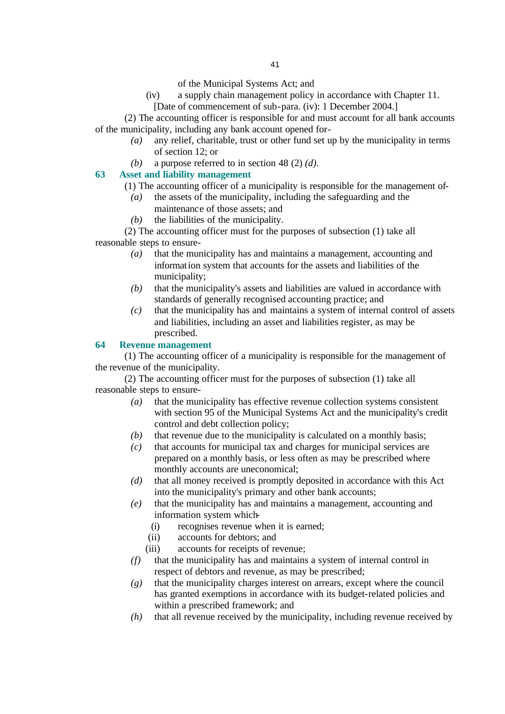of the Municipal Systems Act; and

(iv) a supply chain management policy in accordance with Chapter 11.

[Date of commencement of sub-para. (iv): 1 December 2004.]

(2) The accounting officer is responsible for and must account for all bank accounts of the municipality, including any bank account opened for-

- *(a)* any relief, charitable, trust or other fund set up by the municipality in terms of section 12; or
- *(b)* a purpose referred to in section 48 (2) *(d)*.

# **63 Asset and liability management**

- (1) The accounting officer of a municipality is responsible for the management of-
- *(a)* the assets of the municipality, including the safeguarding and the maintenance of those assets; and
- *(b)* the liabilities of the municipality.

(2) The accounting officer must for the purposes of subsection (1) take all reasonable steps to ensure-

- *(a)* that the municipality has and maintains a management, accounting and information system that accounts for the assets and liabilities of the municipality;
- *(b)* that the municipality's assets and liabilities are valued in accordance with standards of generally recognised accounting practice; and
- *(c)* that the municipality has and maintains a system of internal control of assets and liabilities, including an asset and liabilities register, as may be prescribed.

#### **64 Revenue management**

(1) The accounting officer of a municipality is responsible for the management of the revenue of the municipality.

(2) The accounting officer must for the purposes of subsection (1) take all reasonable steps to ensure-

- *(a)* that the municipality has effective revenue collection systems consistent with section 95 of the Municipal Systems Act and the municipality's credit control and debt collection policy;
- *(b)* that revenue due to the municipality is calculated on a monthly basis;
- *(c)* that accounts for municipal tax and charges for municipal services are prepared on a monthly basis, or less often as may be prescribed where monthly accounts are uneconomical;
- *(d)* that all money received is promptly deposited in accordance with this Act into the municipality's primary and other bank accounts;
- *(e)* that the municipality has and maintains a management, accounting and information system which-
	- (i) recognises revenue when it is earned;
	- (ii) accounts for debtors; and
	- (iii) accounts for receipts of revenue;
- *(f)* that the municipality has and maintains a system of internal control in respect of debtors and revenue, as may be prescribed;
- *(g)* that the municipality charges interest on arrears, except where the council has granted exemptions in accordance with its budget-related policies and within a prescribed framework; and
- *(h)* that all revenue received by the municipality, including revenue received by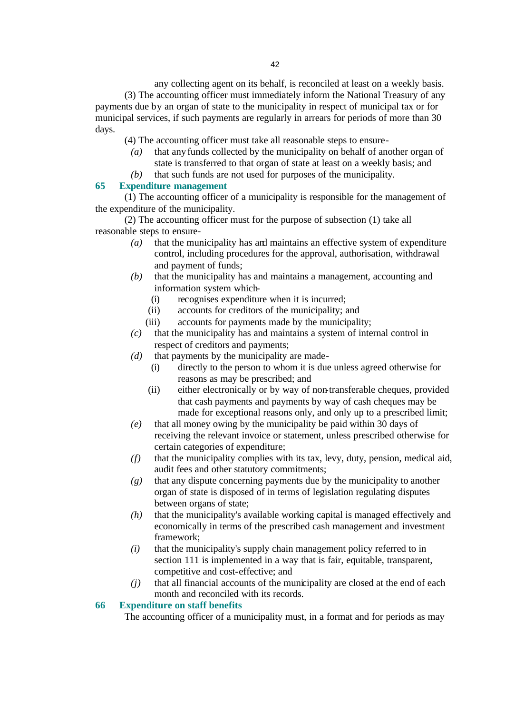any collecting agent on its behalf, is reconciled at least on a weekly basis. (3) The accounting officer must immediately inform the National Treasury of any payments due by an organ of state to the municipality in respect of municipal tax or for municipal services, if such payments are regularly in arrears for periods of more than 30 days.

(4) The accounting officer must take all reasonable steps to ensure-

- *(a)* that any funds collected by the municipality on behalf of another organ of state is transferred to that organ of state at least on a weekly basis; and
- *(b)* that such funds are not used for purposes of the municipality.

#### **65 Expenditure management**

(1) The accounting officer of a municipality is responsible for the management of the expenditure of the municipality.

(2) The accounting officer must for the purpose of subsection (1) take all reasonable steps to ensure-

- *(a)* that the municipality has and maintains an effective system of expenditure control, including procedures for the approval, authorisation, withdrawal and payment of funds;
- *(b)* that the municipality has and maintains a management, accounting and information system which-
	- (i) recognises expenditure when it is incurred;
	- (ii) accounts for creditors of the municipality; and
	- (iii) accounts for payments made by the municipality;
- *(c)* that the municipality has and maintains a system of internal control in respect of creditors and payments;
- *(d)* that payments by the municipality are made-
	- (i) directly to the person to whom it is due unless agreed otherwise for reasons as may be prescribed; and
	- (ii) either electronically or by way of non-transferable cheques, provided that cash payments and payments by way of cash cheques may be made for exceptional reasons only, and only up to a prescribed limit;
- *(e)* that all money owing by the municipality be paid within 30 days of receiving the relevant invoice or statement, unless prescribed otherwise for certain categories of expenditure;
- *(f)* that the municipality complies with its tax, levy, duty, pension, medical aid, audit fees and other statutory commitments;
- *(g)* that any dispute concerning payments due by the municipality to another organ of state is disposed of in terms of legislation regulating disputes between organs of state;
- *(h)* that the municipality's available working capital is managed effectively and economically in terms of the prescribed cash management and investment framework;
- *(i)* that the municipality's supply chain management policy referred to in section 111 is implemented in a way that is fair, equitable, transparent, competitive and cost-effective; and
- *(j)* that all financial accounts of the municipality are closed at the end of each month and reconciled with its records.

#### **66 Expenditure on staff benefits**

The accounting officer of a municipality must, in a format and for periods as may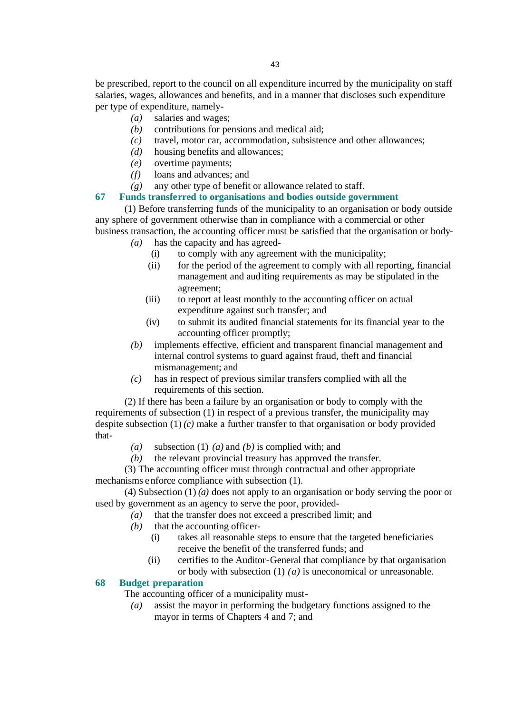be prescribed, report to the council on all expenditure incurred by the municipality on staff salaries, wages, allowances and benefits, and in a manner that discloses such expenditure per type of expenditure, namely-

- *(a)* salaries and wages;
- *(b)* contributions for pensions and medical aid;
- *(c)* travel, motor car, accommodation, subsistence and other allowances;
- *(d)* housing benefits and allowances;
- *(e)* overtime payments;
- *(f)* loans and advances; and
- *(g)* any other type of benefit or allowance related to staff.

#### **67 Funds transferred to organisations and bodies outside government**

(1) Before transferring funds of the municipality to an organisation or body outside any sphere of government otherwise than in compliance with a commercial or other business transaction, the accounting officer must be satisfied that the organisation or body-

- *(a)* has the capacity and has agreed-
	- (i) to comply with any agreement with the municipality;
	- (ii) for the period of the agreement to comply with all reporting, financial management and auditing requirements as may be stipulated in the agreement;
	- (iii) to report at least monthly to the accounting officer on actual expenditure against such transfer; and
	- (iv) to submit its audited financial statements for its financial year to the accounting officer promptly;
- *(b)* implements effective, efficient and transparent financial management and internal control systems to guard against fraud, theft and financial mismanagement; and
- *(c)* has in respect of previous similar transfers complied with all the requirements of this section.

(2) If there has been a failure by an organisation or body to comply with the requirements of subsection (1) in respect of a previous transfer, the municipality may despite subsection (1) *(c)* make a further transfer to that organisation or body provided that-

- *(a)* subsection (1) *(a)* and *(b)* is complied with; and
- *(b)* the relevant provincial treasury has approved the transfer.

(3) The accounting officer must through contractual and other appropriate mechanisms enforce compliance with subsection (1).

(4) Subsection (1) *(a)* does not apply to an organisation or body serving the poor or used by government as an agency to serve the poor, provided-

- *(a)* that the transfer does not exceed a prescribed limit; and
- *(b)* that the accounting officer-
	- (i) takes all reasonable steps to ensure that the targeted beneficiaries receive the benefit of the transferred funds; and
	- (ii) certifies to the Auditor-General that compliance by that organisation or body with subsection (1) *(a)* is uneconomical or unreasonable.

#### **68 Budget preparation**

The accounting officer of a municipality must-

*(a)* assist the mayor in performing the budgetary functions assigned to the mayor in terms of Chapters 4 and 7; and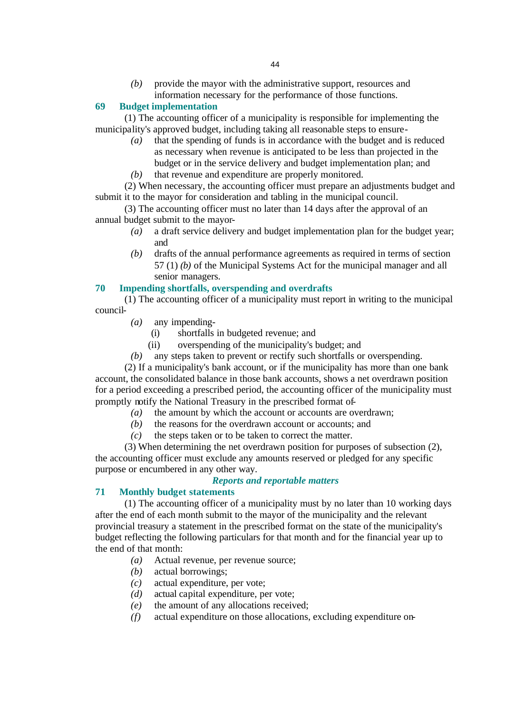*(b)* provide the mayor with the administrative support, resources and information necessary for the performance of those functions.

#### **69 Budget implementation**

(1) The accounting officer of a municipality is responsible for implementing the municipality's approved budget, including taking all reasonable steps to ensure-

- *(a)* that the spending of funds is in accordance with the budget and is reduced as necessary when revenue is anticipated to be less than projected in the budget or in the service delivery and budget implementation plan; and
- *(b)* that revenue and expenditure are properly monitored.

(2) When necessary, the accounting officer must prepare an adjustments budget and submit it to the mayor for consideration and tabling in the municipal council.

(3) The accounting officer must no later than 14 days after the approval of an annual budget submit to the mayor-

- *(a)* a draft service delivery and budget implementation plan for the budget year; and
- *(b)* drafts of the annual performance agreements as required in terms of section 57 (1) *(b)* of the Municipal Systems Act for the municipal manager and all senior managers.

#### **70 Impending shortfalls, overspending and overdrafts**

(1) The accounting officer of a municipality must report in writing to the municipal council-

- *(a)* any impending-
	- (i) shortfalls in budgeted revenue; and
	- (ii) overspending of the municipality's budget; and
- *(b)* any steps taken to prevent or rectify such shortfalls or overspending.

(2) If a municipality's bank account, or if the municipality has more than one bank account, the consolidated balance in those bank accounts, shows a net overdrawn position for a period exceeding a prescribed period, the accounting officer of the municipality must promptly notify the National Treasury in the prescribed format of-

- *(a)* the amount by which the account or accounts are overdrawn;
	- *(b)* the reasons for the overdrawn account or accounts; and
	- *(c)* the steps taken or to be taken to correct the matter.

(3) When determining the net overdrawn position for purposes of subsection (2), the accounting officer must exclude any amounts reserved or pledged for any specific purpose or encumbered in any other way.

#### *Reports and reportable matters*

#### **71 Monthly budget statements**

(1) The accounting officer of a municipality must by no later than 10 working days after the end of each month submit to the mayor of the municipality and the relevant provincial treasury a statement in the prescribed format on the state of the municipality's budget reflecting the following particulars for that month and for the financial year up to the end of that month:

- *(a)* Actual revenue, per revenue source;
- *(b)* actual borrowings;
- *(c)* actual expenditure, per vote;
- *(d)* actual capital expenditure, per vote;
- *(e)* the amount of any allocations received;
- *(f)* actual expenditure on those allocations, excluding expenditure on-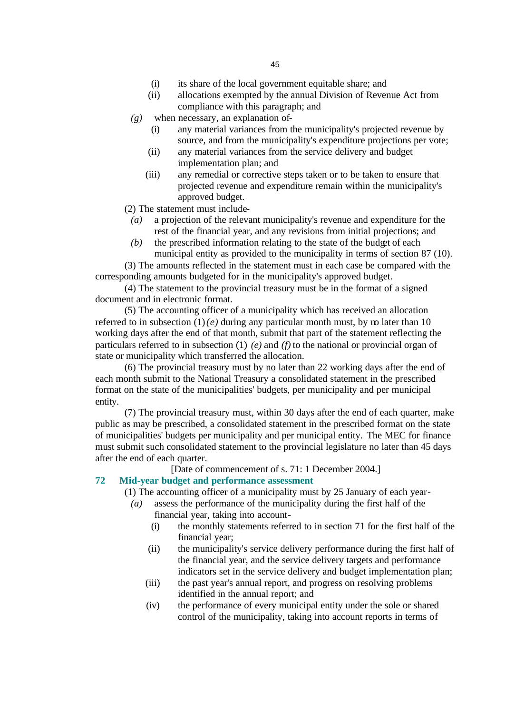- (i) its share of the local government equitable share; and
- (ii) allocations exempted by the annual Division of Revenue Act from compliance with this paragraph; and
- *(g)* when necessary, an explanation of-
	- (i) any material variances from the municipality's projected revenue by source, and from the municipality's expenditure projections per vote;
	- (ii) any material variances from the service delivery and budget implementation plan; and
	- (iii) any remedial or corrective steps taken or to be taken to ensure that projected revenue and expenditure remain within the municipality's approved budget.

(2) The statement must include-

- *(a)* a projection of the relevant municipality's revenue and expenditure for the rest of the financial year, and any revisions from initial projections; and
- *(b)* the prescribed information relating to the state of the budget of each municipal entity as provided to the municipality in terms of section 87 (10).

(3) The amounts reflected in the statement must in each case be compared with the corresponding amounts budgeted for in the municipality's approved budget.

(4) The statement to the provincial treasury must be in the format of a signed document and in electronic format.

(5) The accounting officer of a municipality which has received an allocation referred to in subsection  $(1)(e)$  during any particular month must, by no later than 10 working days after the end of that month, submit that part of the statement reflecting the particulars referred to in subsection (1) *(e)* and *(f)* to the national or provincial organ of state or municipality which transferred the allocation.

(6) The provincial treasury must by no later than 22 working days after the end of each month submit to the National Treasury a consolidated statement in the prescribed format on the state of the municipalities' budgets, per municipality and per municipal entity.

(7) The provincial treasury must, within 30 days after the end of each quarter, make public as may be prescribed, a consolidated statement in the prescribed format on the state of municipalities' budgets per municipality and per municipal entity. The MEC for finance must submit such consolidated statement to the provincial legislature no later than 45 days after the end of each quarter.

[Date of commencement of s. 71: 1 December 2004.]

#### **72 Mid-year budget and performance assessment**

(1) The accounting officer of a municipality must by 25 January of each year-

- *(a)* assess the performance of the municipality during the first half of the financial year, taking into account-
	- (i) the monthly statements referred to in section 71 for the first half of the financial year;
	- (ii) the municipality's service delivery performance during the first half of the financial year, and the service delivery targets and performance indicators set in the service delivery and budget implementation plan;
	- (iii) the past year's annual report, and progress on resolving problems identified in the annual report; and
	- (iv) the performance of every municipal entity under the sole or shared control of the municipality, taking into account reports in terms of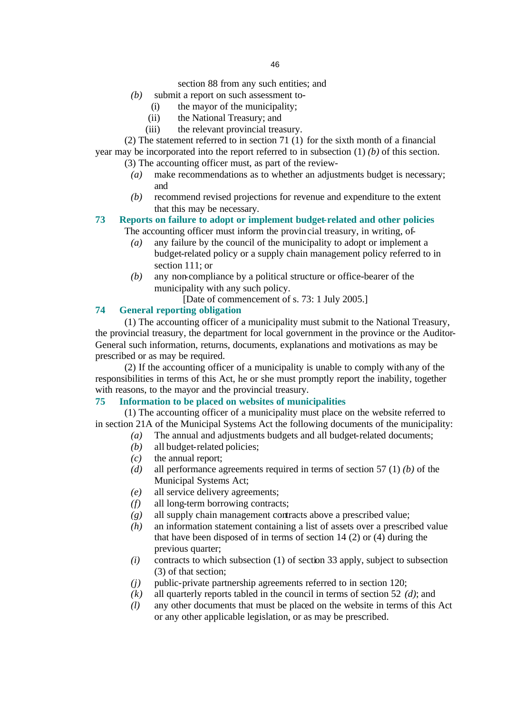section 88 from any such entities; and

- *(b)* submit a report on such assessment to-
	- (i) the mayor of the municipality;
	- (ii) the National Treasury; and
	- (iii) the relevant provincial treasury.

(2) The statement referred to in section 71 (1) for the sixth month of a financial year may be incorporated into the report referred to in subsection (1) *(b)* of this section.

(3) The accounting officer must, as part of the review-

- *(a)* make recommendations as to whether an adjustments budget is necessary; and
- *(b)* recommend revised projections for revenue and expenditure to the extent that this may be necessary.

# **73 Reports on failure to adopt or implement budget-related and other policies**

The accounting officer must inform the provincial treasury, in writing, of-

- *(a)* any failure by the council of the municipality to adopt or implement a budget-related policy or a supply chain management policy referred to in section 111; or
- *(b)* any non-compliance by a political structure or office-bearer of the municipality with any such policy.
	- [Date of commencement of s. 73: 1 July 2005.]

# **74 General reporting obligation**

(1) The accounting officer of a municipality must submit to the National Treasury, the provincial treasury, the department for local government in the province or the Auditor-General such information, returns, documents, explanations and motivations as may be prescribed or as may be required.

(2) If the accounting officer of a municipality is unable to comply with any of the responsibilities in terms of this Act, he or she must promptly report the inability, together with reasons, to the mayor and the provincial treasury.

## **75 Information to be placed on websites of municipalities**

(1) The accounting officer of a municipality must place on the website referred to in section 21A of the Municipal Systems Act the following documents of the municipality:

- *(a)* The annual and adjustments budgets and all budget-related documents;
- *(b)* all budget-related policies;
- *(c)* the annual report;
- *(d)* all performance agreements required in terms of section 57 (1) *(b)* of the Municipal Systems Act;
- *(e)* all service delivery agreements;
- *(f)* all long-term borrowing contracts;
- *(g)* all supply chain management contracts above a prescribed value;
- *(h)* an information statement containing a list of assets over a prescribed value that have been disposed of in terms of section 14 (2) or (4) during the previous quarter;
- *(i)* contracts to which subsection (1) of section 33 apply, subject to subsection (3) of that section;
- *(j)* public-private partnership agreements referred to in section 120;
- *(k)* all quarterly reports tabled in the council in terms of section 52 *(d)*; and
- *(l)* any other documents that must be placed on the website in terms of this Act or any other applicable legislation, or as may be prescribed.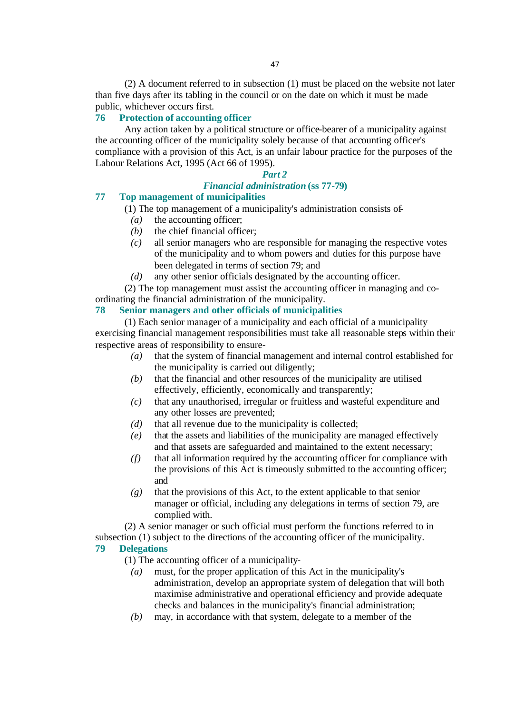(2) A document referred to in subsection (1) must be placed on the website not later than five days after its tabling in the council or on the date on which it must be made public, whichever occurs first.

#### **76 Protection of accounting officer**

Any action taken by a political structure or office-bearer of a municipality against the accounting officer of the municipality solely because of that accounting officer's compliance with a provision of this Act, is an unfair labour practice for the purposes of the Labour Relations Act, 1995 (Act 66 of 1995).

#### *Part 2*

#### *Financial administration* **(ss 77-79)**

#### **77 Top management of municipalities**

(1) The top management of a municipality's administration consists of-

- *(a)* the accounting officer;
- *(b)* the chief financial officer;
- *(c)* all senior managers who are responsible for managing the respective votes of the municipality and to whom powers and duties for this purpose have been delegated in terms of section 79; and
- *(d)* any other senior officials designated by the accounting officer.

(2) The top management must assist the accounting officer in managing and coordinating the financial administration of the municipality.

#### **78 Senior managers and other officials of municipalities**

(1) Each senior manager of a municipality and each official of a municipality exercising financial management responsibilities must take all reasonable steps within their respective areas of responsibility to ensure-

- *(a)* that the system of financial management and internal control established for the municipality is carried out diligently;
- *(b)* that the financial and other resources of the municipality are utilised effectively, efficiently, economically and transparently;
- *(c)* that any unauthorised, irregular or fruitless and wasteful expenditure and any other losses are prevented;
- *(d)* that all revenue due to the municipality is collected;
- *(e)* that the assets and liabilities of the municipality are managed effectively and that assets are safeguarded and maintained to the extent necessary;
- *(f)* that all information required by the accounting officer for compliance with the provisions of this Act is timeously submitted to the accounting officer; and
- *(g)* that the provisions of this Act, to the extent applicable to that senior manager or official, including any delegations in terms of section 79, are complied with.

(2) A senior manager or such official must perform the functions referred to in subsection (1) subject to the directions of the accounting officer of the municipality. **79 Delegations** 

(1) The accounting officer of a municipality-

- *(a)* must, for the proper application of this Act in the municipality's administration, develop an appropriate system of delegation that will both maximise administrative and operational efficiency and provide adequate checks and balances in the municipality's financial administration;
- *(b)* may, in accordance with that system, delegate to a member of the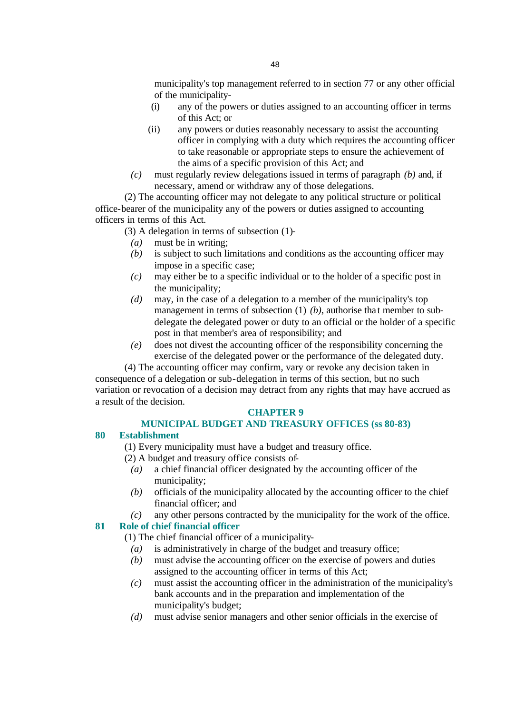municipality's top management referred to in section 77 or any other official of the municipality-

- (i) any of the powers or duties assigned to an accounting officer in terms of this Act; or
- (ii) any powers or duties reasonably necessary to assist the accounting officer in complying with a duty which requires the accounting officer to take reasonable or appropriate steps to ensure the achievement of the aims of a specific provision of this Act; and
- *(c)* must regularly review delegations issued in terms of paragraph *(b)* and, if necessary, amend or withdraw any of those delegations.

(2) The accounting officer may not delegate to any political structure or political office-bearer of the municipality any of the powers or duties assigned to accounting officers in terms of this Act.

(3) A delegation in terms of subsection (1)-

- *(a)* must be in writing;
- *(b)* is subject to such limitations and conditions as the accounting officer may impose in a specific case;
- *(c)* may either be to a specific individual or to the holder of a specific post in the municipality;
- *(d)* may, in the case of a delegation to a member of the municipality's top management in terms of subsection (1) (b), authorise that member to subdelegate the delegated power or duty to an official or the holder of a specific post in that member's area of responsibility; and
- *(e)* does not divest the accounting officer of the responsibility concerning the exercise of the delegated power or the performance of the delegated duty.

(4) The accounting officer may confirm, vary or revoke any decision taken in consequence of a delegation or sub-delegation in terms of this section, but no such variation or revocation of a decision may detract from any rights that may have accrued as a result of the decision.

#### **CHAPTER 9**

# **MUNICIPAL BUDGET AND TREASURY OFFICES (ss 80-83)**

#### **80 Establishment**

(1) Every municipality must have a budget and treasury office.

- (2) A budget and treasury office consists of-
	- *(a)* a chief financial officer designated by the accounting officer of the municipality;
	- *(b)* officials of the municipality allocated by the accounting officer to the chief financial officer; and
	- *(c)* any other persons contracted by the municipality for the work of the office.

## **81 Role of chief financial officer**

(1) The chief financial officer of a municipality-

- *(a)* is administratively in charge of the budget and treasury office;
- *(b)* must advise the accounting officer on the exercise of powers and duties assigned to the accounting officer in terms of this Act;
- *(c)* must assist the accounting officer in the administration of the municipality's bank accounts and in the preparation and implementation of the municipality's budget;
- *(d)* must advise senior managers and other senior officials in the exercise of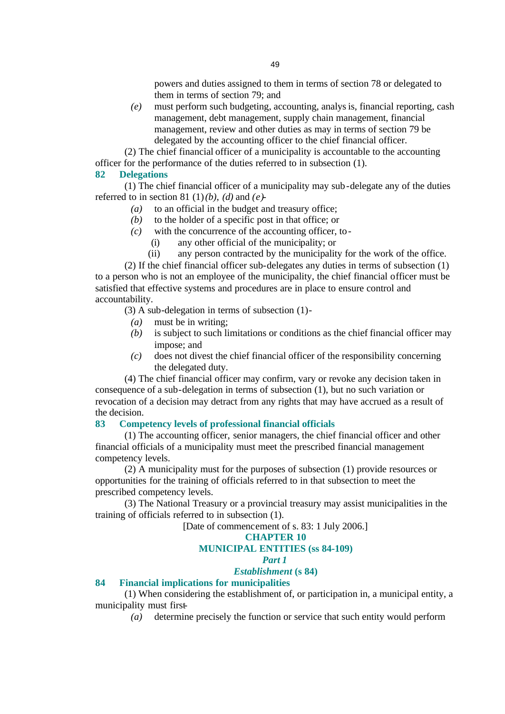powers and duties assigned to them in terms of section 78 or delegated to them in terms of section 79; and

*(e)* must perform such budgeting, accounting, analysis, financial reporting, cash management, debt management, supply chain management, financial management, review and other duties as may in terms of section 79 be delegated by the accounting officer to the chief financial officer.

(2) The chief financial officer of a municipality is accountable to the accounting officer for the performance of the duties referred to in subsection (1).

#### **82 Delegations**

(1) The chief financial officer of a municipality may sub-delegate any of the duties referred to in section 81 (1)*(b)*, *(d)* and  $(e)$ -

- *(a)* to an official in the budget and treasury office;
- *(b)* to the holder of a specific post in that office; or
- *(c)* with the concurrence of the accounting officer, to-
	- (i) any other official of the municipality; or
	- (ii) any person contracted by the municipality for the work of the office.

(2) If the chief financial officer sub-delegates any duties in terms of subsection (1) to a person who is not an employee of the municipality, the chief financial officer must be satisfied that effective systems and procedures are in place to ensure control and accountability.

(3) A sub-delegation in terms of subsection (1)-

- *(a)* must be in writing;
- *(b)* is subject to such limitations or conditions as the chief financial officer may impose; and
- *(c)* does not divest the chief financial officer of the responsibility concerning the delegated duty.

(4) The chief financial officer may confirm, vary or revoke any decision taken in consequence of a sub-delegation in terms of subsection (1), but no such variation or revocation of a decision may detract from any rights that may have accrued as a result of the decision.

#### **83 Competency levels of professional financial officials**

(1) The accounting officer, senior managers, the chief financial officer and other financial officials of a municipality must meet the prescribed financial management competency levels.

(2) A municipality must for the purposes of subsection (1) provide resources or opportunities for the training of officials referred to in that subsection to meet the prescribed competency levels.

(3) The National Treasury or a provincial treasury may assist municipalities in the training of officials referred to in subsection (1).

[Date of commencement of s. 83: 1 July 2006.]

# **CHAPTER 10**

# **MUNICIPAL ENTITIES (ss 84-109)**

#### *Part 1*

## *Establishment* **(s 84)**

#### **84 Financial implications for municipalities**

(1) When considering the establishment of, or participation in, a municipal entity, a municipality must first-

*(a)* determine precisely the function or service that such entity would perform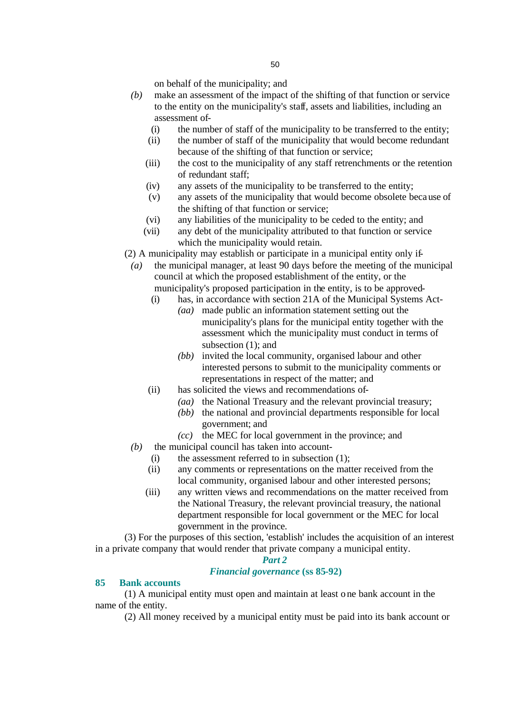on behalf of the municipality; and

- *(b)* make an assessment of the impact of the shifting of that function or service to the entity on the municipality's staff, assets and liabilities, including an assessment of-
	- (i) the number of staff of the municipality to be transferred to the entity;
	- (ii) the number of staff of the municipality that would become redundant because of the shifting of that function or service;
	- (iii) the cost to the municipality of any staff retrenchments or the retention of redundant staff;
	- (iv) any assets of the municipality to be transferred to the entity;
	- (v) any assets of the municipality that would become obsolete because of the shifting of that function or service;
	- (vi) any liabilities of the municipality to be ceded to the entity; and
	- (vii) any debt of the municipality attributed to that function or service which the municipality would retain.
- (2) A municipality may establish or participate in a municipal entity only if-
- *(a)* the municipal manager, at least 90 days before the meeting of the municipal council at which the proposed establishment of the entity, or the municipality's proposed participation in the entity, is to be approved-
	- (i) has, in accordance with section 21A of the Municipal Systems Act-
		- *(aa)* made public an information statement setting out the municipality's plans for the municipal entity together with the assessment which the municipality must conduct in terms of subsection (1); and
		- *(bb)* invited the local community, organised labour and other interested persons to submit to the municipality comments or representations in respect of the matter; and
	- (ii) has solicited the views and recommendations of-
		- *(aa)* the National Treasury and the relevant provincial treasury;
		- *(bb)* the national and provincial departments responsible for local government; and
		- *(cc)* the MEC for local government in the province; and
- *(b)* the municipal council has taken into account-
	- (i) the assessment referred to in subsection  $(1)$ ;
	- (ii) any comments or representations on the matter received from the local community, organised labour and other interested persons;
	- (iii) any written views and recommendations on the matter received from the National Treasury, the relevant provincial treasury, the national department responsible for local government or the MEC for local government in the province.

(3) For the purposes of this section, 'establish' includes the acquisition of an interest in a private company that would render that private company a municipal entity.

#### *Part 2*

#### *Financial governance* **(ss 85-92)**

#### **85 Bank accounts**

(1) A municipal entity must open and maintain at least one bank account in the name of the entity.

(2) All money received by a municipal entity must be paid into its bank account or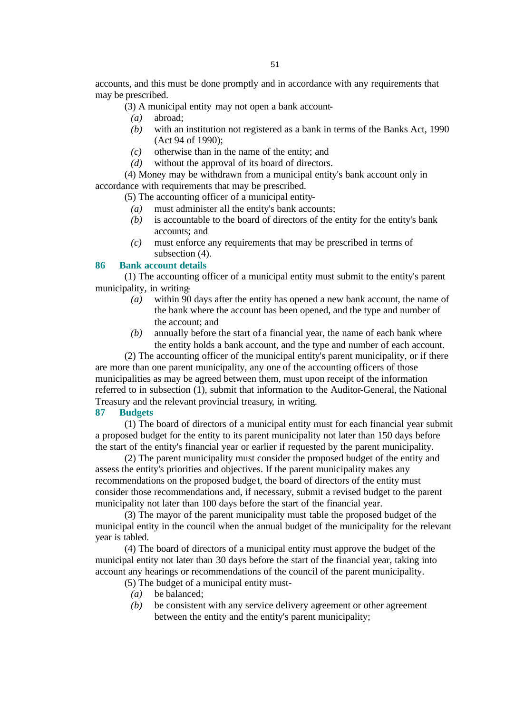accounts, and this must be done promptly and in accordance with any requirements that may be prescribed.

(3) A municipal entity may not open a bank account-

- *(a)* abroad;
- *(b)* with an institution not registered as a bank in terms of the Banks Act, 1990 (Act 94 of 1990);
- *(c)* otherwise than in the name of the entity; and
- *(d)* without the approval of its board of directors.

(4) Money may be withdrawn from a municipal entity's bank account only in accordance with requirements that may be prescribed.

(5) The accounting officer of a municipal entity-

- *(a)* must administer all the entity's bank accounts;
- *(b)* is accountable to the board of directors of the entity for the entity's bank accounts; and
- *(c)* must enforce any requirements that may be prescribed in terms of subsection (4).

#### **86 Bank account details**

(1) The accounting officer of a municipal entity must submit to the entity's parent municipality, in writing-

- *(a)* within 90 days after the entity has opened a new bank account, the name of the bank where the account has been opened, and the type and number of the account; and
- *(b)* annually before the start of a financial year, the name of each bank where the entity holds a bank account, and the type and number of each account.

(2) The accounting officer of the municipal entity's parent municipality, or if there are more than one parent municipality, any one of the accounting officers of those municipalities as may be agreed between them, must upon receipt of the information referred to in subsection (1), submit that information to the Auditor-General, the National Treasury and the relevant provincial treasury, in writing.

#### **87 Budgets**

(1) The board of directors of a municipal entity must for each financial year submit a proposed budget for the entity to its parent municipality not later than 150 days before the start of the entity's financial year or earlier if requested by the parent municipality.

(2) The parent municipality must consider the proposed budget of the entity and assess the entity's priorities and objectives. If the parent municipality makes any recommendations on the proposed budge t, the board of directors of the entity must consider those recommendations and, if necessary, submit a revised budget to the parent municipality not later than 100 days before the start of the financial year.

(3) The mayor of the parent municipality must table the proposed budget of the municipal entity in the council when the annual budget of the municipality for the relevant year is tabled.

(4) The board of directors of a municipal entity must approve the budget of the municipal entity not later than 30 days before the start of the financial year, taking into account any hearings or recommendations of the council of the parent municipality.

(5) The budget of a municipal entity must-

- *(a)* be balanced;
- *(b)* be consistent with any service delivery agreement or other agreement between the entity and the entity's parent municipality;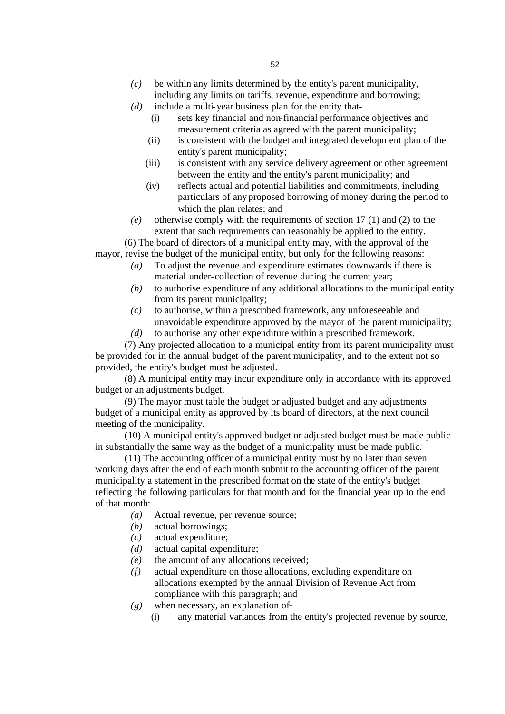- *(c)* be within any limits determined by the entity's parent municipality, including any limits on tariffs, revenue, expenditure and borrowing;
- *(d)* include a multi-year business plan for the entity that-
	- (i) sets key financial and non-financial performance objectives and measurement criteria as agreed with the parent municipality;
	- (ii) is consistent with the budget and integrated development plan of the entity's parent municipality;
	- (iii) is consistent with any service delivery agreement or other agreement between the entity and the entity's parent municipality; and
	- (iv) reflects actual and potential liabilities and commitments, including particulars of any proposed borrowing of money during the period to which the plan relates; and
- *(e)* otherwise comply with the requirements of section 17 (1) and (2) to the extent that such requirements can reasonably be applied to the entity.

(6) The board of directors of a municipal entity may, with the approval of the mayor, revise the budget of the municipal entity, but only for the following reasons:

- *(a)* To adjust the revenue and expenditure estimates downwards if there is material under-collection of revenue during the current year;
- *(b)* to authorise expenditure of any additional allocations to the municipal entity from its parent municipality;
- *(c)* to authorise, within a prescribed framework, any unforeseeable and unavoidable expenditure approved by the mayor of the parent municipality;
- *(d)* to authorise any other expenditure within a prescribed framework.

(7) Any projected allocation to a municipal entity from its parent municipality must be provided for in the annual budget of the parent municipality, and to the extent not so provided, the entity's budget must be adjusted.

(8) A municipal entity may incur expenditure only in accordance with its approved budget or an adjustments budget.

(9) The mayor must table the budget or adjusted budget and any adjustments budget of a municipal entity as approved by its board of directors, at the next council meeting of the municipality.

(10) A municipal entity's approved budget or adjusted budget must be made public in substantially the same way as the budget of a municipality must be made public.

(11) The accounting officer of a municipal entity must by no later than seven working days after the end of each month submit to the accounting officer of the parent municipality a statement in the prescribed format on the state of the entity's budget reflecting the following particulars for that month and for the financial year up to the end of that month:

- *(a)* Actual revenue, per revenue source;
- *(b)* actual borrowings;
- *(c)* actual expenditure;
- *(d)* actual capital expenditure;
- *(e)* the amount of any allocations received;
- *(f)* actual expenditure on those allocations, excluding expenditure on allocations exempted by the annual Division of Revenue Act from compliance with this paragraph; and
- *(g)* when necessary, an explanation of-
	- (i) any material variances from the entity's projected revenue by source,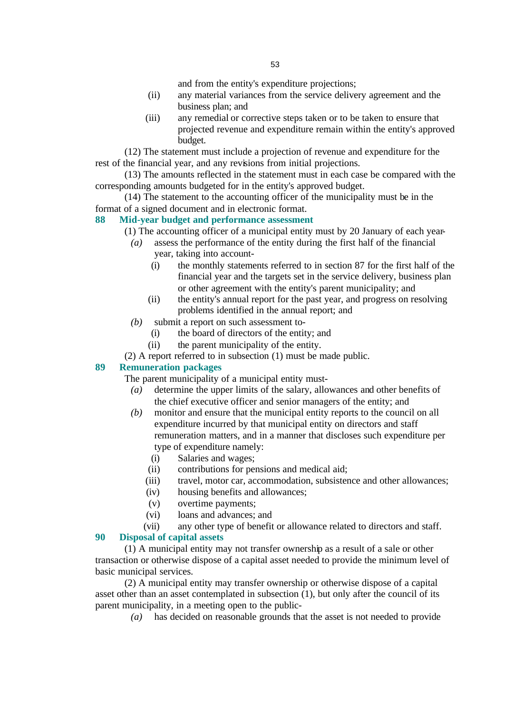and from the entity's expenditure projections;

- (ii) any material variances from the service delivery agreement and the business plan; and
- (iii) any remedial or corrective steps taken or to be taken to ensure that projected revenue and expenditure remain within the entity's approved budget.

(12) The statement must include a projection of revenue and expenditure for the rest of the financial year, and any revisions from initial projections.

(13) The amounts reflected in the statement must in each case be compared with the corresponding amounts budgeted for in the entity's approved budget.

(14) The statement to the accounting officer of the municipality must be in the format of a signed document and in electronic format.

#### **88 Mid-year budget and performance assessment**

(1) The accounting officer of a municipal entity must by 20 January of each year-

- *(a)* assess the performance of the entity during the first half of the financial year, taking into account-
	- (i) the monthly statements referred to in section 87 for the first half of the financial year and the targets set in the service delivery, business plan or other agreement with the entity's parent municipality; and
	- (ii) the entity's annual report for the past year, and progress on resolving problems identified in the annual report; and
- *(b)* submit a report on such assessment to-
	- (i) the board of directors of the entity; and
	- (ii) the parent municipality of the entity.
- (2) A report referred to in subsection (1) must be made public.

#### **89 Remuneration packages**

The parent municipality of a municipal entity must-

- *(a)* determine the upper limits of the salary, allowances and other benefits of the chief executive officer and senior managers of the entity; and
- *(b)* monitor and ensure that the municipal entity reports to the council on all expenditure incurred by that municipal entity on directors and staff remuneration matters, and in a manner that discloses such expenditure per type of expenditure namely:
	- (i) Salaries and wages;
	- (ii) contributions for pensions and medical aid;
	- (iii) travel, motor car, accommodation, subsistence and other allowances;
	- (iv) housing benefits and allowances;
	- (v) overtime payments;
	- (vi) loans and advances; and

(vii) any other type of benefit or allowance related to directors and staff. **90 Disposal of capital assets** 

(1) A municipal entity may not transfer ownership as a result of a sale or other transaction or otherwise dispose of a capital asset needed to provide the minimum level of basic municipal services.

(2) A municipal entity may transfer ownership or otherwise dispose of a capital asset other than an asset contemplated in subsection (1), but only after the council of its parent municipality, in a meeting open to the public-

*(a)* has decided on reasonable grounds that the asset is not needed to provide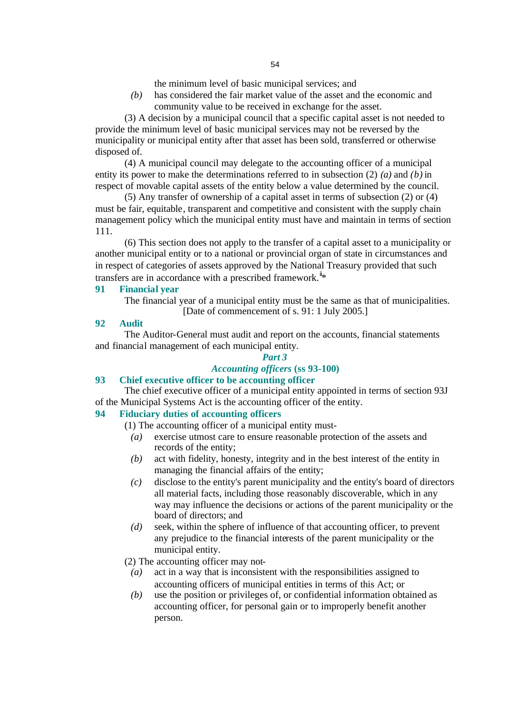the minimum level of basic municipal services; and

*(b)* has considered the fair market value of the asset and the economic and community value to be received in exchange for the asset.

(3) A decision by a municipal council that a specific capital asset is not needed to provide the minimum level of basic municipal services may not be reversed by the municipality or municipal entity after that asset has been sold, transferred or otherwise disposed of.

(4) A municipal council may delegate to the accounting officer of a municipal entity its power to make the determinations referred to in subsection (2) *(a)* and *(b)* in respect of movable capital assets of the entity below a value determined by the council.

(5) Any transfer of ownership of a capital asset in terms of subsection (2) or (4) must be fair, equitable, transparent and competitive and consistent with the supply chain management policy which the municipal entity must have and maintain in terms of section 111.

(6) This section does not apply to the transfer of a capital asset to a municipality or another municipal entity or to a national or provincial organ of state in circumstances and in respect of categories of assets approved by the National Treasury provided that such transfers are in accordance with a prescribed framework.<sup> $ii$ \*</sup>

#### **91 Financial year**

The financial year of a municipal entity must be the same as that of municipalities. [Date of commencement of s. 91: 1 July 2005.]

#### **92 Audit**

The Auditor-General must audit and report on the accounts, financial statements and financial management of each municipal entity.

# *Part 3*

## *Accounting officers* **(ss 93-100)**

#### **93 Chief executive officer to be accounting officer**

The chief executive officer of a municipal entity appointed in terms of section 93J of the Municipal Systems Act is the accounting officer of the entity.

## **94 Fiduciary duties of accounting officers**

- (1) The accounting officer of a municipal entity must-
	- *(a)* exercise utmost care to ensure reasonable protection of the assets and records of the entity;
	- *(b)* act with fidelity, honesty, integrity and in the best interest of the entity in managing the financial affairs of the entity;
	- *(c)* disclose to the entity's parent municipality and the entity's board of directors all material facts, including those reasonably discoverable, which in any way may influence the decisions or actions of the parent municipality or the board of directors; and
	- *(d)* seek, within the sphere of influence of that accounting officer, to prevent any prejudice to the financial interests of the parent municipality or the municipal entity.
- (2) The accounting officer may not-
	- *(a)* act in a way that is inconsistent with the responsibilities assigned to accounting officers of municipal entities in terms of this Act; or
	- *(b)* use the position or privileges of, or confidential information obtained as accounting officer, for personal gain or to improperly benefit another person.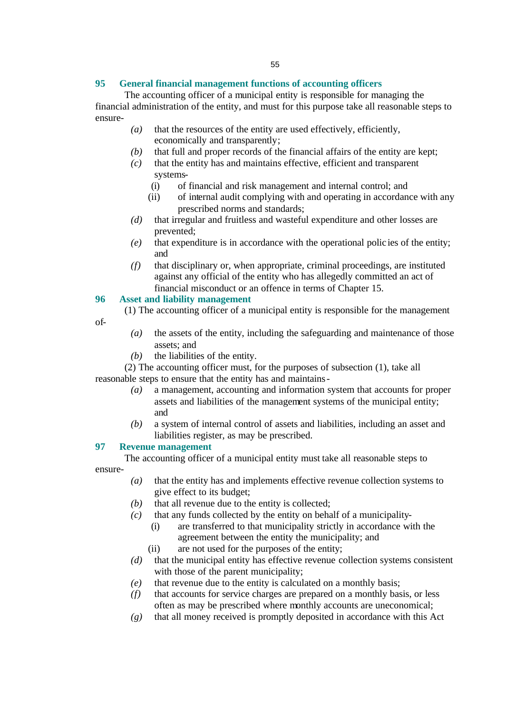## **95 General financial management functions of accounting officers**

The accounting officer of a municipal entity is responsible for managing the financial administration of the entity, and must for this purpose take all reasonable steps to ensure-

- *(a)* that the resources of the entity are used effectively, efficiently, economically and transparently;
- *(b)* that full and proper records of the financial affairs of the entity are kept;
- *(c)* that the entity has and maintains effective, efficient and transparent systems-
	- (i) of financial and risk management and internal control; and
	- (ii) of internal audit complying with and operating in accordance with any prescribed norms and standards;
- *(d)* that irregular and fruitless and wasteful expenditure and other losses are prevented;
- *(e)* that expenditure is in accordance with the operational polic ies of the entity; and
- *(f)* that disciplinary or, when appropriate, criminal proceedings, are instituted against any official of the entity who has allegedly committed an act of financial misconduct or an offence in terms of Chapter 15.

## **96 Asset and liability management**

(1) The accounting officer of a municipal entity is responsible for the management

of-

- *(a)* the assets of the entity, including the safeguarding and maintenance of those assets; and
- *(b)* the liabilities of the entity.

(2) The accounting officer must, for the purposes of subsection (1), take all reasonable steps to ensure that the entity has and maintains-

- *(a)* a management, accounting and information system that accounts for proper assets and liabilities of the management systems of the municipal entity; and
- *(b)* a system of internal control of assets and liabilities, including an asset and liabilities register, as may be prescribed.

## **97 Revenue management**

The accounting officer of a municipal entity must take all reasonable steps to ensure-

- *(a)* that the entity has and implements effective revenue collection systems to give effect to its budget;
- *(b)* that all revenue due to the entity is collected;
- *(c)* that any funds collected by the entity on behalf of a municipality-
	- (i) are transferred to that municipality strictly in accordance with the agreement between the entity the municipality; and
	- (ii) are not used for the purposes of the entity;
- *(d)* that the municipal entity has effective revenue collection systems consistent with those of the parent municipality;
- *(e)* that revenue due to the entity is calculated on a monthly basis;
- *(f)* that accounts for service charges are prepared on a monthly basis, or less often as may be prescribed where monthly accounts are uneconomical;
- *(g)* that all money received is promptly deposited in accordance with this Act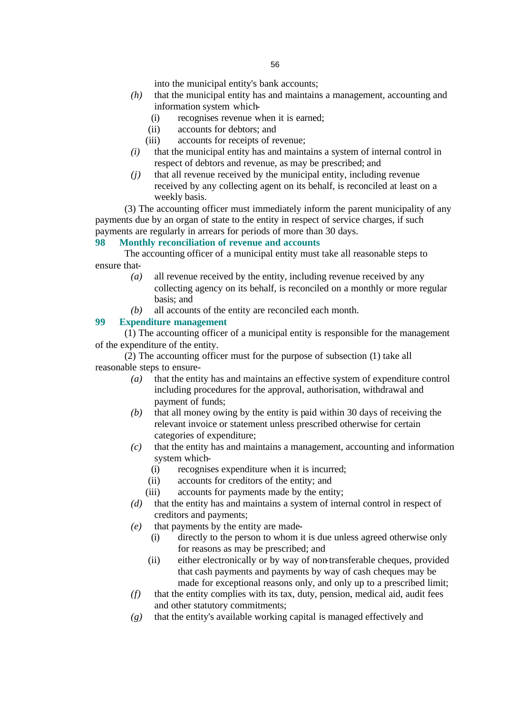into the municipal entity's bank accounts;

- *(h)* that the municipal entity has and maintains a management, accounting and information system which-
	- (i) recognises revenue when it is earned;
	- (ii) accounts for debtors; and
	- (iii) accounts for receipts of revenue;
- *(i)* that the municipal entity has and maintains a system of internal control in respect of debtors and revenue, as may be prescribed; and
- *(j)* that all revenue received by the municipal entity, including revenue received by any collecting agent on its behalf, is reconciled at least on a weekly basis.

(3) The accounting officer must immediately inform the parent municipality of any payments due by an organ of state to the entity in respect of service charges, if such payments are regularly in arrears for periods of more than 30 days.

#### **98 Monthly reconciliation of revenue and accounts**

The accounting officer of a municipal entity must take all reasonable steps to ensure that-

- *(a)* all revenue received by the entity, including revenue received by any collecting agency on its behalf, is reconciled on a monthly or more regular basis; and
- *(b)* all accounts of the entity are reconciled each month.

#### **99 Expenditure management**

(1) The accounting officer of a municipal entity is responsible for the management of the expenditure of the entity.

(2) The accounting officer must for the purpose of subsection (1) take all reasonable steps to ensure-

- *(a)* that the entity has and maintains an effective system of expenditure control including procedures for the approval, authorisation, withdrawal and payment of funds;
- *(b)* that all money owing by the entity is paid within 30 days of receiving the relevant invoice or statement unless prescribed otherwise for certain categories of expenditure;
- *(c)* that the entity has and maintains a management, accounting and information system which-
	- (i) recognises expenditure when it is incurred;
	- (ii) accounts for creditors of the entity; and
	- (iii) accounts for payments made by the entity;
- *(d)* that the entity has and maintains a system of internal control in respect of creditors and payments;
- *(e)* that payments by the entity are made-
	- (i) directly to the person to whom it is due unless agreed otherwise only for reasons as may be prescribed; and
	- (ii) either electronically or by way of non-transferable cheques, provided that cash payments and payments by way of cash cheques may be made for exceptional reasons only, and only up to a prescribed limit;
- *(f)* that the entity complies with its tax, duty, pension, medical aid, audit fees and other statutory commitments;
- *(g)* that the entity's available working capital is managed effectively and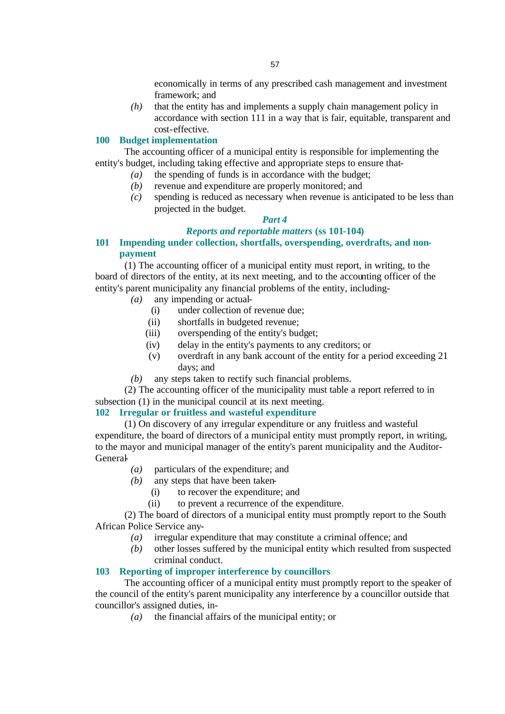economically in terms of any prescribed cash management and investment framework; and

*(h)* that the entity has and implements a supply chain management policy in accordance with section 111 in a way that is fair, equitable, transparent and cost-effective.

### **100 Budget implementation**

The accounting officer of a municipal entity is responsible for implementing the entity's budget, including taking effective and appropriate steps to ensure that-

- *(a)* the spending of funds is in accordance with the budget;
- *(b)* revenue and expenditure are properly monitored; and
- *(c)* spending is reduced as necessary when revenue is anticipated to be less than projected in the budget.

## *Part 4*

#### *Reports and reportable matters* **(ss 101-104)**

**101 Impending under collection, shortfalls, overspending, overdrafts, and nonpayment**

(1) The accounting officer of a municipal entity must report, in writing, to the board of directors of the entity, at its next meeting, and to the accounting officer of the entity's parent municipality any financial problems of the entity, including-

- *(a)* any impending or actual-
	- (i) under collection of revenue due;
	- (ii) shortfalls in budgeted revenue;
	- (iii) overspending of the entity's budget;
	- (iv) delay in the entity's payments to any creditors; or
	- (v) overdraft in any bank account of the entity for a period exceeding 21 days; and
- *(b)* any steps taken to rectify such financial problems.

(2) The accounting officer of the municipality must table a report referred to in subsection (1) in the municipal council at its next meeting.

#### **102 Irregular or fruitless and wasteful expenditure**

(1) On discovery of any irregular expenditure or any fruitless and wasteful expenditure, the board of directors of a municipal entity must promptly report, in writing, to the mayor and municipal manager of the entity's parent municipality and the Auditor-General-

- *(a)* particulars of the expenditure; and
- *(b)* any steps that have been taken-
	- (i) to recover the expenditure; and
	- (ii) to prevent a recurrence of the expenditure.

(2) The board of directors of a municipal entity must promptly report to the South African Police Service any-

- *(a)* irregular expenditure that may constitute a criminal offence; and
- *(b)* other losses suffered by the municipal entity which resulted from suspected criminal conduct.

#### **103 Reporting of improper interference by councillors**

The accounting officer of a municipal entity must promptly report to the speaker of the council of the entity's parent municipality any interference by a councillor outside that councillor's assigned duties, in-

*(a)* the financial affairs of the municipal entity; or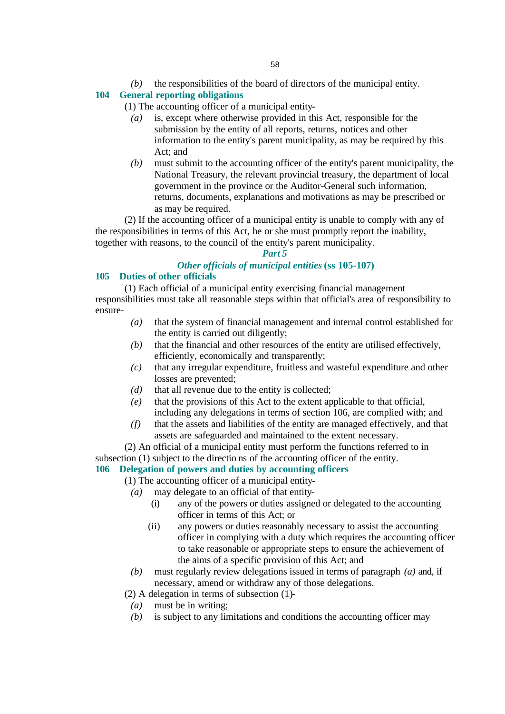# **104 General reporting obligations**

(1) The accounting officer of a municipal entity-

- *(a)* is, except where otherwise provided in this Act, responsible for the submission by the entity of all reports, returns, notices and other information to the entity's parent municipality, as may be required by this Act; and
- *(b)* must submit to the accounting officer of the entity's parent municipality, the National Treasury, the relevant provincial treasury, the department of local government in the province or the Auditor-General such information, returns, documents, explanations and motivations as may be prescribed or as may be required.

(2) If the accounting officer of a municipal entity is unable to comply with any of the responsibilities in terms of this Act, he or she must promptly report the inability, together with reasons, to the council of the entity's parent municipality.

# *Part 5*

# *Other officials of municipal entities* **(ss 105-107)**

# **105 Duties of other officials**

(1) Each official of a municipal entity exercising financial management responsibilities must take all reasonable steps within that official's area of responsibility to ensure-

- *(a)* that the system of financial management and internal control established for the entity is carried out diligently;
- *(b)* that the financial and other resources of the entity are utilised effectively, efficiently, economically and transparently;
- *(c)* that any irregular expenditure, fruitless and wasteful expenditure and other losses are prevented;
- *(d)* that all revenue due to the entity is collected;
- *(e)* that the provisions of this Act to the extent applicable to that official, including any delegations in terms of section 106, are complied with; and
- *(f)* that the assets and liabilities of the entity are managed effectively, and that assets are safeguarded and maintained to the extent necessary.
- (2) An official of a municipal entity must perform the functions referred to in subsection (1) subject to the directio ns of the accounting officer of the entity.

# **106 Delegation of powers and duties by accounting officers**

(1) The accounting officer of a municipal entity-

- *(a)* may delegate to an official of that entity-
	- (i) any of the powers or duties assigned or delegated to the accounting officer in terms of this Act; or
	- (ii) any powers or duties reasonably necessary to assist the accounting officer in complying with a duty which requires the accounting officer to take reasonable or appropriate steps to ensure the achievement of the aims of a specific provision of this Act; and
- *(b)* must regularly review delegations issued in terms of paragraph *(a)* and, if necessary, amend or withdraw any of those delegations.
- (2) A delegation in terms of subsection (1)-
- *(a)* must be in writing;
- *(b)* is subject to any limitations and conditions the accounting officer may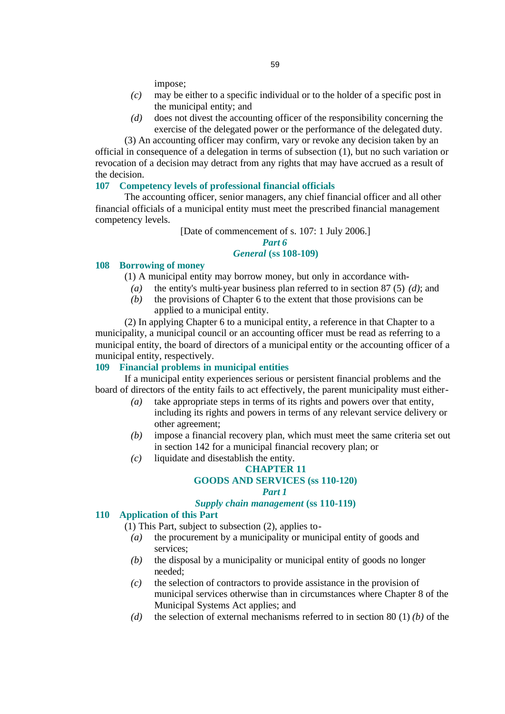impose;

- *(c)* may be either to a specific individual or to the holder of a specific post in the municipal entity; and
- *(d)* does not divest the accounting officer of the responsibility concerning the exercise of the delegated power or the performance of the delegated duty.

(3) An accounting officer may confirm, vary or revoke any decision taken by an official in consequence of a delegation in terms of subsection (1), but no such variation or revocation of a decision may detract from any rights that may have accrued as a result of the decision.

#### **107 Competency levels of professional financial officials**

The accounting officer, senior managers, any chief financial officer and all other financial officials of a municipal entity must meet the prescribed financial management competency levels.

> [Date of commencement of s. 107: 1 July 2006.] *Part 6*

#### *General* **(ss 108-109)**

#### **108 Borrowing of money**

(1) A municipal entity may borrow money, but only in accordance with-

- *(a)* the entity's multi-year business plan referred to in section 87 (5) *(d)*; and
- *(b)* the provisions of Chapter 6 to the extent that those provisions can be applied to a municipal entity.

(2) In applying Chapter 6 to a municipal entity, a reference in that Chapter to a municipality, a municipal council or an accounting officer must be read as referring to a municipal entity, the board of directors of a municipal entity or the accounting officer of a municipal entity, respectively.

#### **109 Financial problems in municipal entities**

If a municipal entity experiences serious or persistent financial problems and the board of directors of the entity fails to act effectively, the parent municipality must either-

- *(a)* take appropriate steps in terms of its rights and powers over that entity, including its rights and powers in terms of any relevant service delivery or other agreement;
- *(b)* impose a financial recovery plan, which must meet the same criteria set out in section 142 for a municipal financial recovery plan; or
- *(c)* liquidate and disestablish the entity.

## **CHAPTER 11**

## **GOODS AND SERVICES (ss 110-120)**

#### *Part 1*

#### *Supply chain management* **(ss 110-119)**

#### **110 Application of this Part**

- (1) This Part, subject to subsection (2), applies to-
	- *(a)* the procurement by a municipality or municipal entity of goods and services;
	- *(b)* the disposal by a municipality or municipal entity of goods no longer needed;
	- *(c)* the selection of contractors to provide assistance in the provision of municipal services otherwise than in circumstances where Chapter 8 of the Municipal Systems Act applies; and
	- *(d)* the selection of external mechanisms referred to in section 80 (1) *(b)* of the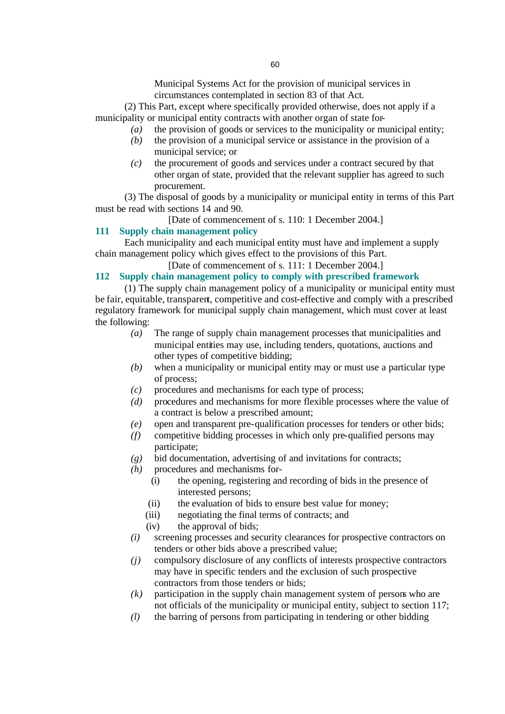(2) This Part, except where specifically provided otherwise, does not apply if a municipality or municipal entity contracts with another organ of state for-

- *(a)* the provision of goods or services to the municipality or municipal entity;
- *(b)* the provision of a municipal service or assistance in the provision of a municipal service; or
- *(c)* the procurement of goods and services under a contract secured by that other organ of state, provided that the relevant supplier has agreed to such procurement.

(3) The disposal of goods by a municipality or municipal entity in terms of this Part must be read with sections 14 and 90.

[Date of commencement of s. 110: 1 December 2004.]

# **111 Supply chain management policy**

Each municipality and each municipal entity must have and implement a supply chain management policy which gives effect to the provisions of this Part.

# [Date of commencement of s. 111: 1 December 2004.]

# **112 Supply chain management policy to comply with prescribed framework**

(1) The supply chain management policy of a municipality or municipal entity must be fair, equitable, transparent, competitive and cost-effective and comply with a prescribed regulatory framework for municipal supply chain management, which must cover at least the following:

- *(a)* The range of supply chain management processes that municipalities and municipal entities may use, including tenders, quotations, auctions and other types of competitive bidding;
- *(b)* when a municipality or municipal entity may or must use a particular type of process;
- *(c)* procedures and mechanisms for each type of process;
- *(d)* procedures and mechanisms for more flexible processes where the value of a contract is below a prescribed amount;
- *(e)* open and transparent pre-qualification processes for tenders or other bids;
- *(f)* competitive bidding processes in which only pre-qualified persons may participate;
- *(g)* bid documentation, advertising of and invitations for contracts;
- *(h)* procedures and mechanisms for-
	- (i) the opening, registering and recording of bids in the presence of interested persons;
	- (ii) the evaluation of bids to ensure best value for money;
	- (iii) negotiating the final terms of contracts; and
	- (iv) the approval of bids;
- *(i)* screening processes and security clearances for prospective contractors on tenders or other bids above a prescribed value;
- *(j)* compulsory disclosure of any conflicts of interests prospective contractors may have in specific tenders and the exclusion of such prospective contractors from those tenders or bids;
- *(k)* participation in the supply chain management system of persons who are not officials of the municipality or municipal entity, subject to section 117;
- *(l)* the barring of persons from participating in tendering or other bidding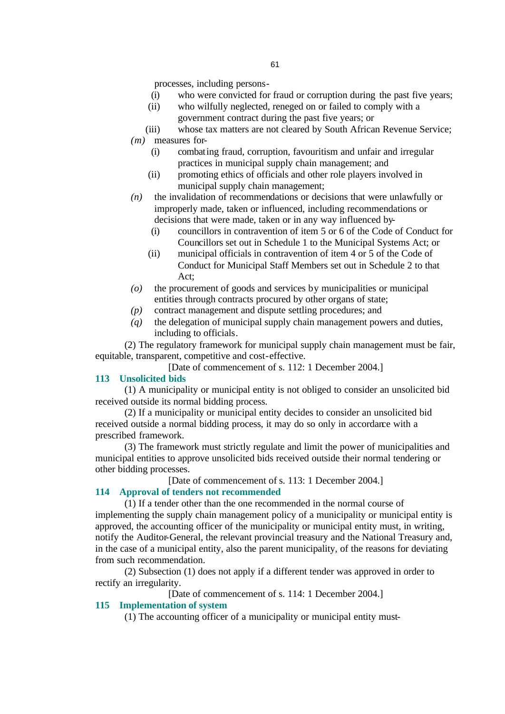processes, including persons-

- (i) who were convicted for fraud or corruption during the past five years;
- (ii) who wilfully neglected, reneged on or failed to comply with a government contract during the past five years; or
- (iii) whose tax matters are not cleared by South African Revenue Service; *(m)* measures for-
	- (i) combating fraud, corruption, favouritism and unfair and irregular practices in municipal supply chain management; and
	- (ii) promoting ethics of officials and other role players involved in municipal supply chain management;
- *(n)* the invalidation of recommendations or decisions that were unlawfully or improperly made, taken or influenced, including recommendations or decisions that were made, taken or in any way influenced by-
	- (i) councillors in contravention of item 5 or 6 of the Code of Conduct for Councillors set out in Schedule 1 to the Municipal Systems Act; or
	- (ii) municipal officials in contravention of item 4 or 5 of the Code of Conduct for Municipal Staff Members set out in Schedule 2 to that Act;
- *(o)* the procurement of goods and services by municipalities or municipal entities through contracts procured by other organs of state;
- *(p)* contract management and dispute settling procedures; and
- *(q)* the delegation of municipal supply chain management powers and duties, including to officials.

(2) The regulatory framework for municipal supply chain management must be fair, equitable, transparent, competitive and cost-effective.

[Date of commencement of s. 112: 1 December 2004.]

## **113 Unsolicited bids**

(1) A municipality or municipal entity is not obliged to consider an unsolicited bid received outside its normal bidding process.

(2) If a municipality or municipal entity decides to consider an unsolicited bid received outside a normal bidding process, it may do so only in accordance with a prescribed framework.

(3) The framework must strictly regulate and limit the power of municipalities and municipal entities to approve unsolicited bids received outside their normal tendering or other bidding processes.

[Date of commencement of s. 113: 1 December 2004.]

#### **114 Approval of tenders not recommended**

(1) If a tender other than the one recommended in the normal course of implementing the supply chain management policy of a municipality or municipal entity is approved, the accounting officer of the municipality or municipal entity must, in writing, notify the Auditor-General, the relevant provincial treasury and the National Treasury and, in the case of a municipal entity, also the parent municipality, of the reasons for deviating from such recommendation.

(2) Subsection (1) does not apply if a different tender was approved in order to rectify an irregularity.

[Date of commencement of s. 114: 1 December 2004.]

## **115 Implementation of system**

(1) The accounting officer of a municipality or municipal entity must-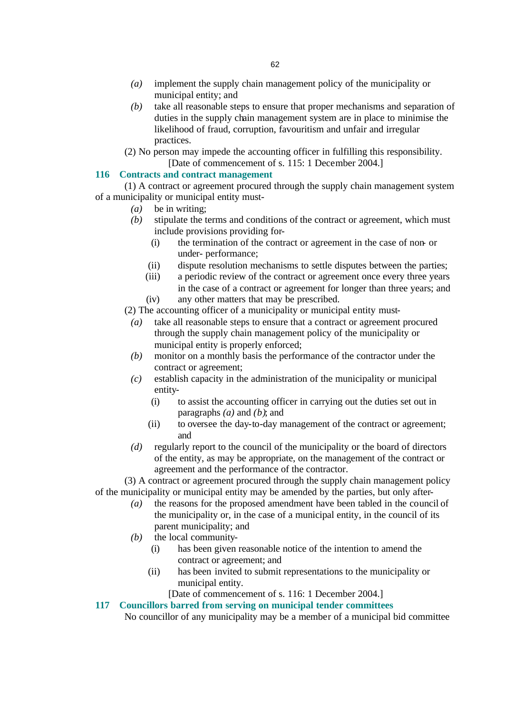- *(a)* implement the supply chain management policy of the municipality or municipal entity; and
- *(b)* take all reasonable steps to ensure that proper mechanisms and separation of duties in the supply chain management system are in place to minimise the likelihood of fraud, corruption, favouritism and unfair and irregular practices.
- (2) No person may impede the accounting officer in fulfilling this responsibility. [Date of commencement of s. 115: 1 December 2004.]

#### **116 Contracts and contract management**

(1) A contract or agreement procured through the supply chain management system of a municipality or municipal entity must-

- *(a)* be in writing;
- *(b)* stipulate the terms and conditions of the contract or agreement, which must include provisions providing for-
	- (i) the termination of the contract or agreement in the case of non- or under- performance;
	- (ii) dispute resolution mechanisms to settle disputes between the parties;
	- (iii) a periodic review of the contract or agreement once every three years in the case of a contract or agreement for longer than three years; and (iv) any other matters that may be prescribed.
- (2) The accounting officer of a municipality or municipal entity must-
	- *(a)* take all reasonable steps to ensure that a contract or agreement procured through the supply chain management policy of the municipality or municipal entity is properly enforced;
	- *(b)* monitor on a monthly basis the performance of the contractor under the contract or agreement;
	- *(c)* establish capacity in the administration of the municipality or municipal entity-
		- (i) to assist the accounting officer in carrying out the duties set out in paragraphs *(a)* and *(b)*; and
		- (ii) to oversee the day-to-day management of the contract or agreement; and
	- *(d)* regularly report to the council of the municipality or the board of directors of the entity, as may be appropriate, on the management of the contract or agreement and the performance of the contractor.

(3) A contract or agreement procured through the supply chain management policy of the municipality or municipal entity may be amended by the parties, but only after-

- *(a)* the reasons for the proposed amendment have been tabled in the council of the municipality or, in the case of a municipal entity, in the council of its parent municipality; and
- *(b)* the local community-
	- (i) has been given reasonable notice of the intention to amend the contract or agreement; and
	- (ii) has been invited to submit representations to the municipality or municipal entity.

[Date of commencement of s. 116: 1 December 2004.]

## **117 Councillors barred from serving on municipal tender committees**

No councillor of any municipality may be a member of a municipal bid committee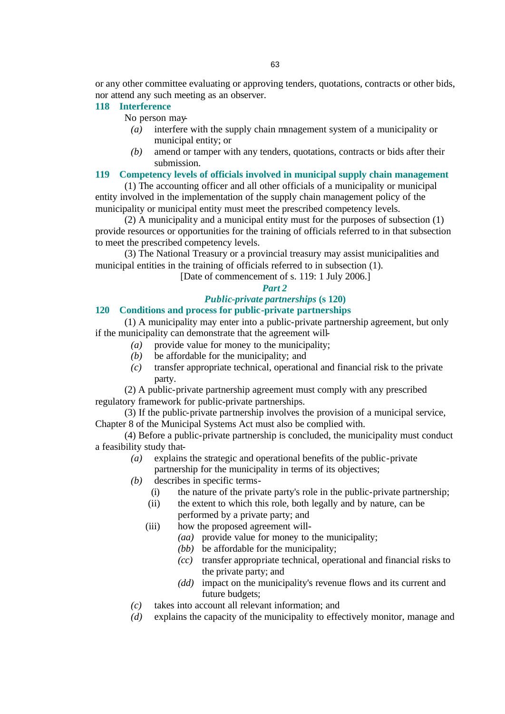or any other committee evaluating or approving tenders, quotations, contracts or other bids, nor attend any such meeting as an observer.

# **118 Interference**

No person may-

- *(a)* interfere with the supply chain management system of a municipality or municipal entity; or
- *(b)* amend or tamper with any tenders, quotations, contracts or bids after their submission.

## **119 Competency levels of officials involved in municipal supply chain management**

(1) The accounting officer and all other officials of a municipality or municipal entity involved in the implementation of the supply chain management policy of the municipality or municipal entity must meet the prescribed competency levels.

(2) A municipality and a municipal entity must for the purposes of subsection (1) provide resources or opportunities for the training of officials referred to in that subsection to meet the prescribed competency levels.

(3) The National Treasury or a provincial treasury may assist municipalities and municipal entities in the training of officials referred to in subsection (1).

[Date of commencement of s. 119: 1 July 2006.]

#### *Part 2*

# *Public-private partnerships* **(s 120)**

#### **120 Conditions and process for public-private partnerships**

(1) A municipality may enter into a public-private partnership agreement, but only if the municipality can demonstrate that the agreement will-

- *(a)* provide value for money to the municipality;
- *(b)* be affordable for the municipality; and
- *(c)* transfer appropriate technical, operational and financial risk to the private party.

(2) A public-private partnership agreement must comply with any prescribed regulatory framework for public-private partnerships.

(3) If the public-private partnership involves the provision of a municipal service, Chapter 8 of the Municipal Systems Act must also be complied with.

(4) Before a public-private partnership is concluded, the municipality must conduct a feasibility study that-

- *(a)* explains the strategic and operational benefits of the public-private partnership for the municipality in terms of its objectives;
- *(b)* describes in specific terms-
	- (i) the nature of the private party's role in the public-private partnership;
	- (ii) the extent to which this role, both legally and by nature, can be performed by a private party; and
	- (iii) how the proposed agreement will-
		- *(aa)* provide value for money to the municipality;
		- *(bb)* be affordable for the municipality;
		- *(cc)* transfer appropriate technical, operational and financial risks to the private party; and
		- *(dd)* impact on the municipality's revenue flows and its current and future budgets;
- *(c)* takes into account all relevant information; and
- *(d)* explains the capacity of the municipality to effectively monitor, manage and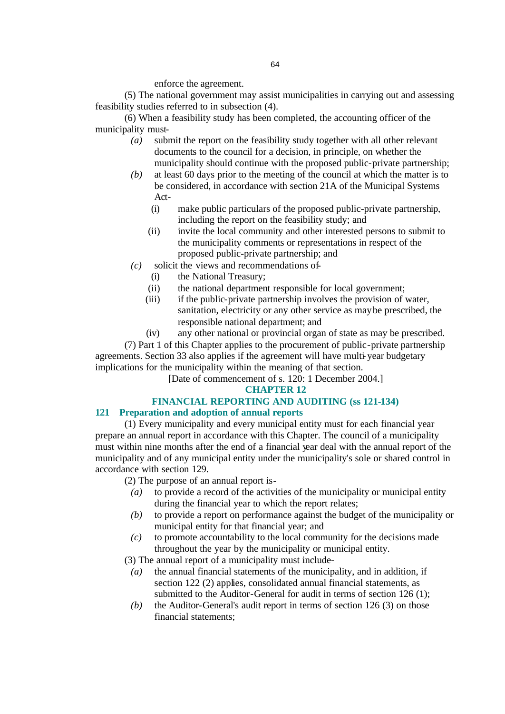enforce the agreement.

(5) The national government may assist municipalities in carrying out and assessing feasibility studies referred to in subsection (4).

(6) When a feasibility study has been completed, the accounting officer of the municipality must-

- *(a)* submit the report on the feasibility study together with all other relevant documents to the council for a decision, in principle, on whether the municipality should continue with the proposed public-private partnership;
- *(b)* at least 60 days prior to the meeting of the council at which the matter is to be considered, in accordance with section 21A of the Municipal Systems Act-
	- (i) make public particulars of the proposed public-private partnership, including the report on the feasibility study; and
	- (ii) invite the local community and other interested persons to submit to the municipality comments or representations in respect of the proposed public-private partnership; and
- *(c)* solicit the views and recommendations of-
	- (i) the National Treasury;
	- (ii) the national department responsible for local government;
	- (iii) if the public-private partnership involves the provision of water, sanitation, electricity or any other service as may be prescribed, the responsible national department; and
	- (iv) any other national or provincial organ of state as may be prescribed.

(7) Part 1 of this Chapter applies to the procurement of public-private partnership agreements. Section 33 also applies if the agreement will have multi-year budgetary implications for the municipality within the meaning of that section.

[Date of commencement of s. 120: 1 December 2004.]

## **CHAPTER 12**

# **FINANCIAL REPORTING AND AUDITING (ss 121-134)**

# **121 Preparation and adoption of annual reports**

(1) Every municipality and every municipal entity must for each financial year prepare an annual report in accordance with this Chapter. The council of a municipality must within nine months after the end of a financial year deal with the annual report of the municipality and of any municipal entity under the municipality's sole or shared control in accordance with section 129.

(2) The purpose of an annual report is-

- *(a)* to provide a record of the activities of the municipality or municipal entity during the financial year to which the report relates;
- *(b)* to provide a report on performance against the budget of the municipality or municipal entity for that financial year; and
- *(c)* to promote accountability to the local community for the decisions made throughout the year by the municipality or municipal entity.
- (3) The annual report of a municipality must include-
	- *(a)* the annual financial statements of the municipality, and in addition, if section 122 (2) applies, consolidated annual financial statements, as submitted to the Auditor-General for audit in terms of section 126 (1);
	- *(b)* the Auditor-General's audit report in terms of section 126 (3) on those financial statements;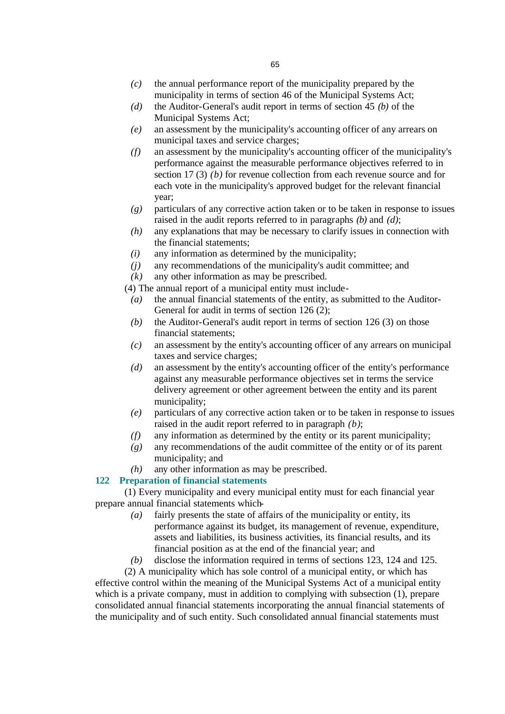- *(c)* the annual performance report of the municipality prepared by the municipality in terms of section 46 of the Municipal Systems Act;
- *(d)* the Auditor-General's audit report in terms of section 45 *(b)* of the Municipal Systems Act;
- *(e)* an assessment by the municipality's accounting officer of any arrears on municipal taxes and service charges;
- *(f)* an assessment by the municipality's accounting officer of the municipality's performance against the measurable performance objectives referred to in section 17 (3) *(b)* for revenue collection from each revenue source and for each vote in the municipality's approved budget for the relevant financial year;
- *(g)* particulars of any corrective action taken or to be taken in response to issues raised in the audit reports referred to in paragraphs *(b)* and *(d)*;
- *(h)* any explanations that may be necessary to clarify issues in connection with the financial statements;
- *(i)* any information as determined by the municipality;
- *(j)* any recommendations of the municipality's audit committee; and
- *(k)* any other information as may be prescribed.

(4) The annual report of a municipal entity must include-

- *(a)* the annual financial statements of the entity, as submitted to the Auditor-General for audit in terms of section 126 (2);
- *(b)* the Auditor-General's audit report in terms of section 126 (3) on those financial statements;
- *(c)* an assessment by the entity's accounting officer of any arrears on municipal taxes and service charges;
- *(d)* an assessment by the entity's accounting officer of the entity's performance against any measurable performance objectives set in terms the service delivery agreement or other agreement between the entity and its parent municipality;
- *(e)* particulars of any corrective action taken or to be taken in response to issues raised in the audit report referred to in paragraph *(b)*;
- *(f)* any information as determined by the entity or its parent municipality;
- *(g)* any recommendations of the audit committee of the entity or of its parent municipality; and
- *(h)* any other information as may be prescribed.

## **122 Preparation of financial statements**

(1) Every municipality and every municipal entity must for each financial year prepare annual financial statements which-

- *(a)* fairly presents the state of affairs of the municipality or entity, its performance against its budget, its management of revenue, expenditure, assets and liabilities, its business activities, its financial results, and its financial position as at the end of the financial year; and
- *(b)* disclose the information required in terms of sections 123, 124 and 125.

(2) A municipality which has sole control of a municipal entity, or which has effective control within the meaning of the Municipal Systems Act of a municipal entity which is a private company, must in addition to complying with subsection  $(1)$ , prepare consolidated annual financial statements incorporating the annual financial statements of the municipality and of such entity. Such consolidated annual financial statements must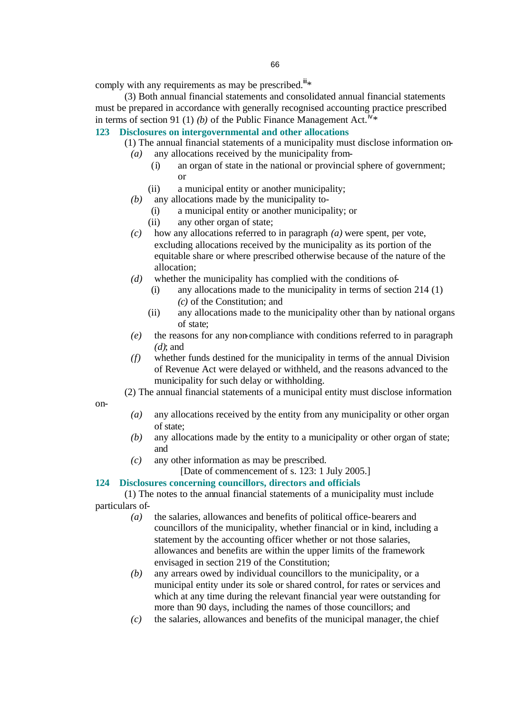comply with any requirements as may be prescribed.<sup>iii\*</sup>

(3) Both annual financial statements and consolidated annual financial statements must be prepared in accordance with generally recognised accounting practice prescribed in terms of section 91 (1) (b) of the Public Finance Management Act.<sup>N</sup>\*

# **123 Disclosures on intergovernmental and other allocations**

- (1) The annual financial statements of a municipality must disclose information on- *(a)* any allocations received by the municipality from-
	- (i) an organ of state in the national or provincial sphere of government; or
	- (ii) a municipal entity or another municipality;
	- *(b)* any allocations made by the municipality to-
		- (i) a municipal entity or another municipality; or
		- (ii) any other organ of state;
	- *(c)* how any allocations referred to in paragraph *(a)* were spent, per vote, excluding allocations received by the municipality as its portion of the equitable share or where prescribed otherwise because of the nature of the allocation;
	- *(d)* whether the municipality has complied with the conditions of-
		- (i) any allocations made to the municipality in terms of section 214 (1) *(c)* of the Constitution; and
		- (ii) any allocations made to the municipality other than by national organs of state;
	- *(e)* the reasons for any non-compliance with conditions referred to in paragraph *(d)*; and
	- *(f)* whether funds destined for the municipality in terms of the annual Division of Revenue Act were delayed or withheld, and the reasons advanced to the municipality for such delay or withholding.

(2) The annual financial statements of a municipal entity must disclose information

- on-
- *(a)* any allocations received by the entity from any municipality or other organ of state;
- *(b)* any allocations made by the entity to a municipality or other organ of state; and
- *(c)* any other information as may be prescribed.

[Date of commencement of s. 123: 1 July 2005.]

#### **124 Disclosures concerning councillors, directors and officials**

(1) The notes to the annual financial statements of a municipality must include particulars of-

- *(a)* the salaries, allowances and benefits of political office-bearers and councillors of the municipality, whether financial or in kind, including a statement by the accounting officer whether or not those salaries, allowances and benefits are within the upper limits of the framework envisaged in section 219 of the Constitution;
- *(b)* any arrears owed by individual councillors to the municipality, or a municipal entity under its sole or shared control, for rates or services and which at any time during the relevant financial year were outstanding for more than 90 days, including the names of those councillors; and
- *(c)* the salaries, allowances and benefits of the municipal manager, the chief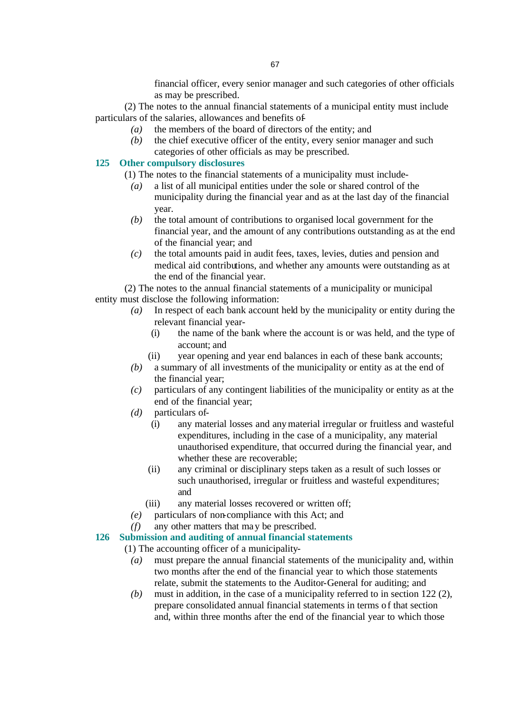financial officer, every senior manager and such categories of other officials as may be prescribed.

(2) The notes to the annual financial statements of a municipal entity must include particulars of the salaries, allowances and benefits of-

- *(a)* the members of the board of directors of the entity; and
- *(b)* the chief executive officer of the entity, every senior manager and such categories of other officials as may be prescribed.

## **125 Other compulsory disclosures**

- (1) The notes to the financial statements of a municipality must include-
	- *(a)* a list of all municipal entities under the sole or shared control of the municipality during the financial year and as at the last day of the financial year.
	- *(b)* the total amount of contributions to organised local government for the financial year, and the amount of any contributions outstanding as at the end of the financial year; and
	- *(c)* the total amounts paid in audit fees, taxes, levies, duties and pension and medical aid contributions, and whether any amounts were outstanding as at the end of the financial year.

(2) The notes to the annual financial statements of a municipality or municipal entity must disclose the following information:

- *(a)* In respect of each bank account held by the municipality or entity during the relevant financial year-
	- (i) the name of the bank where the account is or was held, and the type of account; and
	- (ii) year opening and year end balances in each of these bank accounts;
- *(b)* a summary of all investments of the municipality or entity as at the end of the financial year;
- *(c)* particulars of any contingent liabilities of the municipality or entity as at the end of the financial year;
- *(d)* particulars of-
	- (i) any material losses and any material irregular or fruitless and wasteful expenditures, including in the case of a municipality, any material unauthorised expenditure, that occurred during the financial year, and whether these are recoverable;
	- (ii) any criminal or disciplinary steps taken as a result of such losses or such unauthorised, irregular or fruitless and wasteful expenditures; and
	- (iii) any material losses recovered or written off;
- *(e)* particulars of non-compliance with this Act; and
- *(f)* any other matters that may be prescribed.

#### **126 Submission and auditing of annual financial statements**

(1) The accounting officer of a municipality-

- *(a)* must prepare the annual financial statements of the municipality and, within two months after the end of the financial year to which those statements relate, submit the statements to the Auditor-General for auditing; and
- *(b)* must in addition, in the case of a municipality referred to in section 122 (2), prepare consolidated annual financial statements in terms o f that section and, within three months after the end of the financial year to which those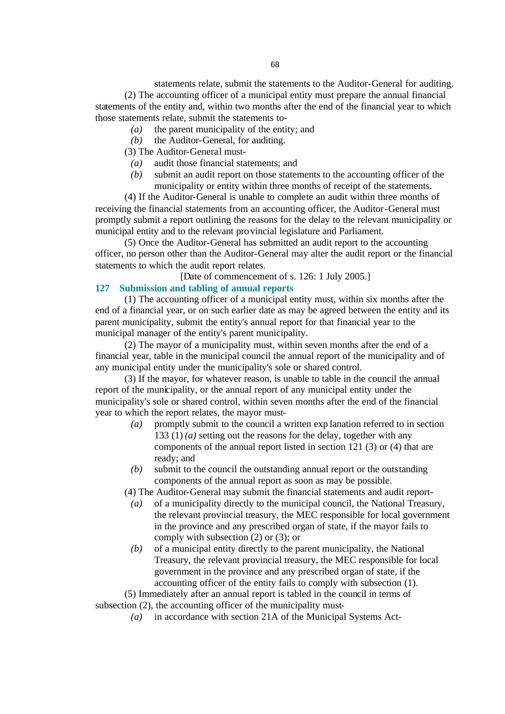statements relate, submit the statements to the Auditor-General for auditing. (2) The accounting officer of a municipal entity must prepare the annual financial statements of the entity and, within two months after the end of the financial year to which those statements relate, submit the statements to-

- *(a)* the parent municipality of the entity; and
- *(b)* the Auditor-General, for auditing.

(3) The Auditor-General must-

- *(a)* audit those financial statements; and
- *(b)* submit an audit report on those statements to the accounting officer of the municipality or entity within three months of receipt of the statements.

(4) If the Auditor-General is unable to complete an audit within three months of receiving the financial statements from an accounting officer, the Auditor-General must promptly submit a report outlining the reasons for the delay to the relevant municipality or municipal entity and to the relevant provincial legislature and Parliament.

(5) Once the Auditor-General has submitted an audit report to the accounting officer, no person other than the Auditor-General may alter the audit report or the financial statements to which the audit report relates.

[Date of commencement of s. 126: 1 July 2005.]

#### **127 Submission and tabling of annual reports**

(1) The accounting officer of a municipal entity must, within six months after the end of a financial year, or on such earlier date as may be agreed between the entity and its parent municipality, submit the entity's annual report for that financial year to the municipal manager of the entity's parent municipality.

(2) The mayor of a municipality must, within seven months after the end of a financial year, table in the municipal council the annual report of the municipality and of any municipal entity under the municipality's sole or shared control.

(3) If the mayor, for whatever reason, is unable to table in the council the annual report of the municipality, or the annual report of any municipal entity under the municipality's sole or shared control, within seven months after the end of the financial year to which the report relates, the mayor must-

- *(a)* promptly submit to the council a written exp lanation referred to in section 133 (1) *(a)* setting out the reasons for the delay, together with any components of the annual report listed in section 121 (3) or (4) that are ready; and
- *(b)* submit to the council the outstanding annual report or the outstanding components of the annual report as soon as may be possible.

(4) The Auditor-General may submit the financial statements and audit report-

- *(a)* of a municipality directly to the municipal council, the National Treasury, the relevant provincial treasury, the MEC responsible for local government in the province and any prescribed organ of state, if the mayor fails to comply with subsection (2) or (3); or
- *(b)* of a municipal entity directly to the parent municipality, the National Treasury, the relevant provincial treasury, the MEC responsible for local government in the province and any prescribed organ of state, if the accounting officer of the entity fails to comply with subsection (1).

(5) Immediately after an annual report is tabled in the council in terms of subsection (2), the accounting officer of the municipality must-

*(a)* in accordance with section 21A of the Municipal Systems Act-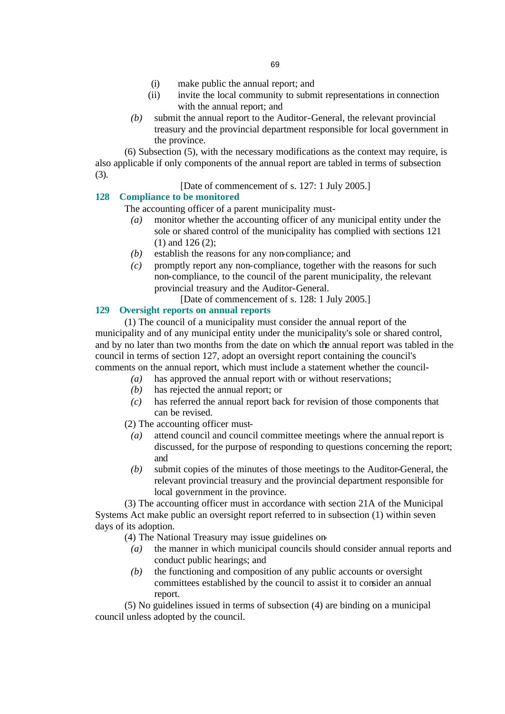- (i) make public the annual report; and
- (ii) invite the local community to submit representations in connection with the annual report; and
- *(b)* submit the annual report to the Auditor-General, the relevant provincial treasury and the provincial department responsible for local government in the province.

(6) Subsection (5), with the necessary modifications as the context may require, is also applicable if only components of the annual report are tabled in terms of subsection (3).

[Date of commencement of s. 127: 1 July 2005.]

#### **128 Compliance to be monitored**

The accounting officer of a parent municipality must-

- *(a)* monitor whether the accounting officer of any municipal entity under the sole or shared control of the municipality has complied with sections 121 (1) and 126 (2);
- *(b)* establish the reasons for any non-compliance; and
- *(c)* promptly report any non-compliance, together with the reasons for such non-compliance, to the council of the parent municipality, the relevant provincial treasury and the Auditor-General.
	- [Date of commencement of s. 128: 1 July 2005.]

# **129 Oversight reports on annual reports**

(1) The council of a municipality must consider the annual report of the municipality and of any municipal entity under the municipality's sole or shared control, and by no later than two months from the date on which the annual report was tabled in the council in terms of section 127, adopt an oversight report containing the council's comments on the annual report, which must include a statement whether the council-

- *(a)* has approved the annual report with or without reservations;
- *(b)* has rejected the annual report; or
- *(c)* has referred the annual report back for revision of those components that can be revised.

(2) The accounting officer must-

- *(a)* attend council and council committee meetings where the annual report is discussed, for the purpose of responding to questions concerning the report; and
- *(b)* submit copies of the minutes of those meetings to the Auditor-General, the relevant provincial treasury and the provincial department responsible for local government in the province.

(3) The accounting officer must in accordance with section 21A of the Municipal Systems Act make public an oversight report referred to in subsection (1) within seven days of its adoption.

(4) The National Treasury may issue guidelines on-

- *(a)* the manner in which municipal councils should consider annual reports and conduct public hearings; and
- *(b)* the functioning and composition of any public accounts or oversight committees established by the council to assist it to consider an annual report.

(5) No guidelines issued in terms of subsection (4) are binding on a municipal council unless adopted by the council.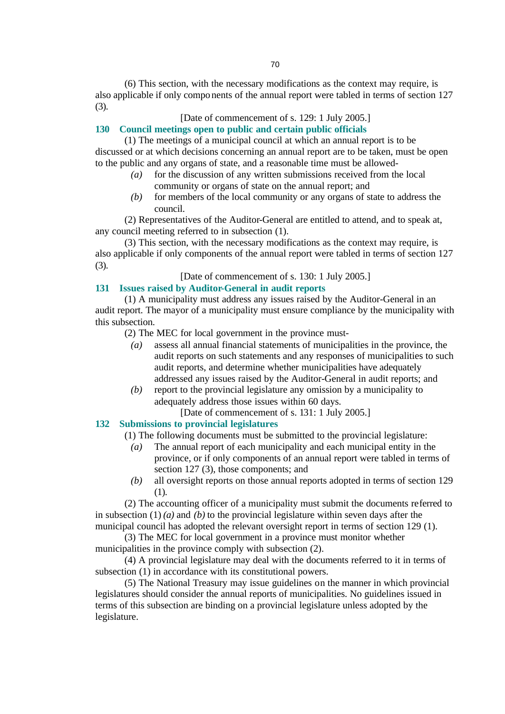(6) This section, with the necessary modifications as the context may require, is also applicable if only components of the annual report were tabled in terms of section 127 (3).

# [Date of commencement of s. 129: 1 July 2005.]

## **130 Council meetings open to public and certain public officials**

(1) The meetings of a municipal council at which an annual report is to be discussed or at which decisions concerning an annual report are to be taken, must be open to the public and any organs of state, and a reasonable time must be allowed-

- *(a)* for the discussion of any written submissions received from the local community or organs of state on the annual report; and
- *(b)* for members of the local community or any organs of state to address the council.

(2) Representatives of the Auditor-General are entitled to attend, and to speak at, any council meeting referred to in subsection (1).

(3) This section, with the necessary modifications as the context may require, is also applicable if only components of the annual report were tabled in terms of section 127 (3).

[Date of commencement of s. 130: 1 July 2005.]

#### **131 Issues raised by Auditor-General in audit reports**

(1) A municipality must address any issues raised by the Auditor-General in an audit report. The mayor of a municipality must ensure compliance by the municipality with this subsection.

(2) The MEC for local government in the province must-

- *(a)* assess all annual financial statements of municipalities in the province, the audit reports on such statements and any responses of municipalities to such audit reports, and determine whether municipalities have adequately addressed any issues raised by the Auditor-General in audit reports; and
- *(b)* report to the provincial legislature any omission by a municipality to adequately address those issues within 60 days.

[Date of commencement of s. 131: 1 July 2005.]

#### **132 Submissions to provincial legislatures**

(1) The following documents must be submitted to the provincial legislature:

- *(a)* The annual report of each municipality and each municipal entity in the province, or if only components of an annual report were tabled in terms of section 127 (3), those components; and
- *(b)* all oversight reports on those annual reports adopted in terms of section 129 (1).

(2) The accounting officer of a municipality must submit the documents referred to in subsection (1) *(a)* and *(b)* to the provincial legislature within seven days after the municipal council has adopted the relevant oversight report in terms of section 129 (1).

(3) The MEC for local government in a province must monitor whether municipalities in the province comply with subsection (2).

(4) A provincial legislature may deal with the documents referred to it in terms of subsection (1) in accordance with its constitutional powers.

(5) The National Treasury may issue guidelines on the manner in which provincial legislatures should consider the annual reports of municipalities. No guidelines issued in terms of this subsection are binding on a provincial legislature unless adopted by the legislature.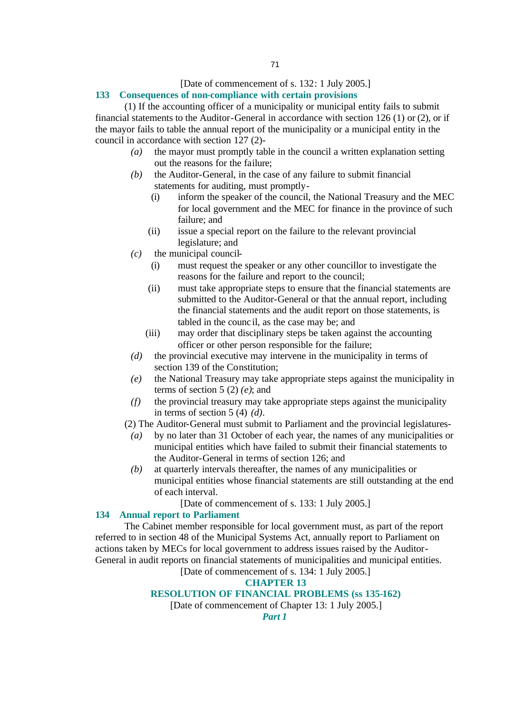#### [Date of commencement of s. 132: 1 July 2005.]

#### **133 Consequences of non-compliance with certain provisions**

(1) If the accounting officer of a municipality or municipal entity fails to submit financial statements to the Auditor-General in accordance with section 126 (1) or (2), or if the mayor fails to table the annual report of the municipality or a municipal entity in the council in accordance with section 127 (2)-

- *(a)* the mayor must promptly table in the council a written explanation setting out the reasons for the failure;
- *(b)* the Auditor-General, in the case of any failure to submit financial statements for auditing, must promptly-
	- (i) inform the speaker of the council, the National Treasury and the MEC for local government and the MEC for finance in the province of such failure; and
	- (ii) issue a special report on the failure to the relevant provincial legislature; and
- *(c)* the municipal council-
	- (i) must request the speaker or any other councillor to investigate the reasons for the failure and report to the council;
	- (ii) must take appropriate steps to ensure that the financial statements are submitted to the Auditor-General or that the annual report, including the financial statements and the audit report on those statements, is tabled in the counc il, as the case may be; and
	- (iii) may order that disciplinary steps be taken against the accounting officer or other person responsible for the failure;
- *(d)* the provincial executive may intervene in the municipality in terms of section 139 of the Constitution;
- *(e)* the National Treasury may take appropriate steps against the municipality in terms of section 5 (2) *(e)*; and
- *(f)* the provincial treasury may take appropriate steps against the municipality in terms of section 5 (4) *(d)*.
- (2) The Auditor-General must submit to Parliament and the provincial legislatures-
	- *(a)* by no later than 31 October of each year, the names of any municipalities or municipal entities which have failed to submit their financial statements to the Auditor-General in terms of section 126; and
	- *(b)* at quarterly intervals thereafter, the names of any municipalities or municipal entities whose financial statements are still outstanding at the end of each interval.
		- [Date of commencement of s. 133: 1 July 2005.]

## **134 Annual report to Parliament**

The Cabinet member responsible for local government must, as part of the report referred to in section 48 of the Municipal Systems Act, annually report to Parliament on actions taken by MECs for local government to address issues raised by the Auditor-General in audit reports on financial statements of municipalities and municipal entities.

[Date of commencement of s. 134: 1 July 2005.]

#### **CHAPTER 13**

#### **RESOLUTION OF FINANCIAL PROBLEMS (ss 135-162)**

[Date of commencement of Chapter 13: 1 July 2005.]

*Part 1*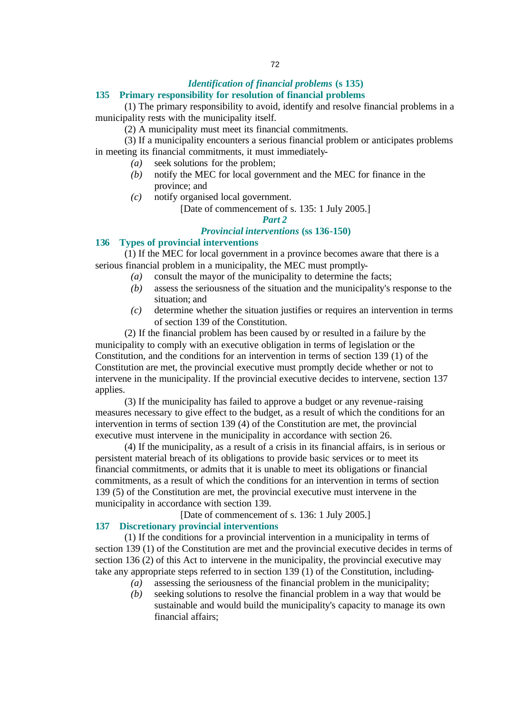## *Identification of financial problems* **(s 135)**

#### **135 Primary responsibility for resolution of financial problems**

(1) The primary responsibility to avoid, identify and resolve financial problems in a municipality rests with the municipality itself.

(2) A municipality must meet its financial commitments.

(3) If a municipality encounters a serious financial problem or anticipates problems in meeting its financial commitments, it must immediately-

- *(a)* seek solutions for the problem;
- *(b)* notify the MEC for local government and the MEC for finance in the province; and
- *(c)* notify organised local government.

[Date of commencement of s. 135: 1 July 2005.]

## *Part 2*

#### *Provincial interventions* **(ss 136-150)**

#### **136 Types of provincial interventions**

(1) If the MEC for local government in a province becomes aware that there is a serious financial problem in a municipality, the MEC must promptly-

- *(a)* consult the mayor of the municipality to determine the facts;
- *(b)* assess the seriousness of the situation and the municipality's response to the situation; and
- *(c)* determine whether the situation justifies or requires an intervention in terms of section 139 of the Constitution.

(2) If the financial problem has been caused by or resulted in a failure by the municipality to comply with an executive obligation in terms of legislation or the Constitution, and the conditions for an intervention in terms of section 139 (1) of the Constitution are met, the provincial executive must promptly decide whether or not to intervene in the municipality. If the provincial executive decides to intervene, section 137 applies.

(3) If the municipality has failed to approve a budget or any revenue-raising measures necessary to give effect to the budget, as a result of which the conditions for an intervention in terms of section 139 (4) of the Constitution are met, the provincial executive must intervene in the municipality in accordance with section 26.

(4) If the municipality, as a result of a crisis in its financial affairs, is in serious or persistent material breach of its obligations to provide basic services or to meet its financial commitments, or admits that it is unable to meet its obligations or financial commitments, as a result of which the conditions for an intervention in terms of section 139 (5) of the Constitution are met, the provincial executive must intervene in the municipality in accordance with section 139.

[Date of commencement of s. 136: 1 July 2005.]

#### **137 Discretionary provincial interventions**

(1) If the conditions for a provincial intervention in a municipality in terms of section 139 (1) of the Constitution are met and the provincial executive decides in terms of section 136 (2) of this Act to intervene in the municipality, the provincial executive may take any appropriate steps referred to in section 139 (1) of the Constitution, including-

- *(a)* assessing the seriousness of the financial problem in the municipality;
- *(b)* seeking solutions to resolve the financial problem in a way that would be sustainable and would build the municipality's capacity to manage its own financial affairs;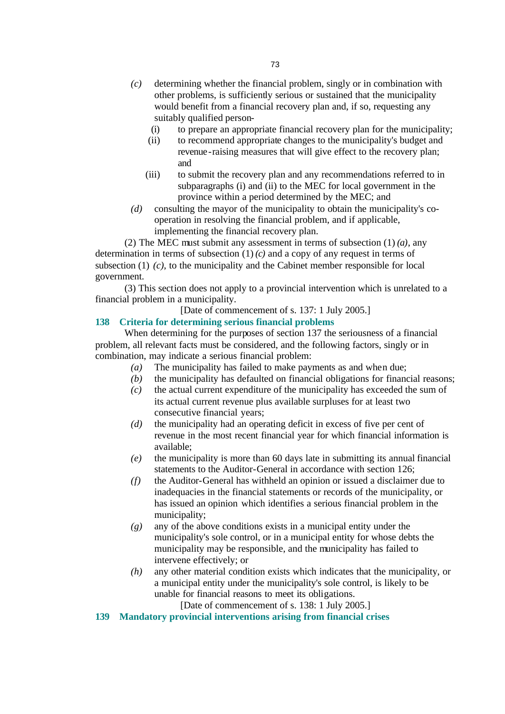- *(c)* determining whether the financial problem, singly or in combination with other problems, is sufficiently serious or sustained that the municipality would benefit from a financial recovery plan and, if so, requesting any suitably qualified person-
	- (i) to prepare an appropriate financial recovery plan for the municipality;
	- (ii) to recommend appropriate changes to the municipality's budget and revenue-raising measures that will give effect to the recovery plan; and
	- (iii) to submit the recovery plan and any recommendations referred to in subparagraphs (i) and (ii) to the MEC for local government in the province within a period determined by the MEC; and
- *(d)* consulting the mayor of the municipality to obtain the municipality's cooperation in resolving the financial problem, and if applicable, implementing the financial recovery plan.

(2) The MEC must submit any assessment in terms of subsection (1) *(a)*, any determination in terms of subsection (1) *(c)* and a copy of any request in terms of subsection (1) (c), to the municipality and the Cabinet member responsible for local government.

(3) This section does not apply to a provincial intervention which is unrelated to a financial problem in a municipality.

[Date of commencement of s. 137: 1 July 2005.]

### **138 Criteria for determining serious financial problems**

When determining for the purposes of section 137 the seriousness of a financial problem, all relevant facts must be considered, and the following factors, singly or in combination, may indicate a serious financial problem:

- *(a)* The municipality has failed to make payments as and when due;
- *(b)* the municipality has defaulted on financial obligations for financial reasons;
- *(c)* the actual current expenditure of the municipality has exceeded the sum of its actual current revenue plus available surpluses for at least two consecutive financial years;
- *(d)* the municipality had an operating deficit in excess of five per cent of revenue in the most recent financial year for which financial information is available;
- *(e)* the municipality is more than 60 days late in submitting its annual financial statements to the Auditor-General in accordance with section 126;
- *(f)* the Auditor-General has withheld an opinion or issued a disclaimer due to inadequacies in the financial statements or records of the municipality, or has issued an opinion which identifies a serious financial problem in the municipality;
- *(g)* any of the above conditions exists in a municipal entity under the municipality's sole control, or in a municipal entity for whose debts the municipality may be responsible, and the municipality has failed to intervene effectively; or
- *(h)* any other material condition exists which indicates that the municipality, or a municipal entity under the municipality's sole control, is likely to be unable for financial reasons to meet its obligations.

[Date of commencement of s. 138: 1 July 2005.]

**139 Mandatory provincial interventions arising from financial crises**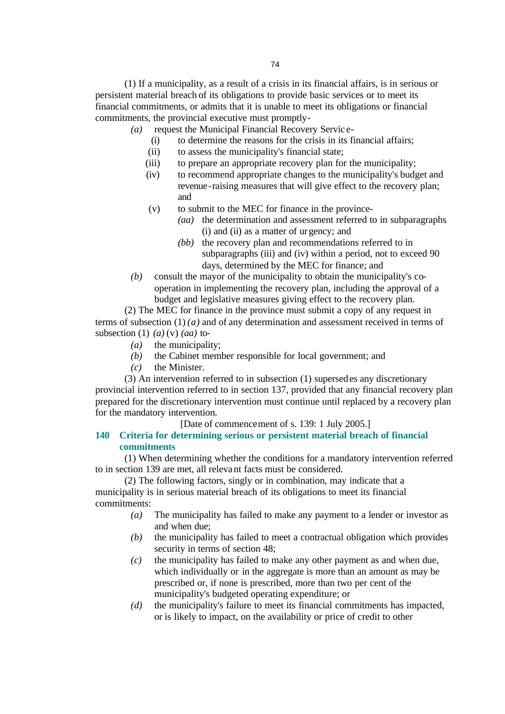(1) If a municipality, as a result of a crisis in its financial affairs, is in serious or persistent material breach of its obligations to provide basic services or to meet its financial commitments, or admits that it is unable to meet its obligations or financial commitments, the provincial executive must promptly-

- *(a)* request the Municipal Financial Recovery Servic e-
	- (i) to determine the reasons for the crisis in its financial affairs;
	- (ii) to assess the municipality's financial state;
	- (iii) to prepare an appropriate recovery plan for the municipality;
	- (iv) to recommend appropriate changes to the municipality's budget and revenue-raising measures that will give effect to the recovery plan; and
	- (v) to submit to the MEC for finance in the province-
		- *(aa)* the determination and assessment referred to in subparagraphs (i) and (ii) as a matter of urgency; and
		- *(bb)* the recovery plan and recommendations referred to in subparagraphs (iii) and (iv) within a period, not to exceed 90 days, determined by the MEC for finance; and
- *(b)* consult the mayor of the municipality to obtain the municipality's cooperation in implementing the recovery plan, including the approval of a budget and legislative measures giving effect to the recovery plan.

(2) The MEC for finance in the province must submit a copy of any request in terms of subsection (1) *(a)* and of any determination and assessment received in terms of subsection (1) *(a)* (v) *(aa)* to-

- *(a)* the municipality;
- *(b)* the Cabinet member responsible for local government; and
- *(c)* the Minister.

(3) An intervention referred to in subsection (1) supersedes any discretionary provincial intervention referred to in section 137, provided that any financial recovery plan prepared for the discretionary intervention must continue until replaced by a recovery plan for the mandatory intervention.

[Date of commencement of s. 139: 1 July 2005.]

# **140 Criteria for determining serious or persistent material breach of financial commitments**

(1) When determining whether the conditions for a mandatory intervention referred to in section 139 are met, all relevant facts must be considered.

(2) The following factors, singly or in combination, may indicate that a municipality is in serious material breach of its obligations to meet its financial commitments:

- *(a)* The municipality has failed to make any payment to a lender or investor as and when due;
- *(b)* the municipality has failed to meet a contractual obligation which provides security in terms of section 48;
- *(c)* the municipality has failed to make any other payment as and when due, which individually or in the aggregate is more than an amount as may be prescribed or, if none is prescribed, more than two per cent of the municipality's budgeted operating expenditure; or
- *(d)* the municipality's failure to meet its financial commitments has impacted, or is likely to impact, on the availability or price of credit to other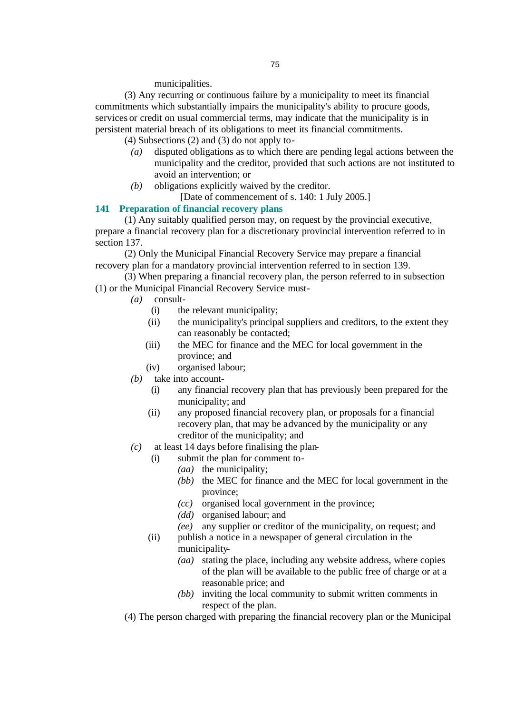municipalities.

(3) Any recurring or continuous failure by a municipality to meet its financial commitments which substantially impairs the municipality's ability to procure goods, services or credit on usual commercial terms, may indicate that the municipality is in persistent material breach of its obligations to meet its financial commitments.

(4) Subsections (2) and (3) do not apply to-

- *(a)* disputed obligations as to which there are pending legal actions between the municipality and the creditor, provided that such actions are not instituted to avoid an intervention; or
- *(b)* obligations explicitly waived by the creditor.

[Date of commencement of s. 140: 1 July 2005.]

### **141 Preparation of financial recovery plans**

(1) Any suitably qualified person may, on request by the provincial executive, prepare a financial recovery plan for a discretionary provincial intervention referred to in section 137.

(2) Only the Municipal Financial Recovery Service may prepare a financial recovery plan for a mandatory provincial intervention referred to in section 139.

(3) When preparing a financial recovery plan, the person referred to in subsection (1) or the Municipal Financial Recovery Service must-

- *(a)* consult-
	- (i) the relevant municipality;
	- (ii) the municipality's principal suppliers and creditors, to the extent they can reasonably be contacted;
	- (iii) the MEC for finance and the MEC for local government in the province; and
	- (iv) organised labour;
- *(b)* take into account-
	- (i) any financial recovery plan that has previously been prepared for the municipality; and
	- (ii) any proposed financial recovery plan, or proposals for a financial recovery plan, that may be advanced by the municipality or any creditor of the municipality; and
- *(c)* at least 14 days before finalising the plan-
	- (i) submit the plan for comment to-
		- *(aa)* the municipality;
			- *(bb)* the MEC for finance and the MEC for local government in the province;
			- *(cc)* organised local government in the province;
			- *(dd)* organised labour; and
		- *(ee)* any supplier or creditor of the municipality, on request; and
	- (ii) publish a notice in a newspaper of general circulation in the municipality-
		- *(aa)* stating the place, including any website address, where copies of the plan will be available to the public free of charge or at a reasonable price; and
		- *(bb)* inviting the local community to submit written comments in respect of the plan.
- (4) The person charged with preparing the financial recovery plan or the Municipal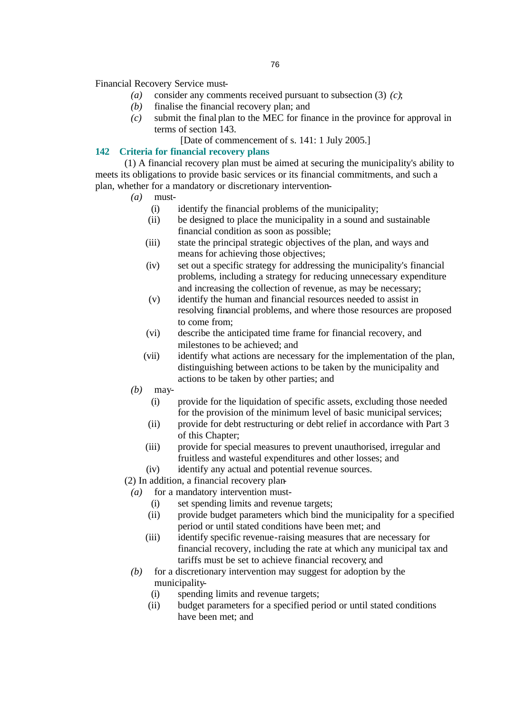Financial Recovery Service must-

- *(a)* consider any comments received pursuant to subsection (3) *(c)*;
- *(b)* finalise the financial recovery plan; and
- *(c)* submit the final plan to the MEC for finance in the province for approval in terms of section 143.

[Date of commencement of s. 141: 1 July 2005.]

# **142 Criteria for financial recovery plans**

(1) A financial recovery plan must be aimed at securing the municipality's ability to meets its obligations to provide basic services or its financial commitments, and such a plan, whether for a mandatory or discretionary intervention-

- *(a)* must-
	- (i) identify the financial problems of the municipality;
	- (ii) be designed to place the municipality in a sound and sustainable financial condition as soon as possible;
	- (iii) state the principal strategic objectives of the plan, and ways and means for achieving those objectives;
	- (iv) set out a specific strategy for addressing the municipality's financial problems, including a strategy for reducing unnecessary expenditure and increasing the collection of revenue, as may be necessary;
	- (v) identify the human and financial resources needed to assist in resolving financial problems, and where those resources are proposed to come from;
	- (vi) describe the anticipated time frame for financial recovery, and milestones to be achieved; and
	- (vii) identify what actions are necessary for the implementation of the plan, distinguishing between actions to be taken by the municipality and actions to be taken by other parties; and
- *(b)* may-
	- (i) provide for the liquidation of specific assets, excluding those needed for the provision of the minimum level of basic municipal services;
	- (ii) provide for debt restructuring or debt relief in accordance with Part 3 of this Chapter;
	- (iii) provide for special measures to prevent unauthorised, irregular and fruitless and wasteful expenditures and other losses; and
	- (iv) identify any actual and potential revenue sources.
- (2) In addition, a financial recovery plan-
	- *(a)* for a mandatory intervention must-
		- (i) set spending limits and revenue targets;
		- (ii) provide budget parameters which bind the municipality for a specified period or until stated conditions have been met; and
		- (iii) identify specific revenue-raising measures that are necessary for financial recovery, including the rate at which any municipal tax and tariffs must be set to achieve financial recovery; and
	- *(b)* for a discretionary intervention may suggest for adoption by the municipality-
		- (i) spending limits and revenue targets;
		- (ii) budget parameters for a specified period or until stated conditions have been met; and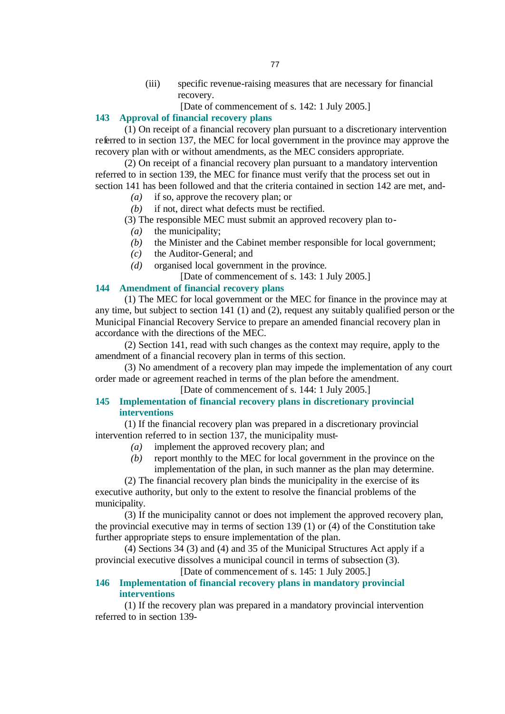(iii) specific revenue-raising measures that are necessary for financial recovery.

[Date of commencement of s. 142: 1 July 2005.]

# **143 Approval of financial recovery plans**

(1) On receipt of a financial recovery plan pursuant to a discretionary intervention referred to in section 137, the MEC for local government in the province may approve the recovery plan with or without amendments, as the MEC considers appropriate.

(2) On receipt of a financial recovery plan pursuant to a mandatory intervention referred to in section 139, the MEC for finance must verify that the process set out in section 141 has been followed and that the criteria contained in section 142 are met, and-

*(a)* if so, approve the recovery plan; or

*(b)* if not, direct what defects must be rectified.

(3) The responsible MEC must submit an approved recovery plan to-

*(a)* the municipality;

- *(b)* the Minister and the Cabinet member responsible for local government;
- *(c)* the Auditor-General; and
- *(d)* organised local government in the province.

[Date of commencement of s. 143: 1 July 2005.]

#### **144 Amendment of financial recovery plans**

(1) The MEC for local government or the MEC for finance in the province may at any time, but subject to section 141 (1) and (2), request any suitably qualified person or the Municipal Financial Recovery Service to prepare an amended financial recovery plan in accordance with the directions of the MEC.

(2) Section 141, read with such changes as the context may require, apply to the amendment of a financial recovery plan in terms of this section.

(3) No amendment of a recovery plan may impede the implementation of any court order made or agreement reached in terms of the plan before the amendment.

[Date of commencement of s. 144: 1 July 2005.]

### **145 Implementation of financial recovery plans in discretionary provincial interventions**

(1) If the financial recovery plan was prepared in a discretionary provincial intervention referred to in section 137, the municipality must-

- *(a)* implement the approved recovery plan; and
- *(b)* report monthly to the MEC for local government in the province on the implementation of the plan, in such manner as the plan may determine.

(2) The financial recovery plan binds the municipality in the exercise of its executive authority, but only to the extent to resolve the financial problems of the municipality.

(3) If the municipality cannot or does not implement the approved recovery plan, the provincial executive may in terms of section 139 (1) or (4) of the Constitution take further appropriate steps to ensure implementation of the plan.

(4) Sections 34 (3) and (4) and 35 of the Municipal Structures Act apply if a provincial executive dissolves a municipal council in terms of subsection (3).

[Date of commencement of s. 145: 1 July 2005.]

# **146 Implementation of financial recovery plans in mandatory provincial interventions**

(1) If the recovery plan was prepared in a mandatory provincial intervention referred to in section 139-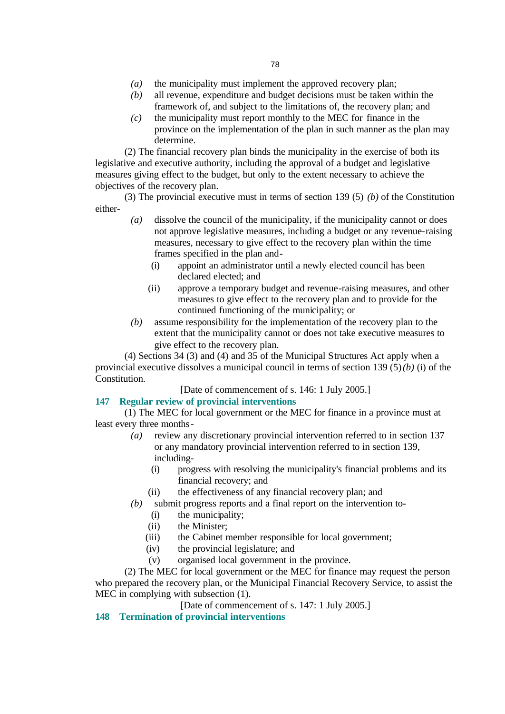- *(a)* the municipality must implement the approved recovery plan;
- *(b)* all revenue, expenditure and budget decisions must be taken within the framework of, and subject to the limitations of, the recovery plan; and
- *(c)* the municipality must report monthly to the MEC for finance in the province on the implementation of the plan in such manner as the plan may determine.

(2) The financial recovery plan binds the municipality in the exercise of both its legislative and executive authority, including the approval of a budget and legislative measures giving effect to the budget, but only to the extent necessary to achieve the objectives of the recovery plan.

(3) The provincial executive must in terms of section 139 (5) *(b)* of the Constitution either-

- *(a)* dissolve the council of the municipality, if the municipality cannot or does not approve legislative measures, including a budget or any revenue-raising measures, necessary to give effect to the recovery plan within the time frames specified in the plan and-
	- (i) appoint an administrator until a newly elected council has been declared elected; and
	- (ii) approve a temporary budget and revenue-raising measures, and other measures to give effect to the recovery plan and to provide for the continued functioning of the municipality; or
- *(b)* assume responsibility for the implementation of the recovery plan to the extent that the municipality cannot or does not take executive measures to give effect to the recovery plan.

(4) Sections 34 (3) and (4) and 35 of the Municipal Structures Act apply when a provincial executive dissolves a municipal council in terms of section 139 (5) *(b)* (i) of the Constitution.

[Date of commencement of s. 146: 1 July 2005.]

# **147 Regular review of provincial interventions**

(1) The MEC for local government or the MEC for finance in a province must at least every three months-

- *(a)* review any discretionary provincial intervention referred to in section 137 or any mandatory provincial intervention referred to in section 139, including-
	- (i) progress with resolving the municipality's financial problems and its financial recovery; and
	- (ii) the effectiveness of any financial recovery plan; and
- *(b)* submit progress reports and a final report on the intervention to-
	- (i) the municipality;
	- (ii) the Minister:
	- (iii) the Cabinet member responsible for local government;
	- (iv) the provincial legislature; and
	- (v) organised local government in the province.

(2) The MEC for local government or the MEC for finance may request the person who prepared the recovery plan, or the Municipal Financial Recovery Service, to assist the MEC in complying with subsection (1).

[Date of commencement of s. 147: 1 July 2005.]

# **148 Termination of provincial interventions**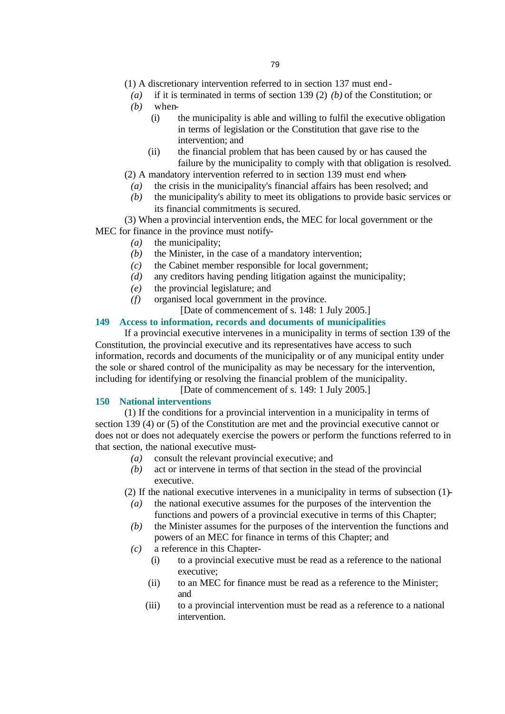- (1) A discretionary intervention referred to in section 137 must end-
	- *(a)* if it is terminated in terms of section 139 (2) *(b)* of the Constitution; or

*(b)* when-

- (i) the municipality is able and willing to fulfil the executive obligation in terms of legislation or the Constitution that gave rise to the intervention; and
- (ii) the financial problem that has been caused by or has caused the failure by the municipality to comply with that obligation is resolved.
- (2) A mandatory intervention referred to in section 139 must end when-
	- *(a)* the crisis in the municipality's financial affairs has been resolved; and
	- *(b)* the municipality's ability to meet its obligations to provide basic services or its financial commitments is secured.

(3) When a provincial intervention ends, the MEC for local government or the MEC for finance in the province must notify-

- *(a)* the municipality;
- *(b)* the Minister, in the case of a mandatory intervention;
- *(c)* the Cabinet member responsible for local government;
- *(d)* any creditors having pending litigation against the municipality;
- *(e)* the provincial legislature; and
- *(f)* organised local government in the province.
	- [Date of commencement of s. 148: 1 July 2005.]

# **149 Access to information, records and documents of municipalities**

If a provincial executive intervenes in a municipality in terms of section 139 of the Constitution, the provincial executive and its representatives have access to such information, records and documents of the municipality or of any municipal entity under the sole or shared control of the municipality as may be necessary for the intervention, including for identifying or resolving the financial problem of the municipality.

[Date of commencement of s. 149: 1 July 2005.]

#### **150 National interventions**

(1) If the conditions for a provincial intervention in a municipality in terms of section 139 (4) or (5) of the Constitution are met and the provincial executive cannot or does not or does not adequately exercise the powers or perform the functions referred to in that section, the national executive must-

- *(a)* consult the relevant provincial executive; and
- *(b)* act or intervene in terms of that section in the stead of the provincial executive.

(2) If the national executive intervenes in a municipality in terms of subsection (1)-

- *(a)* the national executive assumes for the purposes of the intervention the functions and powers of a provincial executive in terms of this Chapter;
- *(b)* the Minister assumes for the purposes of the intervention the functions and powers of an MEC for finance in terms of this Chapter; and
- *(c)* a reference in this Chapter-
	- (i) to a provincial executive must be read as a reference to the national executive;
	- (ii) to an MEC for finance must be read as a reference to the Minister; and
	- (iii) to a provincial intervention must be read as a reference to a national intervention.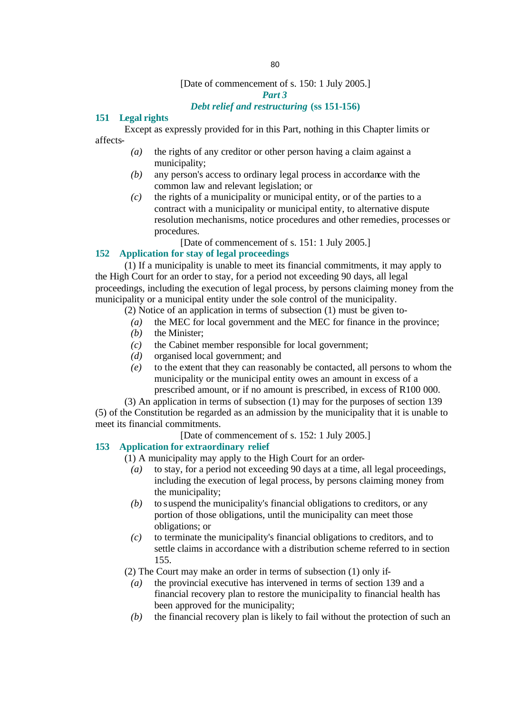### [Date of commencement of s. 150: 1 July 2005.]

#### *Part 3*

# *Debt relief and restructuring* **(ss 151-156)**

# **151 Legal rights**

Except as expressly provided for in this Part, nothing in this Chapter limits or affects-

- *(a)* the rights of any creditor or other person having a claim against a municipality;
- *(b)* any person's access to ordinary legal process in accordance with the common law and relevant legislation; or
- *(c)* the rights of a municipality or municipal entity, or of the parties to a contract with a municipality or municipal entity, to alternative dispute resolution mechanisms, notice procedures and other remedies, processes or procedures.

[Date of commencement of s. 151: 1 July 2005.]

### **152 Application for stay of legal proceedings**

(1) If a municipality is unable to meet its financial commitments, it may apply to the High Court for an order to stay, for a period not exceeding 90 days, all legal proceedings, including the execution of legal process, by persons claiming money from the municipality or a municipal entity under the sole control of the municipality.

- (2) Notice of an application in terms of subsection (1) must be given to-
	- *(a)* the MEC for local government and the MEC for finance in the province;
	- *(b)* the Minister;
	- *(c)* the Cabinet member responsible for local government;
	- *(d)* organised local government; and
	- *(e)* to the extent that they can reasonably be contacted, all persons to whom the municipality or the municipal entity owes an amount in excess of a prescribed amount, or if no amount is prescribed, in excess of R100 000.

(3) An application in terms of subsection (1) may for the purposes of section 139 (5) of the Constitution be regarded as an admission by the municipality that it is unable to meet its financial commitments.

[Date of commencement of s. 152: 1 July 2005.]

#### **153 Application for extraordinary relief**

(1) A municipality may apply to the High Court for an order-

- *(a)* to stay, for a period not exceeding 90 days at a time, all legal proceedings, including the execution of legal process, by persons claiming money from the municipality;
- *(b)* to suspend the municipality's financial obligations to creditors, or any portion of those obligations, until the municipality can meet those obligations; or
- *(c)* to terminate the municipality's financial obligations to creditors, and to settle claims in accordance with a distribution scheme referred to in section 155.

(2) The Court may make an order in terms of subsection (1) only if-

- *(a)* the provincial executive has intervened in terms of section 139 and a financial recovery plan to restore the municipality to financial health has been approved for the municipality;
- *(b)* the financial recovery plan is likely to fail without the protection of such an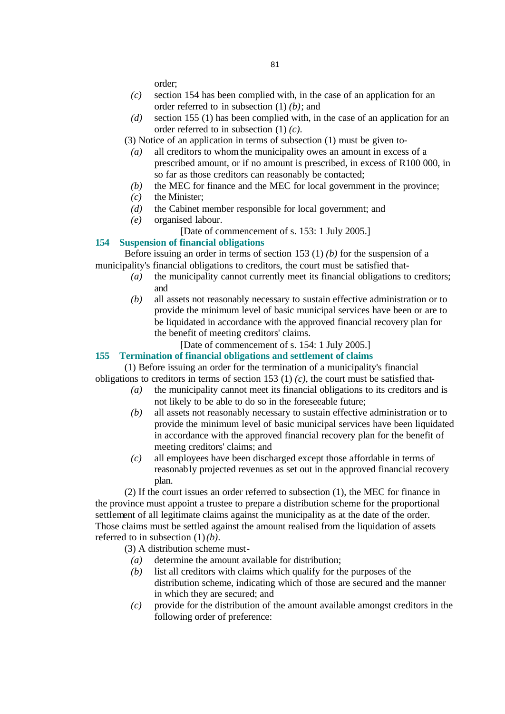order;

- *(c)* section 154 has been complied with, in the case of an application for an order referred to in subsection (1) *(b)*; and
- *(d)* section 155 (1) has been complied with, in the case of an application for an order referred to in subsection (1) *(c)*.
- (3) Notice of an application in terms of subsection (1) must be given to-
	- *(a)* all creditors to whom the municipality owes an amount in excess of a prescribed amount, or if no amount is prescribed, in excess of R100 000, in so far as those creditors can reasonably be contacted;
	- *(b)* the MEC for finance and the MEC for local government in the province;
	- *(c)* the Minister;
	- *(d)* the Cabinet member responsible for local government; and
	- *(e)* organised labour.
		- [Date of commencement of s. 153: 1 July 2005.]

#### **154 Suspension of financial obligations**

Before issuing an order in terms of section 153 (1) *(b)* for the suspension of a municipality's financial obligations to creditors, the court must be satisfied that-

- *(a)* the municipality cannot currently meet its financial obligations to creditors; and
- *(b)* all assets not reasonably necessary to sustain effective administration or to provide the minimum level of basic municipal services have been or are to be liquidated in accordance with the approved financial recovery plan for the benefit of meeting creditors' claims.
	- [Date of commencement of s. 154: 1 July 2005.]

### **155 Termination of financial obligations and settlement of claims**

(1) Before issuing an order for the termination of a municipality's financial obligations to creditors in terms of section 153 (1) *(c)*, the court must be satisfied that-

- *(a)* the municipality cannot meet its financial obligations to its creditors and is not likely to be able to do so in the foreseeable future;
- *(b)* all assets not reasonably necessary to sustain effective administration or to provide the minimum level of basic municipal services have been liquidated in accordance with the approved financial recovery plan for the benefit of meeting creditors' claims; and
- *(c)* all employees have been discharged except those affordable in terms of reasonably projected revenues as set out in the approved financial recovery plan.

(2) If the court issues an order referred to subsection (1), the MEC for finance in the province must appoint a trustee to prepare a distribution scheme for the proportional settlement of all legitimate claims against the municipality as at the date of the order. Those claims must be settled against the amount realised from the liquidation of assets referred to in subsection  $(1)(b)$ .

(3) A distribution scheme must-

- *(a)* determine the amount available for distribution;
- *(b)* list all creditors with claims which qualify for the purposes of the distribution scheme, indicating which of those are secured and the manner in which they are secured; and
- *(c)* provide for the distribution of the amount available amongst creditors in the following order of preference: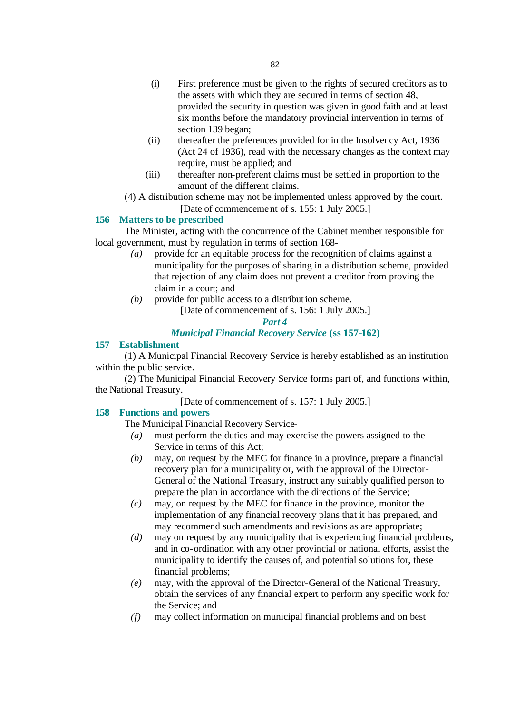- (ii) thereafter the preferences provided for in the Insolvency Act, 1936 (Act 24 of 1936), read with the necessary changes as the context may require, must be applied; and
- (iii) thereafter non-preferent claims must be settled in proportion to the amount of the different claims.
- (4) A distribution scheme may not be implemented unless approved by the court.

[Date of commencement of s. 155: 1 July 2005.]

# **156 Matters to be prescribed**

The Minister, acting with the concurrence of the Cabinet member responsible for local government, must by regulation in terms of section 168-

- *(a)* provide for an equitable process for the recognition of claims against a municipality for the purposes of sharing in a distribution scheme, provided that rejection of any claim does not prevent a creditor from proving the claim in a court; and
- *(b)* provide for public access to a distribution scheme. [Date of commencement of s. 156: 1 July 2005.]

### *Part 4*

# *Municipal Financial Recovery Service* **(ss 157-162)**

# **157 Establishment**

(1) A Municipal Financial Recovery Service is hereby established as an institution within the public service.

(2) The Municipal Financial Recovery Service forms part of, and functions within, the National Treasury.

[Date of commencement of s. 157: 1 July 2005.]

# **158 Functions and powers**

The Municipal Financial Recovery Service-

- *(a)* must perform the duties and may exercise the powers assigned to the Service in terms of this Act;
- *(b)* may, on request by the MEC for finance in a province, prepare a financial recovery plan for a municipality or, with the approval of the Director-General of the National Treasury, instruct any suitably qualified person to prepare the plan in accordance with the directions of the Service;
- *(c)* may, on request by the MEC for finance in the province, monitor the implementation of any financial recovery plans that it has prepared, and may recommend such amendments and revisions as are appropriate;
- *(d)* may on request by any municipality that is experiencing financial problems, and in co-ordination with any other provincial or national efforts, assist the municipality to identify the causes of, and potential solutions for, these financial problems;
- *(e)* may, with the approval of the Director-General of the National Treasury, obtain the services of any financial expert to perform any specific work for the Service; and
- *(f)* may collect information on municipal financial problems and on best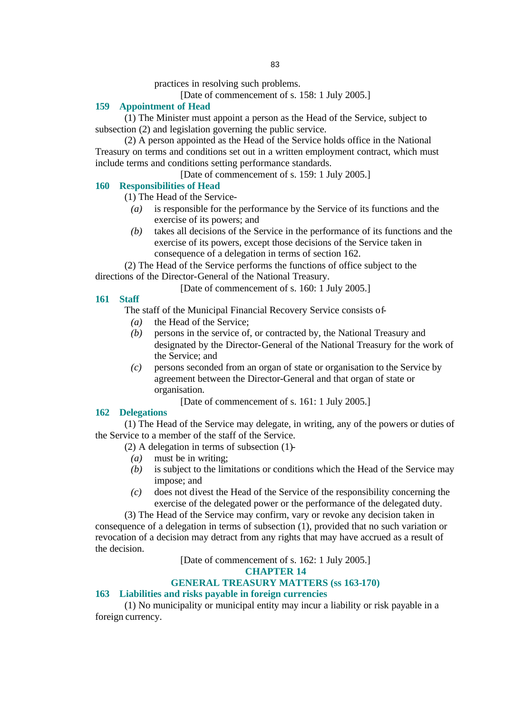practices in resolving such problems.

[Date of commencement of s. 158: 1 July 2005.]

### **159 Appointment of Head**

(1) The Minister must appoint a person as the Head of the Service, subject to subsection (2) and legislation governing the public service.

(2) A person appointed as the Head of the Service holds office in the National Treasury on terms and conditions set out in a written employment contract, which must include terms and conditions setting performance standards.

[Date of commencement of s. 159: 1 July 2005.]

### **160 Responsibilities of Head**

(1) The Head of the Service-

- *(a)* is responsible for the performance by the Service of its functions and the exercise of its powers; and
- *(b)* takes all decisions of the Service in the performance of its functions and the exercise of its powers, except those decisions of the Service taken in consequence of a delegation in terms of section 162.

(2) The Head of the Service performs the functions of office subject to the directions of the Director-General of the National Treasury.

[Date of commencement of s. 160: 1 July 2005.]

#### **161 Staff**

The staff of the Municipal Financial Recovery Service consists of-

- *(a)* the Head of the Service;
- *(b)* persons in the service of, or contracted by, the National Treasury and designated by the Director-General of the National Treasury for the work of the Service; and
- *(c)* persons seconded from an organ of state or organisation to the Service by agreement between the Director-General and that organ of state or organisation.

[Date of commencement of s. 161: 1 July 2005.]

#### **162 Delegations**

(1) The Head of the Service may delegate, in writing, any of the powers or duties of the Service to a member of the staff of the Service.

(2) A delegation in terms of subsection (1)-

- *(a)* must be in writing;
- *(b)* is subject to the limitations or conditions which the Head of the Service may impose; and
- *(c)* does not divest the Head of the Service of the responsibility concerning the exercise of the delegated power or the performance of the delegated duty.

(3) The Head of the Service may confirm, vary or revoke any decision taken in consequence of a delegation in terms of subsection (1), provided that no such variation or revocation of a decision may detract from any rights that may have accrued as a result of the decision.

[Date of commencement of s. 162: 1 July 2005.]

#### **CHAPTER 14**

### **GENERAL TREASURY MATTERS (ss 163-170)**

### **163 Liabilities and risks payable in foreign currencies**

(1) No municipality or municipal entity may incur a liability or risk payable in a foreign currency.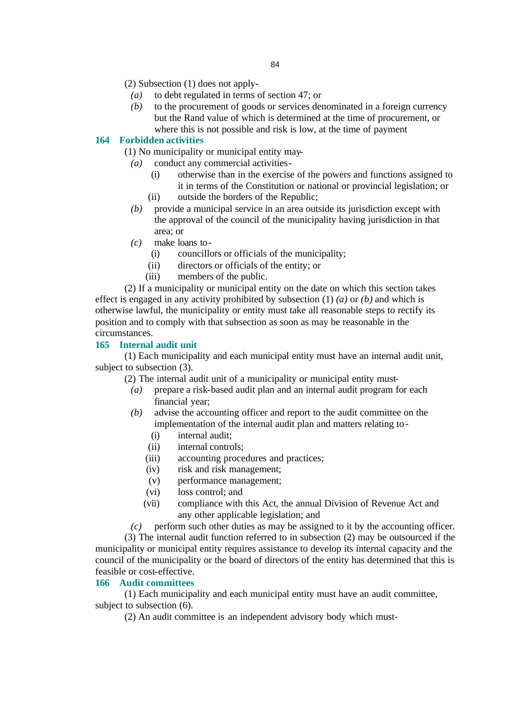- (2) Subsection (1) does not apply-
	- *(a)* to debt regulated in terms of section 47; or
	- *(b)* to the procurement of goods or services denominated in a foreign currency but the Rand value of which is determined at the time of procurement, or where this is not possible and risk is low, at the time of payment

### **164 Forbidden activities**

(1) No municipality or municipal entity may-

- *(a)* conduct any commercial activities-
	- (i) otherwise than in the exercise of the powers and functions assigned to it in terms of the Constitution or national or provincial legislation; or
	- (ii) outside the borders of the Republic;
- *(b)* provide a municipal service in an area outside its jurisdiction except with the approval of the council of the municipality having jurisdiction in that area; or
- *(c)* make loans to-
	- (i) councillors or officials of the municipality;
	- (ii) directors or officials of the entity; or
	- (iii) members of the public.

(2) If a municipality or municipal entity on the date on which this section takes effect is engaged in any activity prohibited by subsection (1) *(a)* or *(b)* and which is otherwise lawful, the municipality or entity must take all reasonable steps to rectify its position and to comply with that subsection as soon as may be reasonable in the circumstances.

#### **165 Internal audit unit**

(1) Each municipality and each municipal entity must have an internal audit unit, subject to subsection (3).

- (2) The internal audit unit of a municipality or municipal entity must-
	- *(a)* prepare a risk-based audit plan and an internal audit program for each financial year;
	- *(b)* advise the accounting officer and report to the audit committee on the implementation of the internal audit plan and matters relating to-
		- (i) internal audit;
		- (ii) internal controls;
		- (iii) accounting procedures and practices;
		- (iv) risk and risk management;
		- (v) performance management;
		- (vi) loss control; and
		- (vii) compliance with this Act, the annual Division of Revenue Act and any other applicable legislation; and
	- *(c)* perform such other duties as may be assigned to it by the accounting officer.

(3) The internal audit function referred to in subsection (2) may be outsourced if the municipality or municipal entity requires assistance to develop its internal capacity and the council of the municipality or the board of directors of the entity has determined that this is feasible or cost-effective.

#### **166 Audit committees**

(1) Each municipality and each municipal entity must have an audit committee, subject to subsection (6).

(2) An audit committee is an independent advisory body which must-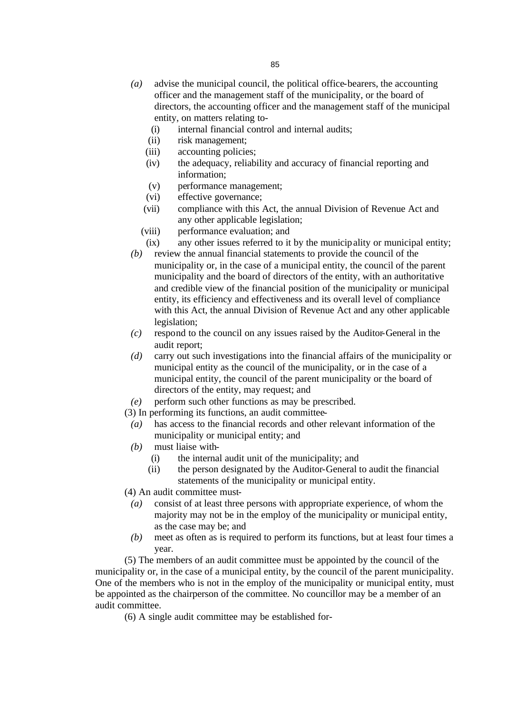- *(a)* advise the municipal council, the political office-bearers, the accounting officer and the management staff of the municipality, or the board of directors, the accounting officer and the management staff of the municipal entity, on matters relating to-
	- (i) internal financial control and internal audits;
	- (ii) risk management;
	- (iii) accounting policies;
	- (iv) the adequacy, reliability and accuracy of financial reporting and information;
	- (v) performance management;
	- (vi) effective governance;
	- (vii) compliance with this Act, the annual Division of Revenue Act and any other applicable legislation;
	- (viii) performance evaluation; and
	- (ix) any other issues referred to it by the municipality or municipal entity;
- *(b)* review the annual financial statements to provide the council of the municipality or, in the case of a municipal entity, the council of the parent municipality and the board of directors of the entity, with an authoritative and credible view of the financial position of the municipality or municipal entity, its efficiency and effectiveness and its overall level of compliance with this Act, the annual Division of Revenue Act and any other applicable legislation;
- *(c)* respond to the council on any issues raised by the Auditor-General in the audit report;
- *(d)* carry out such investigations into the financial affairs of the municipality or municipal entity as the council of the municipality, or in the case of a municipal entity, the council of the parent municipality or the board of directors of the entity, may request; and
- *(e)* perform such other functions as may be prescribed.
- (3) In performing its functions, an audit committee-
	- *(a)* has access to the financial records and other relevant information of the municipality or municipal entity; and
	- *(b)* must liaise with-
		- (i) the internal audit unit of the municipality; and
		- (ii) the person designated by the Auditor-General to audit the financial statements of the municipality or municipal entity.
- (4) An audit committee must-
	- *(a)* consist of at least three persons with appropriate experience, of whom the majority may not be in the employ of the municipality or municipal entity, as the case may be; and
	- *(b)* meet as often as is required to perform its functions, but at least four times a year.

(5) The members of an audit committee must be appointed by the council of the municipality or, in the case of a municipal entity, by the council of the parent municipality. One of the members who is not in the employ of the municipality or municipal entity, must be appointed as the chairperson of the committee. No councillor may be a member of an audit committee.

(6) A single audit committee may be established for-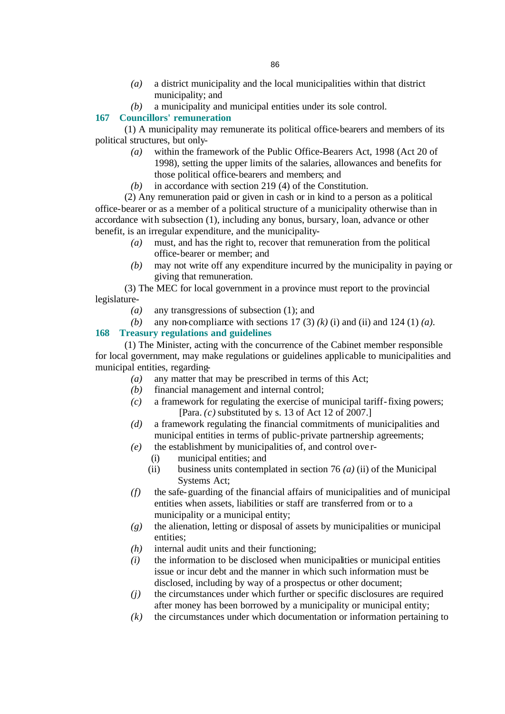- *(a)* a district municipality and the local municipalities within that district municipality; and
- *(b)* a municipality and municipal entities under its sole control.

# **167 Councillors' remuneration**

(1) A municipality may remunerate its political office-bearers and members of its political structures, but only-

- *(a)* within the framework of the Public Office-Bearers Act, 1998 (Act 20 of 1998), setting the upper limits of the salaries, allowances and benefits for those political office-bearers and members; and
- *(b)* in accordance with section 219 (4) of the Constitution.

(2) Any remuneration paid or given in cash or in kind to a person as a political office-bearer or as a member of a political structure of a municipality otherwise than in accordance with subsection (1), including any bonus, bursary, loan, advance or other benefit, is an irregular expenditure, and the municipality-

- *(a)* must, and has the right to, recover that remuneration from the political office-bearer or member; and
- *(b)* may not write off any expenditure incurred by the municipality in paying or giving that remuneration.

(3) The MEC for local government in a province must report to the provincial legislature-

- *(a)* any transgressions of subsection (1); and
- *(b)* any non-compliance with sections 17 (3)  $(k)$  (i) and (ii) and 124 (1)  $(a)$ .

### **168 Treasury regulations and guidelines**

(1) The Minister, acting with the concurrence of the Cabinet member responsible for local government, may make regulations or guidelines applicable to municipalities and municipal entities, regarding-

- *(a)* any matter that may be prescribed in terms of this Act;
- *(b)* financial management and internal control;
- *(c)* a framework for regulating the exercise of municipal tariff-fixing powers; [Para. *(c)* substituted by s. 13 of Act 12 of 2007.]
- *(d)* a framework regulating the financial commitments of municipalities and municipal entities in terms of public-private partnership agreements;
- *(e)* the establishment by municipalities of, and control ove r-
	- (i) municipal entities; and
	- (ii) business units contemplated in section 76 *(a)* (ii) of the Municipal Systems Act;
- *(f)* the safe-guarding of the financial affairs of municipalities and of municipal entities when assets, liabilities or staff are transferred from or to a municipality or a municipal entity;
- *(g)* the alienation, letting or disposal of assets by municipalities or municipal entities;
- *(h)* internal audit units and their functioning;
- *(i)* the information to be disclosed when municipalities or municipal entities issue or incur debt and the manner in which such information must be disclosed, including by way of a prospectus or other document;
- *(j)* the circumstances under which further or specific disclosures are required after money has been borrowed by a municipality or municipal entity;
- *(k)* the circumstances under which documentation or information pertaining to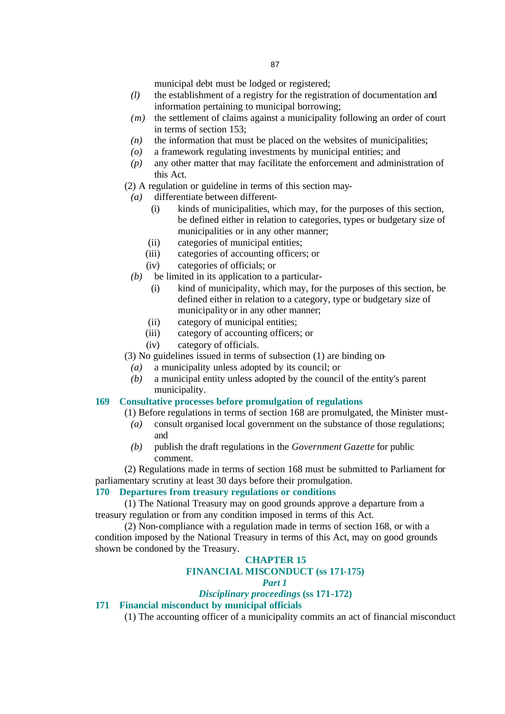municipal debt must be lodged or registered;

- *(l)* the establishment of a registry for the registration of documentation and information pertaining to municipal borrowing;
- *(m)* the settlement of claims against a municipality following an order of court in terms of section 153;
- *(n)* the information that must be placed on the websites of municipalities;
- *(o)* a framework regulating investments by municipal entities; and
- *(p)* any other matter that may facilitate the enforcement and administration of this Act.
- (2) A regulation or guideline in terms of this section may-
	- *(a)* differentiate between different-
		- (i) kinds of municipalities, which may, for the purposes of this section, be defined either in relation to categories, types or budgetary size of municipalities or in any other manner;
		- (ii) categories of municipal entities;
		- (iii) categories of accounting officers; or
		- (iv) categories of officials; or
	- *(b)* be limited in its application to a particular-
		- (i) kind of municipality, which may, for the purposes of this section, be defined either in relation to a category, type or budgetary size of municipality or in any other manner;
		- (ii) category of municipal entities;
		- (iii) category of accounting officers; or
		- (iv) category of officials.

(3) No guidelines issued in terms of subsection (1) are binding on-

- *(a)* a municipality unless adopted by its council; or
- *(b)* a municipal entity unless adopted by the council of the entity's parent municipality.

#### **169 Consultative processes before promulgation of regulations**

- (1) Before regulations in terms of section 168 are promulgated, the Minister must-
	- *(a)* consult organised local government on the substance of those regulations; and
	- *(b)* publish the draft regulations in the *Government Gazette* for public comment.

(2) Regulations made in terms of section 168 must be submitted to Parliament for parliamentary scrutiny at least 30 days before their promulgation.

### **170 Departures from treasury regulations or conditions**

(1) The National Treasury may on good grounds approve a departure from a treasury regulation or from any condition imposed in terms of this Act.

(2) Non-compliance with a regulation made in terms of section 168, or with a condition imposed by the National Treasury in terms of this Act, may on good grounds shown be condoned by the Treasury.

#### **CHAPTER 15**

### **FINANCIAL MISCONDUCT (ss 171-175)**

#### *Part 1*

### *Disciplinary proceedings* **(ss 171-172)**

#### **171 Financial misconduct by municipal officials**

(1) The accounting officer of a municipality commits an act of financial misconduct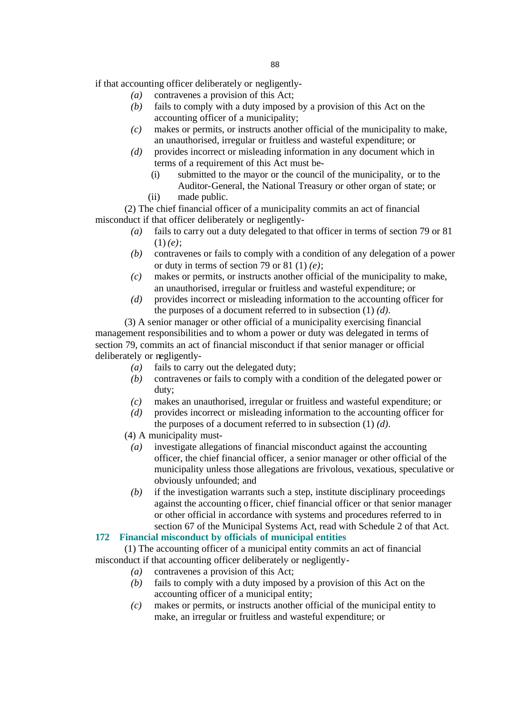if that accounting officer deliberately or negligently-

- *(a)* contravenes a provision of this Act;
- *(b)* fails to comply with a duty imposed by a provision of this Act on the accounting officer of a municipality;
- *(c)* makes or permits, or instructs another official of the municipality to make, an unauthorised, irregular or fruitless and wasteful expenditure; or
- *(d)* provides incorrect or misleading information in any document which in terms of a requirement of this Act must be-
	- (i) submitted to the mayor or the council of the municipality, or to the Auditor-General, the National Treasury or other organ of state; or
	- (ii) made public.

(2) The chief financial officer of a municipality commits an act of financial misconduct if that officer deliberately or negligently-

- *(a)* fails to carry out a duty delegated to that officer in terms of section 79 or 81 (1) *(e)*;
- *(b)* contravenes or fails to comply with a condition of any delegation of a power or duty in terms of section 79 or 81 (1) *(e)*;
- *(c)* makes or permits, or instructs another official of the municipality to make, an unauthorised, irregular or fruitless and wasteful expenditure; or
- *(d)* provides incorrect or misleading information to the accounting officer for the purposes of a document referred to in subsection (1) *(d)*.

(3) A senior manager or other official of a municipality exercising financial management responsibilities and to whom a power or duty was delegated in terms of section 79, commits an act of financial misconduct if that senior manager or official deliberately or negligently-

- *(a)* fails to carry out the delegated duty;
- *(b)* contravenes or fails to comply with a condition of the delegated power or duty;
- *(c)* makes an unauthorised, irregular or fruitless and wasteful expenditure; or
- *(d)* provides incorrect or misleading information to the accounting officer for the purposes of a document referred to in subsection (1) *(d)*.
- (4) A municipality must-
	- *(a)* investigate allegations of financial misconduct against the accounting officer, the chief financial officer, a senior manager or other official of the municipality unless those allegations are frivolous, vexatious, speculative or obviously unfounded; and
	- *(b)* if the investigation warrants such a step, institute disciplinary proceedings against the accounting officer, chief financial officer or that senior manager or other official in accordance with systems and procedures referred to in section 67 of the Municipal Systems Act, read with Schedule 2 of that Act.

#### **172 Financial misconduct by officials of municipal entities**

(1) The accounting officer of a municipal entity commits an act of financial misconduct if that accounting officer deliberately or negligently-

- *(a)* contravenes a provision of this Act;
- *(b)* fails to comply with a duty imposed by a provision of this Act on the accounting officer of a municipal entity;
- *(c)* makes or permits, or instructs another official of the municipal entity to make, an irregular or fruitless and wasteful expenditure; or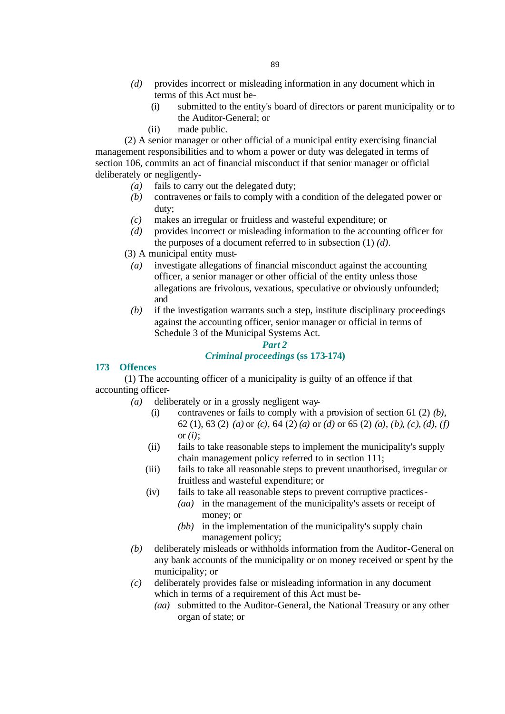- *(d)* provides incorrect or misleading information in any document which in terms of this Act must be-
	- (i) submitted to the entity's board of directors or parent municipality or to the Auditor-General; or
	- (ii) made public.

(2) A senior manager or other official of a municipal entity exercising financial management responsibilities and to whom a power or duty was delegated in terms of section 106, commits an act of financial misconduct if that senior manager or official deliberately or negligently-

- *(a)* fails to carry out the delegated duty;
- *(b)* contravenes or fails to comply with a condition of the delegated power or duty;
- *(c)* makes an irregular or fruitless and wasteful expenditure; or
- *(d)* provides incorrect or misleading information to the accounting officer for the purposes of a document referred to in subsection (1) *(d)*.
- (3) A municipal entity must-
	- *(a)* investigate allegations of financial misconduct against the accounting officer, a senior manager or other official of the entity unless those allegations are frivolous, vexatious, speculative or obviously unfounded; and
	- *(b)* if the investigation warrants such a step, institute disciplinary proceedings against the accounting officer, senior manager or official in terms of Schedule 3 of the Municipal Systems Act.

# *Part 2 Criminal proceedings* **(ss 173-174)**

# **173 Offences**

(1) The accounting officer of a municipality is guilty of an offence if that accounting officer-

- *(a)* deliberately or in a grossly negligent way-
	- (i) contravenes or fails to comply with a provision of section 61 (2) *(b)*, 62 (1), 63 (2) *(a)* or *(c)*, 64 (2) *(a)* or *(d)* or 65 (2) *(a)*, *(b)*, *(c)*, *(d)*, *(f)* or *(i)*;
	- (ii) fails to take reasonable steps to implement the municipality's supply chain management policy referred to in section 111;
	- (iii) fails to take all reasonable steps to prevent unauthorised, irregular or fruitless and wasteful expenditure; or
	- (iv) fails to take all reasonable steps to prevent corruptive practices- *(aa)* in the management of the municipality's assets or receipt of
		- money; or
		- *(bb)* in the implementation of the municipality's supply chain management policy;
- *(b)* deliberately misleads or withholds information from the Auditor-General on any bank accounts of the municipality or on money received or spent by the municipality; or
- *(c)* deliberately provides false or misleading information in any document which in terms of a requirement of this Act must be-
	- *(aa)* submitted to the Auditor-General, the National Treasury or any other organ of state; or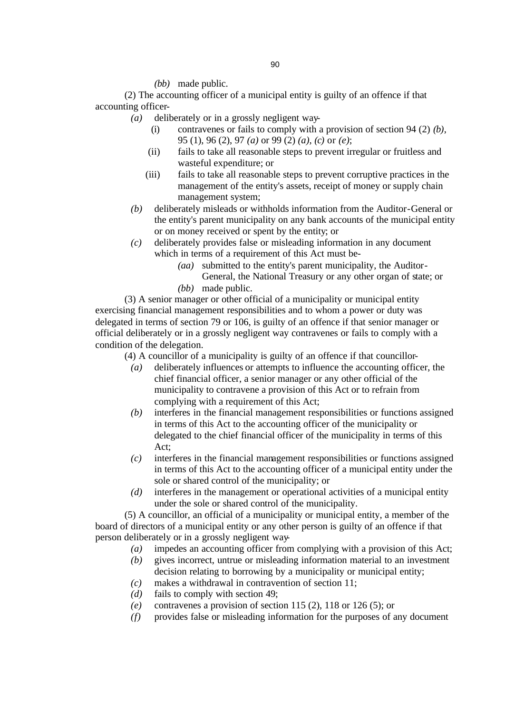### *(bb)* made public.

(2) The accounting officer of a municipal entity is guilty of an offence if that accounting officer-

- *(a)* deliberately or in a grossly negligent way-
	- (i) contravenes or fails to comply with a provision of section 94 (2) *(b)*, 95 (1), 96 (2), 97 *(a)* or 99 (2) *(a)*, *(c)* or *(e)*;
	- (ii) fails to take all reasonable steps to prevent irregular or fruitless and wasteful expenditure; or
	- (iii) fails to take all reasonable steps to prevent corruptive practices in the management of the entity's assets, receipt of money or supply chain management system;
- *(b)* deliberately misleads or withholds information from the Auditor-General or the entity's parent municipality on any bank accounts of the municipal entity or on money received or spent by the entity; or
- *(c)* deliberately provides false or misleading information in any document which in terms of a requirement of this Act must be-
	- *(aa)* submitted to the entity's parent municipality, the Auditor-General, the National Treasury or any other organ of state; or
	- *(bb)* made public.

(3) A senior manager or other official of a municipality or municipal entity exercising financial management responsibilities and to whom a power or duty was delegated in terms of section 79 or 106, is guilty of an offence if that senior manager or official deliberately or in a grossly negligent way contravenes or fails to comply with a condition of the delegation.

(4) A councillor of a municipality is guilty of an offence if that councillor-

- *(a)* deliberately influences or attempts to influence the accounting officer, the chief financial officer, a senior manager or any other official of the municipality to contravene a provision of this Act or to refrain from complying with a requirement of this Act;
- *(b)* interferes in the financial management responsibilities or functions assigned in terms of this Act to the accounting officer of the municipality or delegated to the chief financial officer of the municipality in terms of this Act;
- *(c)* interferes in the financial management responsibilities or functions assigned in terms of this Act to the accounting officer of a municipal entity under the sole or shared control of the municipality; or
- *(d)* interferes in the management or operational activities of a municipal entity under the sole or shared control of the municipality.

(5) A councillor, an official of a municipality or municipal entity, a member of the board of directors of a municipal entity or any other person is guilty of an offence if that person deliberately or in a grossly negligent way-

- *(a)* impedes an accounting officer from complying with a provision of this Act;
- *(b)* gives incorrect, untrue or misleading information material to an investment decision relating to borrowing by a municipality or municipal entity;
- *(c)* makes a withdrawal in contravention of section 11;
- *(d)* fails to comply with section 49;
- *(e)* contravenes a provision of section 115 (2), 118 or 126 (5); or
- *(f)* provides false or misleading information for the purposes of any document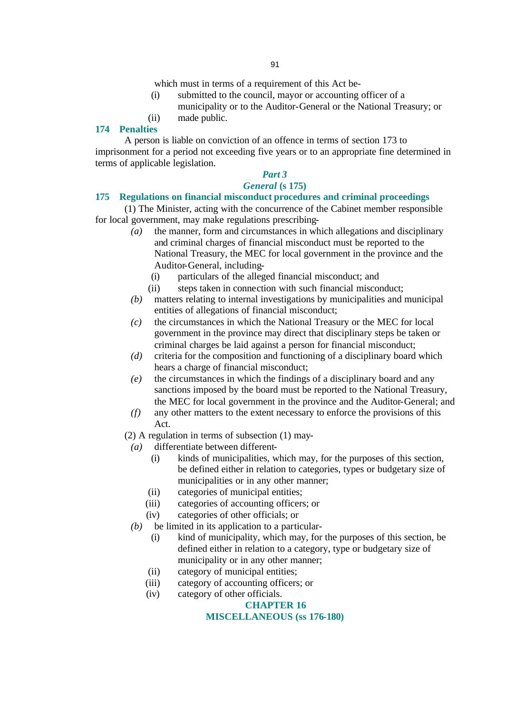which must in terms of a requirement of this Act be-

- (i) submitted to the council, mayor or accounting officer of a municipality or to the Auditor-General or the National Treasury; or
- (ii) made public.

### **174 Penalties**

A person is liable on conviction of an offence in terms of section 173 to imprisonment for a period not exceeding five years or to an appropriate fine determined in terms of applicable legislation.

# *Part 3*

# *General* **(s 175)**

# **175 Regulations on financial misconduct procedures and criminal proceedings**

(1) The Minister, acting with the concurrence of the Cabinet member responsible for local government, may make regulations prescribing-

- *(a)* the manner, form and circumstances in which allegations and disciplinary and criminal charges of financial misconduct must be reported to the National Treasury, the MEC for local government in the province and the Auditor-General, including-
	- (i) particulars of the alleged financial misconduct; and
	- (ii) steps taken in connection with such financial misconduct;
- *(b)* matters relating to internal investigations by municipalities and municipal entities of allegations of financial misconduct;
- *(c)* the circumstances in which the National Treasury or the MEC for local government in the province may direct that disciplinary steps be taken or criminal charges be laid against a person for financial misconduct;
- *(d)* criteria for the composition and functioning of a disciplinary board which hears a charge of financial misconduct;
- *(e)* the circumstances in which the findings of a disciplinary board and any sanctions imposed by the board must be reported to the National Treasury, the MEC for local government in the province and the Auditor-General; and
- *(f)* any other matters to the extent necessary to enforce the provisions of this Act.

(2) A regulation in terms of subsection (1) may-

- *(a)* differentiate between different-
	- (i) kinds of municipalities, which may, for the purposes of this section, be defined either in relation to categories, types or budgetary size of municipalities or in any other manner;
	- (ii) categories of municipal entities;
	- (iii) categories of accounting officers; or
	- (iv) categories of other officials; or
- *(b)* be limited in its application to a particular-
	- (i) kind of municipality, which may, for the purposes of this section, be defined either in relation to a category, type or budgetary size of municipality or in any other manner;
	- (ii) category of municipal entities;
	- (iii) category of accounting officers; or
	- (iv) category of other officials.

# **CHAPTER 16**

# **MISCELLANEOUS (ss 176-180)**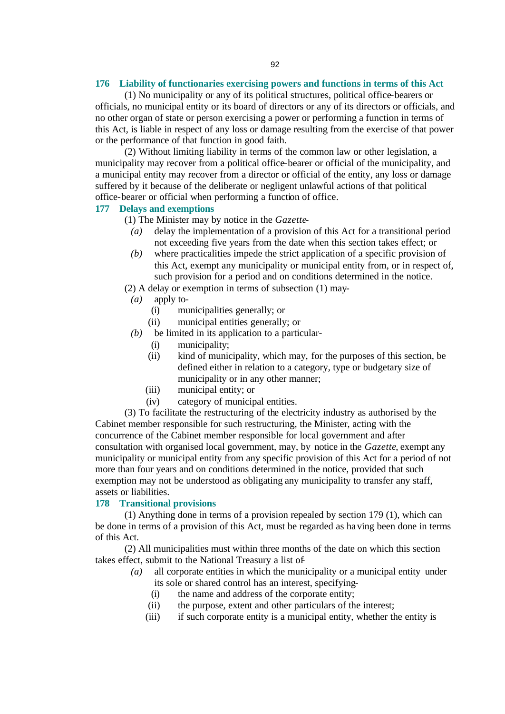### **176 Liability of functionaries exercising powers and functions in terms of this Act**

(1) No municipality or any of its political structures, political office-bearers or officials, no municipal entity or its board of directors or any of its directors or officials, and no other organ of state or person exercising a power or performing a function in terms of this Act, is liable in respect of any loss or damage resulting from the exercise of that power or the performance of that function in good faith.

(2) Without limiting liability in terms of the common law or other legislation, a municipality may recover from a political office-bearer or official of the municipality, and a municipal entity may recover from a director or official of the entity, any loss or damage suffered by it because of the deliberate or negligent unlawful actions of that political office-bearer or official when performing a function of office.

### **177 Delays and exemptions**

- (1) The Minister may by notice in the *Gazette*
	- *(a)* delay the implementation of a provision of this Act for a transitional period not exceeding five years from the date when this section takes effect; or
	- *(b)* where practicalities impede the strict application of a specific provision of this Act, exempt any municipality or municipal entity from, or in respect of, such provision for a period and on conditions determined in the notice.

(2) A delay or exemption in terms of subsection (1) may-

- *(a)* apply to-
	- (i) municipalities generally; or
	- (ii) municipal entities generally; or
- *(b)* be limited in its application to a particular-
	- (i) municipality;
	- (ii) kind of municipality, which may, for the purposes of this section, be defined either in relation to a category, type or budgetary size of municipality or in any other manner;
	- (iii) municipal entity; or
	- (iv) category of municipal entities.

(3) To facilitate the restructuring of the electricity industry as authorised by the Cabinet member responsible for such restructuring, the Minister, acting with the concurrence of the Cabinet member responsible for local government and after consultation with organised local government, may, by notice in the *Gazette*, exempt any municipality or municipal entity from any specific provision of this Act for a period of not more than four years and on conditions determined in the notice, provided that such exemption may not be understood as obligating any municipality to transfer any staff, assets or liabilities.

#### **178 Transitional provisions**

(1) Anything done in terms of a provision repealed by section 179 (1), which can be done in terms of a provision of this Act, must be regarded as having been done in terms of this Act.

(2) All municipalities must within three months of the date on which this section takes effect, submit to the National Treasury a list of-

- *(a)* all corporate entities in which the municipality or a municipal entity under its sole or shared control has an interest, specifying-
	- (i) the name and address of the corporate entity;
	- (ii) the purpose, extent and other particulars of the interest;
	- (iii) if such corporate entity is a municipal entity, whether the entity is